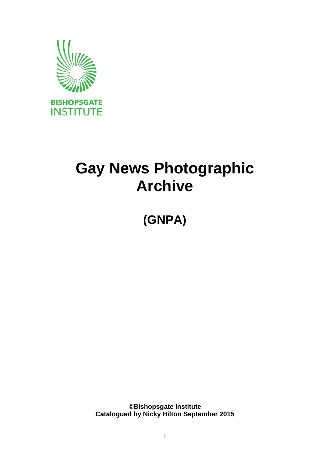

# **Gay News Photographic Archive**

**(GNPA)**

**©Bishopsgate Institute Catalogued by Nicky Hilton September 2015**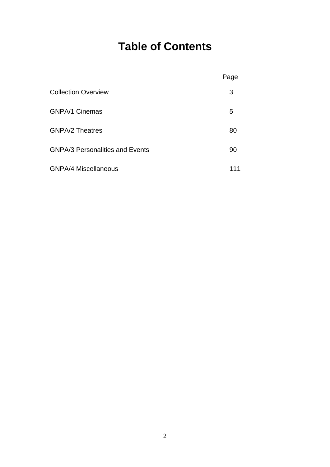# **Table of Contents**

|                                        | Page |
|----------------------------------------|------|
| <b>Collection Overview</b>             | 3    |
| <b>GNPA/1 Cinemas</b>                  | 5    |
| <b>GNPA/2 Theatres</b>                 | 80   |
| <b>GNPA/3 Personalities and Events</b> | 90   |
| <b>GNPA/4 Miscellaneous</b>            | 111  |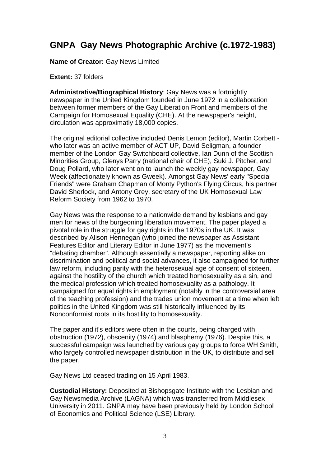### **GNPA Gay News Photographic Archive (c.1972-1983)**

**Name of Creator:** Gay News Limited

### **Extent:** 37 folders

**Administrative/Biographical History**: Gay News was a fortnightly newspaper in the United Kingdom founded in June 1972 in a collaboration between former members of the Gay Liberation Front and members of the Campaign for Homosexual Equality (CHE). At the newspaper's height, circulation was approximatly 18,000 copies.

The original editorial collective included Denis Lemon (editor), Martin Corbett who later was an active member of ACT UP, David Seligman, a founder member of the London Gay Switchboard collective, Ian Dunn of the Scottish Minorities Group, Glenys Parry (national chair of CHE), Suki J. Pitcher, and Doug Pollard, who later went on to launch the weekly gay newspaper, Gay Week (affectionately known as Gweek). Amongst Gay News' early "Special Friends" were Graham Chapman of Monty Python's Flying Circus, his partner David Sherlock, and Antony Grey, secretary of the UK Homosexual Law Reform Society from 1962 to 1970.

Gay News was the response to a nationwide demand by lesbians and gay men for news of the burgeoning liberation movement. The paper played a pivotal role in the struggle for gay rights in the 1970s in the UK. It was described by Alison Hennegan (who joined the newspaper as Assistant Features Editor and Literary Editor in June 1977) as the movement's "debating chamber". Although essentially a newspaper, reporting alike on discrimination and political and social advances, it also campaigned for further law reform, including parity with the heterosexual age of consent of sixteen, against the hostility of the church which treated homosexuality as a sin, and the medical profession which treated homosexuality as a pathology. It campaigned for equal rights in employment (notably in the controversial area of the teaching profession) and the trades union movement at a time when left politics in the United Kingdom was still historically influenced by its Nonconformist roots in its hostility to homosexuality.

The paper and it's editors were often in the courts, being charged with obstruction (1972), obscenity (1974) and blasphemy (1976). Despite this, a successful campaign was launched by various gay groups to force WH Smith, who largely controlled newspaper distribution in the UK, to distribute and sell the paper.

Gay News Ltd ceased trading on 15 April 1983.

**Custodial History:** Deposited at Bishopsgate Institute with the Lesbian and Gay Newsmedia Archive (LAGNA) which was transferred from Middlesex University in 2011. GNPA may have been previously held by London School of Economics and Political Science (LSE) Library.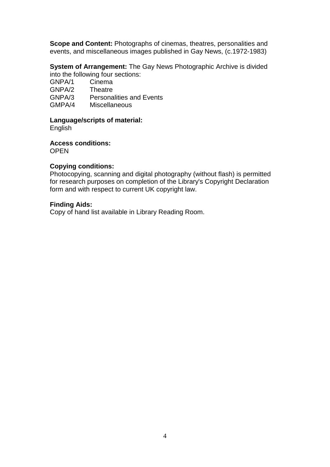**Scope and Content:** Photographs of cinemas, theatres, personalities and events, and miscellaneous images published in Gay News, (c.1972-1983)

**System of Arrangement:** The Gay News Photographic Archive is divided into the following four sections:

GNPA/1 Cinema GNPA/2 Theatre GNPA/3 Personalities and Events GMPA/4 Miscellaneous

#### **Language/scripts of material:**

English

**Access conditions:**

**OPEN** 

### **Copying conditions:**

Photocopying, scanning and digital photography (without flash) is permitted for research purposes on completion of the Library's Copyright Declaration form and with respect to current UK copyright law.

### **Finding Aids:**

Copy of hand list available in Library Reading Room.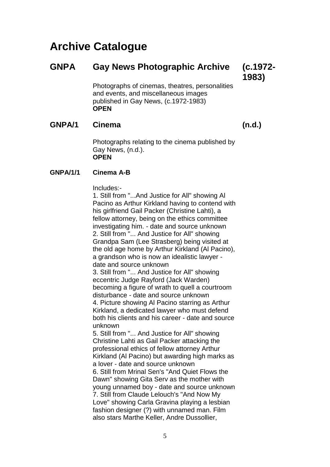## **Archive Catalogue**

### **GNPA Gay News Photographic Archive (c.1972-**

**1983)**

Photographs of cinemas, theatres, personalities and events, and miscellaneous images published in Gay News, (c.1972-1983) **OPEN**

### **GNPA/1 Cinema (n.d.)**

Photographs relating to the cinema published by Gay News, (n.d.). **OPEN**

### **GNPA/1/1 Cinema A-B**

Includes:-

1. Still from "...And Justice for All" showing Al Pacino as Arthur Kirkland having to contend with his girlfriend Gail Packer (Christine Lahti), a fellow attorney, being on the ethics committee investigating him. - date and source unknown 2. Still from "... And Justice for All" showing Grandpa Sam (Lee Strasberg) being visited at the old age home by Arthur Kirkland (Al Pacino), a grandson who is now an idealistic lawyer date and source unknown 3. Still from "... And Justice for All" showing eccentric Judge Rayford (Jack Warden) becoming a figure of wrath to quell a courtroom disturbance - date and source unknown 4. Picture showing Al Pacino starring as Arthur Kirkland, a dedicated lawyer who must defend both his clients and his career - date and source unknown 5. Still from "... And Justice for All" showing Christine Lahti as Gail Packer attacking the professional ethics of fellow attorney Arthur Kirkland (Al Pacino) but awarding high marks as a lover - date and source unknown 6. Still from Mrinal Sen's "And Quiet Flows the Dawn" showing Gita Serv as the mother with young unnamed boy - date and source unknown 7. Still from Claude Lelouch's "And Now My

Love" showing Carla Gravina playing a lesbian fashion designer (?) with unnamed man. Film also stars Marthe Keller, Andre Dussollier,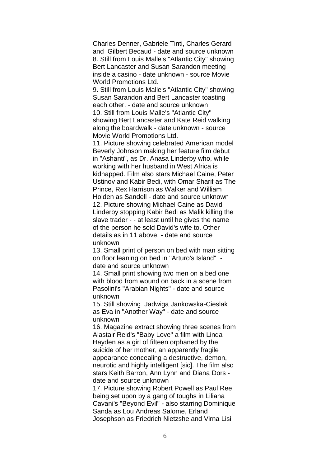Charles Denner, Gabriele Tinti, Charles Gerard and Gilbert Becaud - date and source unknown 8. Still from Louis Malle's "Atlantic City" showing Bert Lancaster and Susan Sarandon meeting inside a casino - date unknown - source Movie World Promotions Ltd.

9. Still from Louis Malle's "Atlantic City" showing Susan Sarandon and Bert Lancaster toasting each other. - date and source unknown 10. Still from Louis Malle's "Atlantic City" showing Bert Lancaster and Kate Reid walking along the boardwalk - date unknown - source Movie World Promotions Ltd.

11. Picture showing celebrated American model Beverly Johnson making her feature film debut in "Ashanti", as Dr. Anasa Linderby who, while working with her husband in West Africa is kidnapped. Film also stars Michael Caine, Peter Ustinov and Kabir Bedi, with Omar Sharif as The Prince, Rex Harrison as Walker and William Holden as Sandell - date and source unknown 12. Picture showing Michael Caine as David Linderby stopping Kabir Bedi as Malik killing the slave trader - - at least until he gives the name of the person he sold David's wife to. Other details as in 11 above. - date and source unknown

13. Small print of person on bed with man sitting on floor leaning on bed in "Arturo's Island" date and source unknown

14. Small print showing two men on a bed one with blood from wound on back in a scene from Pasolini's "Arabian Nights" - date and source unknown

15. Still showing Jadwiga Jankowska-Cieslak as Eva in "Another Way" - date and source unknown

16. Magazine extract showing three scenes from Alastair Reid's "Baby Love" a film with Linda Hayden as a girl of fifteen orphaned by the suicide of her mother, an apparently fragile appearance concealing a destructive, demon, neurotic and highly intelligent [sic]. The film also stars Keith Barron, Ann Lynn and Diana Dors date and source unknown

17. Picture showing Robert Powell as Paul Ree being set upon by a gang of toughs in Liliana Cavani's "Beyond Evil" - also starring Dominique Sanda as Lou Andreas Salome, Erland Josephson as Friedrich Nietzshe and Virna Lisi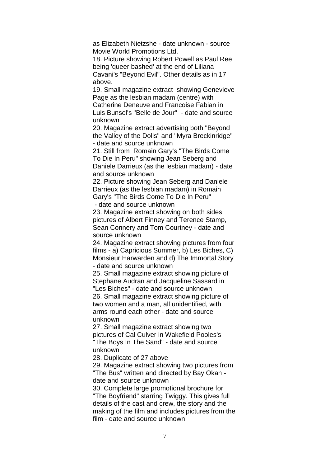as Elizabeth Nietzshe - date unknown - source Movie World Promotions Ltd.

18. Picture showing Robert Powell as Paul Ree being 'queer bashed' at the end of Liliana Cavani's "Beyond Evil". Other details as in 17 above.

19. Small magazine extract showing Genevieve Page as the lesbian madam (centre) with Catherine Deneuve and Francoise Fabian in Luis Bunsel's "Belle de Jour" - date and source unknown

20. Magazine extract advertising both "Beyond the Valley of the Dolls" and "Myra Breckinridge" - date and source unknown

21. Still from Romain Gary's "The Birds Come To Die In Peru" showing Jean Seberg and Daniele Darrieux (as the lesbian madam) - date and source unknown

22. Picture showing Jean Seberg and Daniele Darrieux (as the lesbian madam) in Romain Gary's "The Birds Come To Die In Peru" - date and source unknown

23. Magazine extract showing on both sides pictures of Albert Finney and Terence Stamp, Sean Connery and Tom Courtney - date and source unknown

24. Magazine extract showing pictures from four films - a) Capricious Summer, b) Les Biches, C) Monsieur Harwarden and d) The Immortal Story - date and source unknown

25. Small magazine extract showing picture of Stephane Audran and Jacqueline Sassard in "Les Biches" - date and source unknown 26. Small magazine extract showing picture of

two women and a man, all unidentified, with arms round each other - date and source unknown

27. Small magazine extract showing two pictures of Cal Culver in Wakefield Pooles's "The Boys In The Sand" - date and source unknown

28. Duplicate of 27 above

29. Magazine extract showing two pictures from "The Bus" written and directed by Bay Okan date and source unknown

30. Complete large promotional brochure for "The Boyfriend" starring Twiggy. This gives full details of the cast and crew, the story and the making of the film and includes pictures from the film - date and source unknown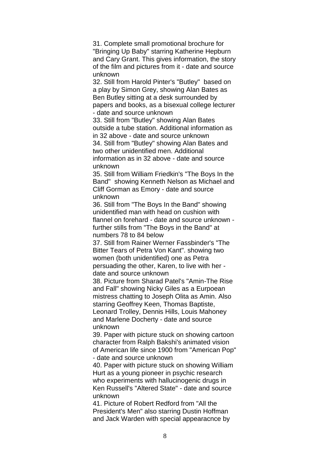31. Complete small promotional brochure for "Bringing Up Baby" starring Katherine Hepburn and Cary Grant. This gives information, the story of the film and pictures from it - date and source unknown

32. Still from Harold Pinter's "Butley" based on a play by Simon Grey, showing Alan Bates as Ben Butley sitting at a desk surrounded by papers and books, as a bisexual college lecturer - date and source unknown

33. Still from "Butley" showing Alan Bates outside a tube station. Additional information as in 32 above - date and source unknown 34. Still from "Butley" showing Alan Bates and two other unidentified men. Additional information as in 32 above - date and source unknown

35. Still from William Friedkin's "The Boys In the Band" showing Kenneth Nelson as Michael and Cliff Gorman as Emory - date and source unknown

36. Still from "The Boys In the Band" showing unidentified man with head on cushion with flannel on forehard - date and source unknown further stills from "The Boys in the Band" at numbers 78 to 84 below

37. Still from Rainer Werner Fassbinder's "The Bitter Tears of Petra Von Kant". showing two women (both unidentified) one as Petra persuading the other, Karen, to live with her date and source unknown

38. Picture from Sharad Patel's "Amin-The Rise and Fall" showing Nicky Giles as a Eurpoean mistress chatting to Joseph Olita as Amin. Also starring Geoffrey Keen, Thomas Baptiste, Leonard Trolley, Dennis Hills, Louis Mahoney and Marlene Docherty - date and source unknown

39. Paper with picture stuck on showing cartoon character from Ralph Bakshi's animated vision of American life since 1900 from "American Pop" - date and source unknown

40. Paper with picture stuck on showing William Hurt as a young pioneer in psychic research who experiments with hallucinogenic drugs in Ken Russell's "Altered State" - date and source unknown

41. Picture of Robert Redford from "All the President's Men" also starring Dustin Hoffman and Jack Warden with special appearacnce by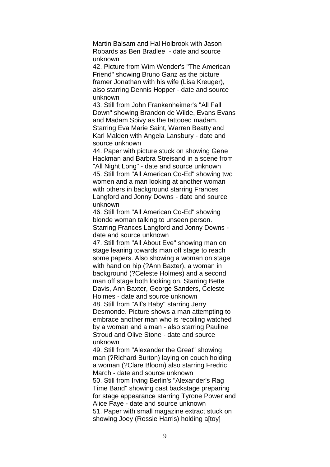Martin Balsam and Hal Holbrook with Jason Robards as Ben Bradlee - date and source unknown

42. Picture from Wim Wender's "The American Friend" showing Bruno Ganz as the picture framer Jonathan with his wife (Lisa Kreuger), also starring Dennis Hopper - date and source unknown

43. Still from John Frankenheimer's "All Fall Down" showing Brandon de Wilde, Evans Evans and Madam Spivy as the tattooed madam. Starring Eva Marie Saint, Warren Beatty and Karl Malden with Angela Lansbury - date and source unknown

44. Paper with picture stuck on showing Gene Hackman and Barbra Streisand in a scene from "All Night Long" - date and source unknown 45. Still from "All American Co-Ed" showing two women and a man looking at another woman with others in background starring Frances Langford and Jonny Downs - date and source unknown

46. Still from "All American Co-Ed" showing blonde woman talking to unseen person. Starring Frances Langford and Jonny Downs date and source unknown

47. Still from "All About Eve" showing man on stage leaning towards man off stage to reach some papers. Also showing a woman on stage with hand on hip (?Ann Baxter), a woman in background (?Celeste Holmes) and a second man off stage both looking on. Starring Bette Davis, Ann Baxter, George Sanders, Celeste Holmes - date and source unknown 48. Still from "Alf's Baby" starring Jerry Desmonde. Picture shows a man attempting to embrace another man who is recoiling watched by a woman and a man - also starring Pauline Stroud and Olive Stone - date and source unknown

49. Still from "Alexander the Great" showing man (?Richard Burton) laying on couch holding a woman (?Clare Bloom) also starring Fredric March - date and source unknown

50. Still from Irving Berlin's "Alexander's Rag Time Band" showing cast backstage preparing for stage appearance starring Tyrone Power and Alice Faye - date and source unknown 51. Paper with small magazine extract stuck on showing Joey (Rossie Harris) holding altoyl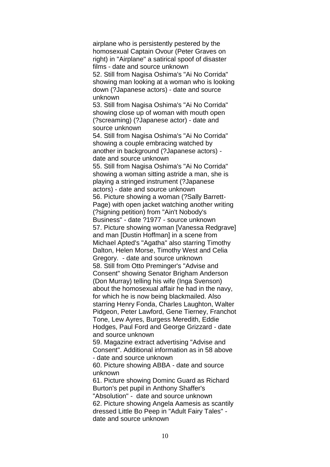airplane who is persistently pestered by the homosexual Captain Ovour (Peter Graves on right) in "Airplane" a satirical spoof of disaster films - date and source unknown 52. Still from Nagisa Oshima's "Ai No Corrida" showing man looking at a woman who is looking down (?Japanese actors) - date and source unknown 53. Still from Nagisa Oshima's "Ai No Corrida" showing close up of woman with mouth open (?screaming) (?Japanese actor) - date and source unknown 54. Still from Nagisa Oshima's "Ai No Corrida" showing a couple embracing watched by another in background (?Japanese actors) date and source unknown 55. Still from Nagisa Oshima's "Ai No Corrida" showing a woman sitting astride a man, she is playing a stringed instrument (?Japanese actors) - date and source unknown 56. Picture showing a woman (?Sally Barrett-Page) with open jacket watching another writing (?signing petition) from "Ain't Nobody's Business" - date ?1977 - source unknown 57. Picture showing woman [Vanessa Redgrave] and man [Dustin Hoffman] in a scene from Michael Apted's "Agatha" also starring Timothy Dalton, Helen Morse, Timothy West and Celia Gregory. - date and source unknown 58. Still from Otto Preminger's "Advise and Consent" showing Senator Brigham Anderson (Don Murray) telling his wife (Inga Svenson) about the homosexual affair he had in the navy, for which he is now being blackmailed. Also starring Henry Fonda, Charles Laughton, Walter Pidgeon, Peter Lawford, Gene Tierney, Franchot Tone, Lew Ayres, Burgess Meredith, Eddie Hodges, Paul Ford and George Grizzard - date and source unknown 59. Magazine extract advertising "Advise and Consent". Additional information as in 58 above - date and source unknown 60. Picture showing ABBA - date and source unknown 61. Picture showing Dominc Guard as Richard Burton's pet pupil in Anthony Shaffer's "Absolution" - date and source unknown 62. Picture showing Angela Aamesis as scantily dressed Little Bo Peep in "Adult Fairy Tales" date and source unknown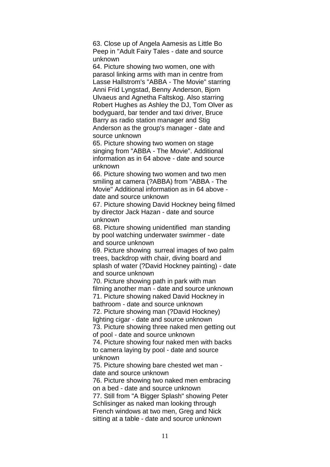63. Close up of Angela Aamesis as Little Bo Peep in "Adult Fairy Tales - date and source unknown

64. Picture showing two women, one with parasol linking arms with man in centre from Lasse Hallstrom's "ABBA - The Movie" starring Anni Frid Lyngstad, Benny Anderson, Bjorn Ulvaeus and Agnetha Faltskog. Also starring Robert Hughes as Ashley the DJ, Tom Olver as bodyguard, bar tender and taxi driver, Bruce Barry as radio station manager and Stig Anderson as the group's manager - date and source unknown

65. Picture showing two women on stage singing from "ABBA - The Movie". Additional information as in 64 above - date and source unknown

66. Picture showing two women and two men smiling at camera (?ABBA) from "ABBA - The Movie" Additional information as in 64 above date and source unknown

67. Picture showing David Hockney being filmed by director Jack Hazan - date and source unknown

68. Picture showing unidentified man standing by pool watching underwater swimmer - date and source unknown

69. Picture showing surreal images of two palm trees, backdrop with chair, diving board and splash of water (?David Hockney painting) - date and source unknown

70. Picture showing path in park with man filming another man - date and source unknown 71. Picture showing naked David Hockney in bathroom - date and source unknown

72. Picture showing man (?David Hockney) lighting cigar - date and source unknown

73. Picture showing three naked men getting out of pool - date and source unknown

74. Picture showing four naked men with backs to camera laying by pool - date and source unknown

75. Picture showing bare chested wet man date and source unknown

76. Picture showing two naked men embracing on a bed - date and source unknown 77. Still from "A Bigger Splash" showing Peter Schlisinger as naked man looking through French windows at two men, Greg and Nick sitting at a table - date and source unknown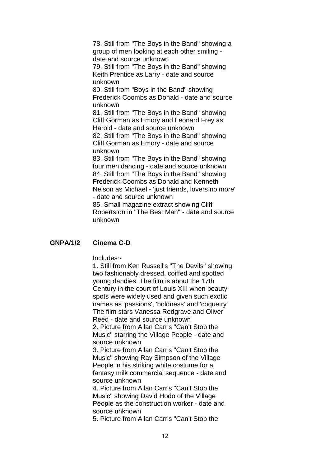78. Still from "The Boys in the Band" showing a group of men looking at each other smiling date and source unknown

79. Still from "The Boys in the Band" showing Keith Prentice as Larry - date and source unknown

80. Still from "Boys in the Band" showing Frederick Coombs as Donald - date and source unknown

81. Still from "The Boys in the Band" showing Cliff Gorman as Emory and Leonard Frey as Harold - date and source unknown

82. Still from "The Boys in the Band" showing Cliff Gorman as Emory - date and source unknown

83. Still from "The Boys in the Band" showing four men dancing - date and source unknown 84. Still from "The Boys in the Band" showing Frederick Coombs as Donald and Kenneth Nelson as Michael - 'just friends, lovers no more' - date and source unknown

85. Small magazine extract showing Cliff Robertston in "The Best Man" - date and source unknown

### **GNPA/1/2 Cinema C-D**

Includes:-

1. Still from Ken Russell's "The Devils" showing two fashionably dressed, coiffed and spotted young dandies. The film is about the 17th Century in the court of Louis XIII when beauty spots were widely used and given such exotic names as 'passions', 'boldness' and 'coquetry' The film stars Vanessa Redgrave and Oliver Reed - date and source unknown

2. Picture from Allan Carr's "Can't Stop the Music" starring the Village People - date and source unknown

3. Picture from Allan Carr's "Can't Stop the Music" showing Ray Simpson of the Village People in his striking white costume for a fantasy milk commercial sequence - date and source unknown

4. Picture from Allan Carr's "Can't Stop the Music" showing David Hodo of the Village People as the construction worker - date and source unknown

5. Picture from Allan Carr's "Can't Stop the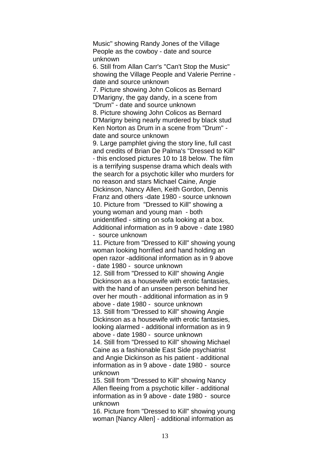Music" showing Randy Jones of the Village People as the cowboy - date and source unknown

6. Still from Allan Carr's "Can't Stop the Music" showing the Village People and Valerie Perrine date and source unknown

7. Picture showing John Colicos as Bernard D'Marigny, the gay dandy, in a scene from "Drum" - date and source unknown

8. Picture showing John Colicos as Bernard D'Marigny being nearly murdered by black stud Ken Norton as Drum in a scene from "Drum" date and source unknown

9. Large pamphlet giving the story line, full cast and credits of Brian De Palma's "Dressed to Kill" - this enclosed pictures 10 to 18 below. The film is a terrifying suspense drama which deals with the search for a psychotic killer who murders for no reason and stars Michael Caine, Angie Dickinson, Nancy Allen, Keith Gordon, Dennis Franz and others -date 1980 - source unknown 10. Picture from "Dressed to Kill" showing a young woman and young man - both unidentified - sitting on sofa looking at a box. Additional information as in 9 above - date 1980 - source unknown

11. Picture from "Dressed to Kill" showing young woman looking horrified and hand holding an open razor -additional information as in 9 above - date 1980 - source unknown

12. Still from "Dressed to Kill" showing Angie Dickinson as a housewife with erotic fantasies, with the hand of an unseen person behind her over her mouth - additional information as in 9 above - date 1980 - source unknown 13. Still from "Dressed to Kill" showing Angie

Dickinson as a housewife with erotic fantasies, looking alarmed - additional information as in 9 above - date 1980 - source unknown

14. Still from "Dressed to Kill" showing Michael Caine as a fashionable East Side psychiatrist and Angie Dickinson as his patient - additional information as in 9 above - date 1980 - source unknown

15. Still from "Dressed to Kill" showing Nancy Allen fleeing from a psychotic killer - additional information as in 9 above - date 1980 - source unknown

16. Picture from "Dressed to Kill" showing young woman [Nancy Allen] - additional information as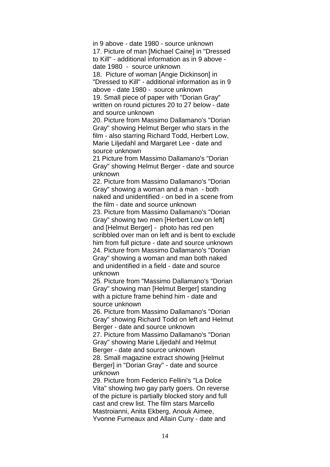in 9 above - date 1980 - source unknown 17. Picture of man [Michael Caine] in "Dressed to Kill" - additional information as in 9 above date 1980 - source unknown

18. Picture of woman [Angie Dickinson] in "Dressed to Kill" - additional information as in 9 above - date 1980 - source unknown 19. Small piece of paper with "Dorian Gray" written on round pictures 20 to 27 below - date

and source unknown

20. Picture from Massimo Dallamano's "Dorian Gray" showing Helmut Berger who stars in the film - also starring Richard Todd, Herbert Low, Marie Liljedahl and Margaret Lee - date and source unknown

21 Picture from Massimo Dallamano's "Dorian Gray" showing Helmut Berger - date and source unknown

22. Picture from Massimo Dallamano's "Dorian Gray" showing a woman and a man - both naked and unidentified - on bed in a scene from the film - date and source unknown

23. Picture from Massimo Dallamano's "Dorian Gray" showing two men [Herbert Low on left] and [Helmut Berger] - photo has red pen scribbled over man on left and is bent to exclude him from full picture - date and source unknown 24. Picture from Massimo Dallamano's "Dorian Gray" showing a woman and man both naked and unidentified in a field - date and source unknown

25. Picture from "Massimo Dallamano's "Dorian Gray" showing man [Helmut Berger] standing with a picture frame behind him - date and source unknown

26. Picture from Massimo Dallamano's "Dorian Gray" showing Richard Todd on left and Helmut Berger - date and source unknown

27. Picture from Massimo Dallamano's "Dorian Gray" showing Marie Liljedahl and Helmut Berger - date and source unknown

28. Small magazine extract showing [Helmut Berger] in "Dorian Gray" - date and source unknown

29. Picture from Federico Fellini's "La Dolce Vita" showing two gay party goers. On reverse of the picture is partially blocked story and full cast and crew list. The film stars Marcello Mastroianni, Anita Ekberg, Anouk Aimee, Yvonne Furneaux and Allain Cuny - date and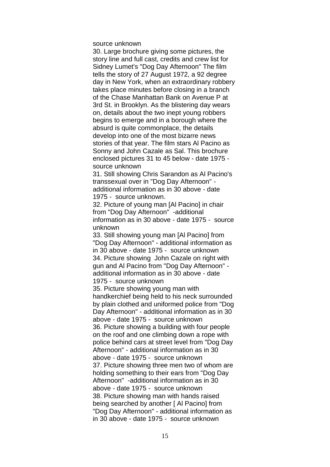source unknown

30. Large brochure giving some pictures, the story line and full cast, credits and crew list for Sidney Lumet's "Dog Day Afternoon" The film tells the story of 27 August 1972, a 92 degree day in New York, when an extraordinary robbery takes place minutes before closing in a branch of the Chase Manhattan Bank on Avenue P at 3rd St. in Brooklyn. As the blistering day wears on, details about the two inept young robbers begins to emerge and in a borough where the absurd is quite commonplace, the details develop into one of the most bizarre news stories of that year. The film stars Al Pacino as Sonny and John Cazale as Sal. This brochure enclosed pictures 31 to 45 below - date 1975 source unknown

31. Still showing Chris Sarandon as Al Pacino's transsexual over in "Dog Day Afternoon" additional information as in 30 above - date 1975 - source unknown.

32. Picture of young man [Al Pacino] in chair from "Dog Day Afternoon" -additional information as in 30 above - date 1975 - source unknown

33. Still showing young man [Al Pacino] from "Dog Day Afternoon" - additional information as in 30 above - date 1975 - source unknown 34. Picture showing John Cazale on right with gun and Al Pacino from "Dog Day Afternoon" additional information as in 30 above - date 1975 - source unknown

35. Picture showing young man with handkerchief being held to his neck surrounded by plain clothed and uniformed police from "Dog Day Afternoon" - additional information as in 30 above - date 1975 - source unknown 36. Picture showing a building with four people on the roof and one climbing down a rope with police behind cars at street level from "Dog Day Afternoon" - additional information as in 30 above - date 1975 - source unknown 37. Picture showing three men two of whom are holding something to their ears from "Dog Day Afternoon" -additional information as in 30 above - date 1975 - source unknown 38. Picture showing man with hands raised being searched by another [ Al Pacino] from "Dog Day Afternoon" - additional information as in 30 above - date 1975 - source unknown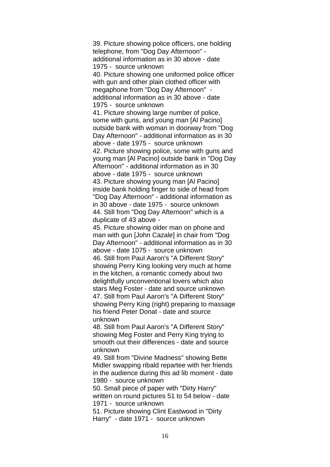39. Picture showing police officers, one holding telephone, from "Dog Day Afternoon" additional information as in 30 above - date 1975 - source unknown 40. Picture showing one uniformed police officer with gun and other plain clothed officer with megaphone from "Dog Day Afternoon" additional information as in 30 above - date 1975 - source unknown 41. Picture showing large number of police, some with guns, and young man [Al Pacino] outside bank with woman in doorway from "Dog Day Afternoon" - additional information as in 30 above - date 1975 - source unknown 42. Picture showing police, some with guns and young man [Al Pacino] outside bank in "Dog Day Afternoon" - additional information as in 30 above - date 1975 - source unknown 43. Picture showing young man [Al Pacino] inside bank holding finger to side of head from "Dog Day Afternoon" - additional information as in 30 above - date 1975 - source unknown 44. Still from "Dog Day Afternoon" which is a duplicate of 43 above -

45. Picture showing older man on phone and man with gun [John Cazale] in chair from "Dog Day Afternoon" - additional information as in 30 above - date 1075 - source unknown 46. Still from Paul Aaron's "A Different Story" showing Perry King looking very much at home in the kitchen, a romantic comedy about two delightfully unconventional lovers which also stars Meg Foster - date and source unknown 47. Still from Paul Aaron's "A Different Story" showing Perry King (right) preparing to massage his friend Peter Donat - date and source unknown

48. Still from Paul Aaron's "A Different Story" showing Meg Foster and Perry King trying to smooth out their differences - date and source unknown

49. Still from "Divine Madness" showing Bette Midler swapping ribald repartee with her friends in the audience during this ad lib moment - date 1980 - source unknown

50. Small piece of paper with "Dirty Harry" written on round pictures 51 to 54 below - date 1971 - source unknown

51. Picture showing Clint Eastwood in "Dirty Harry" - date 1971 - source unknown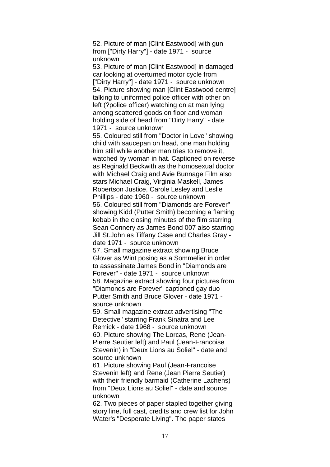52. Picture of man [Clint Eastwood] with gun from ["Dirty Harry"] - date 1971 - source unknown

53. Picture of man [Clint Eastwood] in damaged car looking at overturned motor cycle from ["Dirty Harry"] - date 1971 - source unknown 54. Picture showing man [Clint Eastwood centre] talking to uniformed police officer with other on left (?police officer) watching on at man lying among scattered goods on floor and woman holding side of head from "Dirty Harry" - date 1971 - source unknown

55. Coloured still from "Doctor in Love" showing child with saucepan on head, one man holding him still while another man tries to remove it, watched by woman in hat. Captioned on reverse as Reginald Beckwith as the homosexual doctor with Michael Craig and Avie Bunnage Film also stars Michael Craig, Virginia Maskell, James Robertson Justice, Carole Lesley and Leslie Phillips - date 1960 - source unknown 56. Coloured still from "Diamonds are Forever" showing Kidd (Putter Smith) becoming a flaming kebab in the closing minutes of the film starring Sean Connery as James Bond 007 also starring Jill St.John as Tiffany Case and Charles Gray date 1971 - source unknown

57. Small magazine extract showing Bruce Glover as Wint posing as a Sommelier in order to assassinate James Bond in "Diamonds are Forever" - date 1971 - source unknown 58. Magazine extract showing four pictures from "Diamonds are Forever" captioned gay duo Putter Smith and Bruce Glover - date 1971 source unknown

59. Small magazine extract advertising "The Detective" starring Frank Sinatra and Lee Remick - date 1968 - source unknown 60. Picture showing The Lorcas, Rene (Jean-Pierre Seutier left) and Paul (Jean-Francoise Stevenin) in "Deux Lions au Soliel" - date and source unknown

61. Picture showing Paul (Jean-Francoise Stevenin left) and Rene (Jean Pierre Seutier) with their friendly barmaid (Catherine Lachens) from "Deux Lions au Soliel" - date and source unknown

62. Two pieces of paper stapled together giving story line, full cast, credits and crew list for John Water's "Desperate Living". The paper states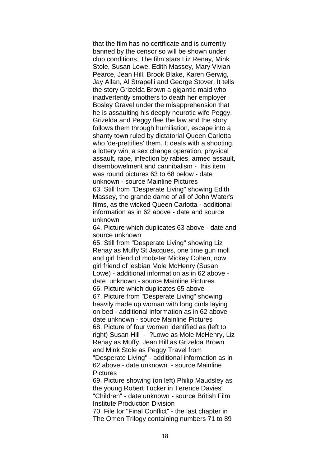that the film has no certificate and is currently banned by the censor so will be shown under club conditions. The film stars Liz Renay, Mink Stole, Susan Lowe, Edith Massey, Mary Vivian Pearce, Jean Hill, Brook Blake, Karen Gerwig, Jay Allan, Al Strapelli and George Stover. It tells the story Grizelda Brown a gigantic maid who inadvertently smothers to death her employer Bosley Gravel under the misapprehension that he is assaulting his deeply neurotic wife Peggy. Grizelda and Peggy flee the law and the story follows them through humiliation, escape into a shanty town ruled by dictatorial Queen Carlotta who 'de-prettifies' them. It deals with a shooting, a lottery win, a sex change operation, physical assault, rape, infection by rabies, armed assault, disembowelment and cannibalism - this item was round pictures 63 to 68 below - date unknown - source Mainline Pictures 63. Still from "Desperate Living" showing Edith Massey, the grande dame of all of John Water's films, as the wicked Queen Carlotta - additional information as in 62 above - date and source unknown

64. Picture which duplicates 63 above - date and source unknown

65. Still from "Desperate Living" showing Liz Renay as Muffy St Jacques, one time gun moll and girl friend of mobster Mickey Cohen, now girl friend of lesbian Mole McHenry (Susan Lowe) - additional information as in 62 above date unknown - source Mainline Pictures 66. Picture which duplicates 65 above 67. Picture from "Desperate Living" showing heavily made up woman with long curls laying on bed - additional information as in 62 above date unknown - source Mainline Pictures 68. Picture of four women identified as (left to right) Susan Hill - ?Lowe as Mole McHenry, Liz Renay as Muffy, Jean Hill as Grizelda Brown and Mink Stole as Peggy Travel from "Desperate Living" - additional information as in 62 above - date unknown - source Mainline Pictures

69. Picture showing (on left) Philip Maudsley as the young Robert Tucker in Terence Davies' "Children" - date unknown - source British Film Institute Production Division

70. File for "Final Conflict" - the last chapter in The Omen Trilogy containing numbers 71 to 89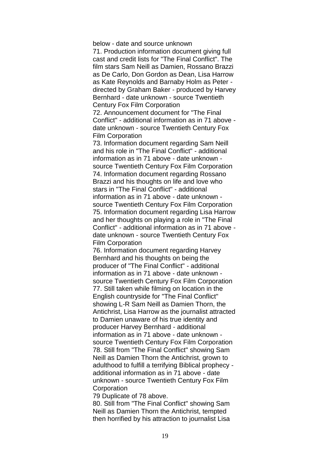below - date and source unknown

71. Production information document giving full cast and credit lists for "The Final Conflict". The film stars Sam Neill as Damien, Rossano Brazzi as De Carlo, Don Gordon as Dean, Lisa Harrow as Kate Reynolds and Barnaby Holm as Peter directed by Graham Baker - produced by Harvey Bernhard - date unknown - source Twentieth Century Fox Film Corporation

72. Announcement document for "The Final Conflict" - additional information as in 71 above date unknown - source Twentieth Century Fox Film Corporation

73. Information document regarding Sam Neill and his role in "The Final Conflict" - additional information as in 71 above - date unknown source Twentieth Century Fox Film Corporation 74. Information document regarding Rossano Brazzi and his thoughts on life and love who stars in "The Final Conflict" - additional information as in 71 above - date unknown source Twentieth Century Fox Film Corporation 75. Information document regarding Lisa Harrow and her thoughts on playing a role in "The Final Conflict" - additional information as in 71 above date unknown - source Twentieth Century Fox Film Corporation

76. Information document regarding Harvey Bernhard and his thoughts on being the producer of "The Final Conflict" - additional information as in 71 above - date unknown source Twentieth Century Fox Film Corporation 77. Still taken while filming on location in the English countryside for "The Final Conflict" showing L-R Sam Neill as Damien Thorn, the Antichrist, Lisa Harrow as the journalist attracted to Damien unaware of his true identity and producer Harvey Bernhard - additional information as in 71 above - date unknown source Twentieth Century Fox Film Corporation 78. Still from "The Final Conflict" showing Sam Neill as Damien Thorn the Antichrist, grown to adulthood to fulfill a terrifying Biblical prophecy additional information as in 71 above - date unknown - source Twentieth Century Fox Film **Corporation** 

79 Duplicate of 78 above.

80. Still from "The Final Conflict" showing Sam Neill as Damien Thorn the Antichrist, tempted then horrified by his attraction to journalist Lisa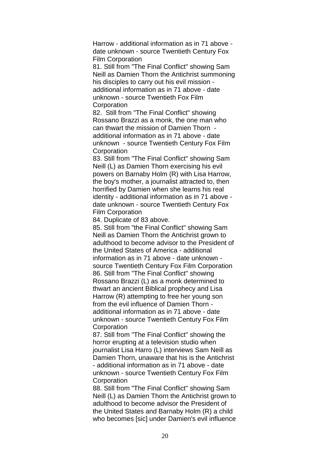Harrow - additional information as in 71 above date unknown - source Twentieth Century Fox Film Corporation

81. Still from "The Final Conflict" showing Sam Neill as Damien Thorn the Antichrist summoning his disciples to carry out his evil mission additional information as in 71 above - date unknown - source Twentieth Fox Film **Corporation** 

82. Still from "The Final Conflict" showing Rossano Brazzi as a monk, the one man who can thwart the mission of Damien Thorn additional information as in 71 above - date unknown - source Twentieth Century Fox Film **Corporation** 

83. Still from "The Final Conflict" showing Sam Neill (L) as Damien Thorn exercising his evil powers on Barnaby Holm (R) with Lisa Harrow, the boy's mother, a journalist attracted to, then horrified by Damien when she learns his real identity - additional information as in 71 above date unknown - source Twentieth Century Fox Film Corporation

84. Duplicate of 83 above.

85. Still from "the Final Conflict" showing Sam Neill as Damien Thorn the Antichrist grown to adulthood to become advisor to the President of the United States of America - additional information as in 71 above - date unknown source Twentieth Century Fox Film Corporation 86. Still from "The Final Conflict" showing Rossano Brazzi (L) as a monk determined to thwart an ancient Biblical prophecy and Lisa Harrow (R) attempting to free her young son from the evil influence of Damien Thorn additional information as in 71 above - date unknown - source Twentieth Century Fox Film **Corporation** 

87. Still from "The Final Conflict" showing the horror erupting at a television studio when journalist Lisa Harro (L) interviews Sam Neill as Damien Thorn, unaware that his is the Antichrist - additional information as in 71 above - date unknown - source Twentieth Century Fox Film **Corporation** 

88. Still from "The Final Conflict" showing Sam Neill (L) as Damien Thorn the Antichrist grown to adulthood to become advisor the President of the United States and Barnaby Holm (R) a child who becomes [sic] under Damien's evil influence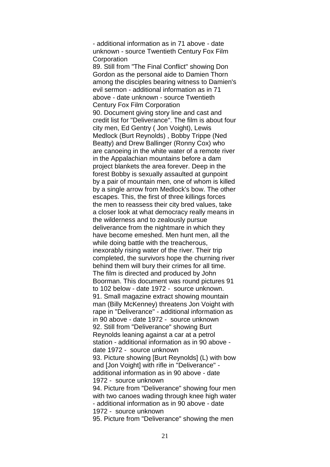- additional information as in 71 above - date unknown - source Twentieth Century Fox Film **Corporation** 89. Still from "The Final Conflict" showing Don Gordon as the personal aide to Damien Thorn among the disciples bearing witness to Damien's evil sermon - additional information as in 71 above - date unknown - source Twentieth Century Fox Film Corporation 90. Document giving story line and cast and credit list for "Deliverance". The film is about four city men, Ed Gentry ( Jon Voight), Lewis Medlock (Burt Reynolds) , Bobby Trippe (Ned Beatty) and Drew Ballinger (Ronny Cox) who are canoeing in the white water of a remote river in the Appalachian mountains before a dam project blankets the area forever. Deep in the forest Bobby is sexually assaulted at gunpoint by a pair of mountain men, one of whom is killed by a single arrow from Medlock's bow. The other escapes. This, the first of three killings forces the men to reassess their city bred values, take a closer look at what democracy really means in the wilderness and to zealously pursue deliverance from the nightmare in which they have become emeshed. Men hunt men, all the while doing battle with the treacherous. inexorably rising water of the river. Their trip completed, the survivors hope the churning river behind them will bury their crimes for all time. The film is directed and produced by John Boorman. This document was round pictures 91 to 102 below - date 1972 - source unknown. 91. Small magazine extract showing mountain man (Billy McKenney) threatens Jon Voight with rape in "Deliverance" - additional information as in 90 above - date 1972 - source unknown 92. Still from "Deliverance" showing Burt Reynolds leaning against a car at a petrol station - additional information as in 90 above date 1972 - source unknown 93. Picture showing [Burt Reynolds] (L) with bow and [Jon Voight] with rifle in "Deliverance" additional information as in 90 above - date 1972 - source unknown 94. Picture from "Deliverance" showing four men with two canoes wading through knee high water - additional information as in 90 above - date 1972 - source unknown 95. Picture from "Deliverance" showing the men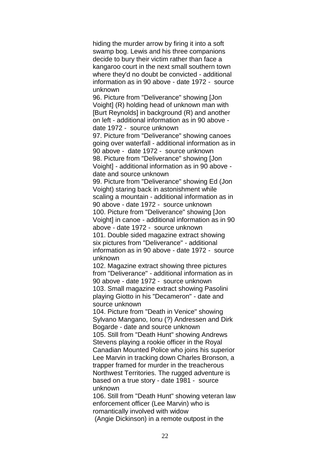hiding the murder arrow by firing it into a soft swamp bog. Lewis and his three companions decide to bury their victim rather than face a kangaroo court in the next small southern town where they'd no doubt be convicted - additional information as in 90 above - date 1972 - source unknown

96. Picture from "Deliverance" showing [Jon Voight] (R) holding head of unknown man with [Burt Reynolds] in background (R) and another on left - additional information as in 90 above date 1972 - source unknown

97. Picture from "Deliverance" showing canoes going over waterfall - additional information as in 90 above - date 1972 - source unknown 98. Picture from "Deliverance" showing [Jon Voight] - additional information as in 90 above date and source unknown

99. Picture from "Deliverance" showing Ed (Jon Voight) staring back in astonishment while scaling a mountain - additional information as in 90 above - date 1972 - source unknown 100. Picture from "Deliverance" showing [Jon Voight] in canoe - additional information as in 90 above - date 1972 - source unknown 101. Double sided magazine extract showing six pictures from "Deliverance" - additional information as in 90 above - date 1972 - source unknown

102. Magazine extract showing three pictures from "Deliverance" - additional information as in 90 above - date 1972 - source unknown 103. Small magazine extract showing Pasolini playing Giotto in his "Decameron" - date and source unknown

104. Picture from "Death in Venice" showing Sylvano Mangano, Ionu (?) Andressen and Dirk Bogarde - date and source unknown

105. Still from "Death Hunt" showing Andrews Stevens playing a rookie officer in the Royal Canadian Mounted Police who joins his superior Lee Marvin in tracking down Charles Bronson, a trapper framed for murder in the treacherous Northwest Territories. The rugged adventure is based on a true story - date 1981 - source unknown

106. Still from "Death Hunt" showing veteran law enforcement officer (Lee Marvin) who is romantically involved with widow (Angie Dickinson) in a remote outpost in the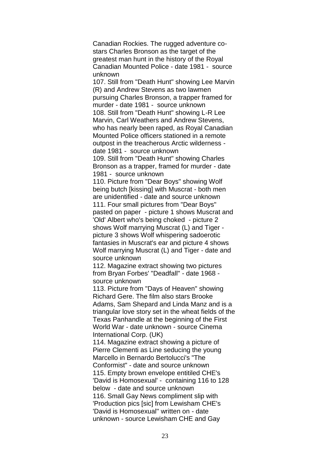Canadian Rockies. The rugged adventure costars Charles Bronson as the target of the greatest man hunt in the history of the Royal Canadian Mounted Police - date 1981 - source unknown

107. Still from "Death Hunt" showing Lee Marvin (R) and Andrew Stevens as two lawmen pursuing Charles Bronson, a trapper framed for murder - date 1981 - source unknown 108. Still from "Death Hunt" showing L-R Lee Marvin, Carl Weathers and Andrew Stevens, who has nearly been raped, as Royal Canadian Mounted Police officers stationed in a remote outpost in the treacherous Arctic wilderness date 1981 - source unknown

109. Still from "Death Hunt" showing Charles Bronson as a trapper, framed for murder - date 1981 - source unknown

110. Picture from "Dear Boys" showing Wolf being butch [kissing] with Muscrat - both men are unidentified - date and source unknown 111. Four small pictures from "Dear Boys" pasted on paper - picture 1 shows Muscrat and 'Old' Albert who's being choked - picture 2 shows Wolf marrying Muscrat (L) and Tiger picture 3 shows Wolf whispering sadoerotic fantasies in Muscrat's ear and picture 4 shows Wolf marrying Muscrat (L) and Tiger - date and source unknown

112. Magazine extract showing two pictures from Bryan Forbes' "Deadfall" - date 1968 source unknown

113. Picture from "Days of Heaven" showing Richard Gere. The film also stars Brooke Adams, Sam Shepard and Linda Manz and is a triangular love story set in the wheat fields of the Texas Panhandle at the beginning of the First World War - date unknown - source Cinema International Corp. (UK)

114. Magazine extract showing a picture of Pierre Clementi as Line seducing the young Marcello in Bernardo Bertolucci's "The Conformist" - date and source unknown 115. Empty brown envelope entitiled CHE's 'David is Homosexual' - containing 116 to 128 below - date and source unknown 116. Small Gay News compliment slip with 'Production pics [sic] from Lewisham CHE's 'David is Homosexual'' written on - date unknown - source Lewisham CHE and Gay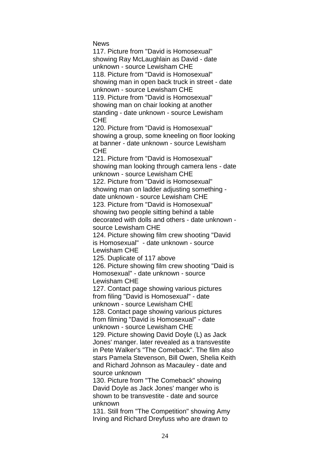**News** 

117. Picture from "David is Homosexual" showing Ray McLaughlain as David - date unknown - source Lewisham CHE 118. Picture from "David is Homosexual" showing man in open back truck in street - date unknown - source Lewisham CHE 119. Picture from "David is Homosexual" showing man on chair looking at another standing - date unknown - source Lewisham CHE 120. Picture from "David is Homosexual"

showing a group, some kneeling on floor looking at banner - date unknown - source Lewisham **CHF** 

121. Picture from "David is Homosexual" showing man looking through camera lens - date unknown - source Lewisham CHE 122. Picture from "David is Homosexual"

showing man on ladder adjusting something date unknown - source Lewisham CHE 123. Picture from "David is Homosexual" showing two people sitting behind a table decorated with dolls and others - date unknown -

source Lewisham CHE

124. Picture showing film crew shooting "David is Homosexual" - date unknown - source Lewisham CHE

125. Duplicate of 117 above

126. Picture showing film crew shooting "Daid is Homosexual" - date unknown - source Lewisham CHE

127. Contact page showing various pictures from filing "David is Homosexual" - date unknown - source Lewisham CHE 128. Contact page showing various pictures

from filming "David is Homosexual" - date unknown - source Lewisham CHE

129. Picture showing David Doyle (L) as Jack Jones' manger. later revealed as a transvestite in Pete Walker's "The Comeback". The film also stars Pamela Stevenson, Bill Owen, Shelia Keith and Richard Johnson as Macauley - date and source unknown

130. Picture from "The Comeback" showing David Doyle as Jack Jones' manger who is shown to be transvestite - date and source unknown

131. Still from "The Competition" showing Amy Irving and Richard Dreyfuss who are drawn to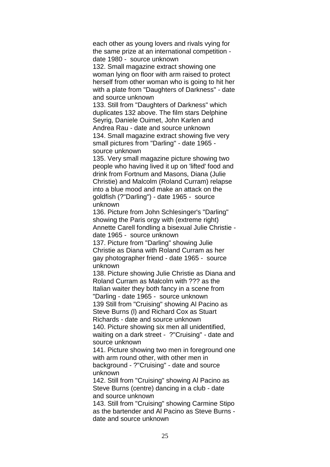each other as young lovers and rivals vying for the same prize at an international competition date 1980 - source unknown

132. Small magazine extract showing one woman lying on floor with arm raised to protect herself from other woman who is going to hit her with a plate from "Daughters of Darkness" - date and source unknown

133. Still from "Daughters of Darkness" which duplicates 132 above. The film stars Delphine Seyrig, Daniele Ouimet, John Karlen and Andrea Rau - date and source unknown 134. Small magazine extract showing five very small pictures from "Darling" - date 1965 source unknown

135. Very small magazine picture showing two people who having lived it up on 'lifted' food and drink from Fortnum and Masons, Diana (Julie Christie) and Malcolm (Roland Curram) relapse into a blue mood and make an attack on the goldfish (?"Darling") - date 1965 - source unknown

136. Picture from John Schlesinger's "Darling" showing the Paris orgy with (extreme right) Annette Carell fondling a bisexual Julie Christie date 1965 - source unknown

137. Picture from "Darling" showing Julie Christie as Diana with Roland Curram as her gay photographer friend - date 1965 - source unknown

138. Picture showing Julie Christie as Diana and Roland Curram as Malcolm with ??? as the Italian waiter they both fancy in a scene from "Darling - date 1965 - source unknown 139 Still from "Cruising" showing Al Pacino as Steve Burns (l) and Richard Cox as Stuart Richards - date and source unknown

140. Picture showing six men all unidentified, waiting on a dark street - ?"Cruising" - date and source unknown

141. Picture showing two men in foreground one with arm round other, with other men in background - ?"Cruising" - date and source unknown

142. Still from "Cruising" showing Al Pacino as Steve Burns (centre) dancing in a club - date and source unknown

143. Still from "Cruising" showing Carmine Stipo as the bartender and Al Pacino as Steve Burns date and source unknown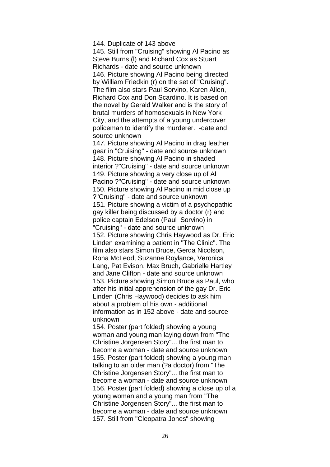144. Duplicate of 143 above

145. Still from "Cruising" showing Al Pacino as Steve Burns (l) and Richard Cox as Stuart Richards - date and source unknown 146. Picture showing Al Pacino being directed by William Friedkin (r) on the set of "Cruising". The film also stars Paul Sorvino, Karen Allen, Richard Cox and Don Scardino. It is based on the novel by Gerald Walker and is the story of brutal murders of homosexuals in New York City, and the attempts of a young undercover policeman to identify the murderer. -date and source unknown

147. Picture showing Al Pacino in drag leather gear in "Cruising" - date and source unknown 148. Picture showing Al Pacino in shaded interior ?"Cruising" - date and source unknown 149. Picture showing a very close up of Al Pacino ?"Cruising" - date and source unknown 150. Picture showing Al Pacino in mid close up ?"Cruising" - date and source unknown 151. Picture showing a victim of a psychopathic gay killer being discussed by a doctor (r) and police captain Edelson (Paul Sorvino) in "Cruising" - date and source unknown 152. Picture showing Chris Haywood as Dr. Eric Linden examining a patient in "The Clinic". The film also stars Simon Bruce, Gerda Nicolson, Rona McLeod, Suzanne Roylance, Veronica Lang, Pat Evison, Max Bruch, Gabrielle Hartley and Jane Clifton - date and source unknown 153. Picture showing Simon Bruce as Paul, who after his initial apprehension of the gay Dr. Eric Linden (Chris Haywood) decides to ask him about a problem of his own - additional information as in 152 above - date and source unknown

154. Poster (part folded) showing a young woman and young man laying down from "The Christine Jorgensen Story"... the first man to become a woman - date and source unknown 155. Poster (part folded) showing a young man talking to an older man (?a doctor) from "The Christine Jorgensen Story"... the first man to become a woman - date and source unknown 156. Poster (part folded) showing a close up of a young woman and a young man from "The Christine Jorgensen Story"... the first man to become a woman - date and source unknown 157. Still from "Cleopatra Jones" showing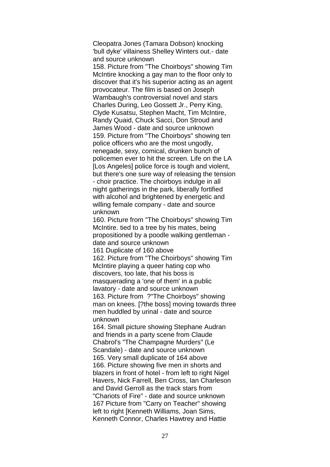Cleopatra Jones (Tamara Dobson) knocking 'bull dyke' villainess Shelley Winters out.- date and source unknown

158. Picture from "The Choirboys" showing Tim McIntire knocking a gay man to the floor only to discover that it's his superior acting as an agent provocateur. The film is based on Joseph Wambaugh's controversial novel and stars Charles During, Leo Gossett Jr., Perry King, Clyde Kusatsu, Stephen Macht, Tim McIntire, Randy Quaid, Chuck Sacci, Don Stroud and James Wood - date and source unknown 159. Picture from "The Choirboys" showing ten police officers who are the most ungodly, renegade, sexy, comical, drunken bunch of policemen ever to hit the screen. Life on the LA [Los Angeles] police force is tough and violent, but there's one sure way of releasing the tension - choir practice. The choirboys indulge in all night gatherings in the park, liberally fortified with alcohol and brightened by energetic and willing female company - date and source unknown

160. Picture from "The Choirboys" showing Tim McIntire. tied to a tree by his mates, being propositioned by a poodle walking gentleman date and source unknown

161 Duplicate of 160 above

162. Picture from "The Choirboys" showing Tim McIntire playing a queer hating cop who discovers, too late, that his boss is masquerading a 'one of them' in a public lavatory - date and source unknown 163. Picture from ?"The Choirboys" showing man on knees. [?the boss] moving towards three men huddled by urinal - date and source unknown

164. Small picture showing Stephane Audran and friends in a party scene from Claude Chabrol's "The Champagne Murders" (Le Scandale) - date and source unknown 165. Very small duplicate of 164 above 166. Picture showing five men in shorts and blazers in front of hotel - from left to right Nigel Havers, Nick Farrell, Ben Cross, Ian Charleson and David Gerroll as the track stars from "Chariots of Fire" - date and source unknown 167 Picture from "Carry on Teacher" showing left to right [Kenneth Williams, Joan Sims, Kenneth Connor, Charles Hawtrey and Hattie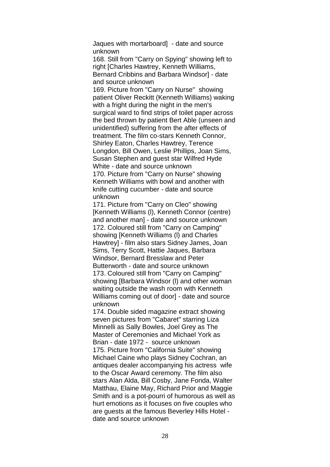Jaques with mortarboard] - date and source unknown

168. Still from "Carry on Spying" showing left to right [Charles Hawtrey, Kenneth Williams, Bernard Cribbins and Barbara Windsor] - date and source unknown

169. Picture from "Carry on Nurse" showing patient Oliver Reckitt (Kenneth Williams) waking with a fright during the night in the men's surgical ward to find strips of toilet paper across the bed thrown by patient Bert Able (unseen and unidentified) suffering from the after effects of treatment. The film co-stars Kenneth Connor, Shirley Eaton, Charles Hawtrey, Terence Longdon, Bill Owen, Leslie Phillips, Joan Sims, Susan Stephen and guest star Wilfred Hyde White - date and source unknown 170. Picture from "Carry on Nurse" showing

Kenneth Williams with bowl and another with knife cutting cucumber - date and source unknown

171. Picture from "Carry on Cleo" showing [Kenneth Williams (l), Kenneth Connor (centre) and another man] - date and source unknown 172. Coloured still from "Carry on Camping" showing [Kenneth Williams (l) and Charles Hawtrey] - film also stars Sidney James, Joan Sims, Terry Scott, Hattie Jaques, Barbara Windsor, Bernard Bresslaw and Peter Butterworth - date and source unknown 173. Coloured still from "Carry on Camping" showing [Barbara Windsor (l) and other woman waiting outside the wash room with Kenneth Williams coming out of door] - date and source unknown

174. Double sided magazine extract showing seven pictures from "Cabaret" starring Liza Minnelli as Sally Bowles, Joel Grey as The Master of Ceremonies and Michael York as Brian - date 1972 - source unknown 175. Picture from "California Suite" showing Michael Caine who plays Sidney Cochran, an antiques dealer accompanying his actress wife to the Oscar Award ceremony. The film also stars Alan Alda, Bill Cosby, Jane Fonda, Walter Matthau, Elaine May, Richard Prior and Maggie Smith and is a pot-pourri of humorous as well as hurt emotions as it focuses on five couples who are guests at the famous Beverley Hills Hotel date and source unknown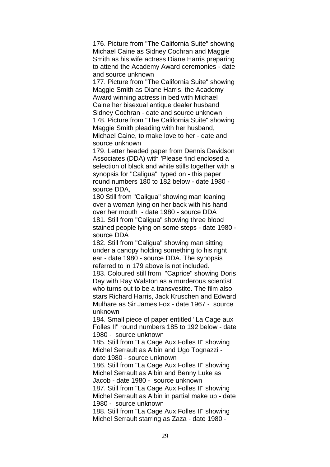176. Picture from "The California Suite" showing Michael Caine as Sidney Cochran and Maggie Smith as his wife actress Diane Harris preparing to attend the Academy Award ceremonies - date and source unknown

177. Picture from "The California Suite" showing Maggie Smith as Diane Harris, the Academy Award winning actress in bed with Michael Caine her bisexual antique dealer husband Sidney Cochran - date and source unknown 178. Picture from "The California Suite" showing Maggie Smith pleading with her husband, Michael Caine, to make love to her - date and source unknown

179. Letter headed paper from Dennis Davidson Associates (DDA) with 'Please find enclosed a selection of black and white stills together with a synopsis for "Caligua"' typed on - this paper round numbers 180 to 182 below - date 1980 source DDA,

180 Still from "Caligua" showing man leaning over a woman lying on her back with his hand over her mouth - date 1980 - source DDA 181. Still from "Caligua" showing three blood stained people lying on some steps - date 1980 source DDA

182. Still from "Caligua" showing man sitting under a canopy holding something to his right ear - date 1980 - source DDA. The synopsis referred to in 179 above is not included.

183. Coloured still from "Caprice" showing Doris Day with Ray Walston as a murderous scientist who turns out to be a transvestite. The film also stars Richard Harris, Jack Kruschen and Edward Mulhare as Sir James Fox - date 1967 - source unknown

184. Small piece of paper entitled "La Cage aux Folles II" round numbers 185 to 192 below - date 1980 - source unknown

185. Still from "La Cage Aux Folles II" showing Michel Serrault as Albin and Ugo Tognazzi date 1980 - source unknown

186. Still from "La Cage Aux Folles II" showing Michel Serrault as Albin and Benny Luke as Jacob - date 1980 - source unknown

187. Still from "La Cage Aux Folles II" showing Michel Serrault as Albin in partial make up - date 1980 - source unknown

188. Still from "La Cage Aux Folles II" showing Michel Serrault starring as Zaza - date 1980 -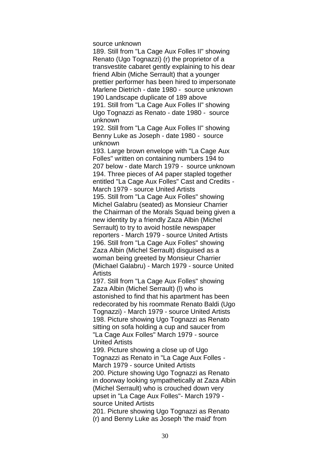source unknown

189. Still from "La Cage Aux Folles II" showing Renato (Ugo Tognazzi) (r) the proprietor of a transvestite cabaret gently explaining to his dear friend Albin (Miche Serrault) that a younger prettier performer has been hired to impersonate Marlene Dietrich - date 1980 - source unknown 190 Landscape duplicate of 189 above 191. Still from "La Cage Aux Folles II" showing Ugo Tognazzi as Renato - date 1980 - source unknown

192. Still from "La Cage Aux Folles II" showing Benny Luke as Joseph - date 1980 - source unknown

193. Large brown envelope with "La Cage Aux Folles" written on containing numbers 194 to 207 below - date March 1979 - source unknown 194. Three pieces of A4 paper stapled together entitled "La Cage Aux Folles" Cast and Credits - March 1979 - source United Artists 195. Still from "La Cage Aux Folles" showing Michel Galabru (seated) as Monsieur Charrier the Chairman of the Morals Squad being given a new identity by a friendly Zaza Albin (Michel Serrault) to try to avoid hostile newspaper reporters - March 1979 - source United Artists 196. Still from "La Cage Aux Folles" showing Zaza Albin (Michel Serrault) disguised as a woman being greeted by Monsieur Charrier (Michael Galabru) - March 1979 - source United Artists

197. Still from "La Cage Aux Folles" showing Zaza Albin (Michel Serrault) (l) who is astonished to find that his apartment has been redecorated by his roommate Renato Baldi (Ugo Tognazzi) - March 1979 - source United Artists 198. Picture showing Ugo Tognazzi as Renato sitting on sofa holding a cup and saucer from "La Cage Aux Folles" March 1979 - source United Artists

199. Picture showing a close up of Ugo Tognazzi as Renato in "La Cage Aux Folles - March 1979 - source United Artists 200. Picture showing Ugo Tognazzi as Renato in doorway looking sympathetically at Zaza Albin (Michel Serrault) who is crouched down very upset in "La Cage Aux Folles"- March 1979 source United Artists 201. Picture showing Ugo Tognazzi as Renato (r) and Benny Luke as Joseph 'the maid' from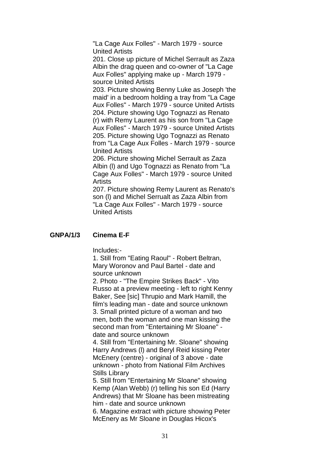"La Cage Aux Folles" - March 1979 - source United Artists

201. Close up picture of Michel Serrault as Zaza Albin the drag queen and co-owner of "La Cage Aux Folles" applying make up - March 1979 source United Artists

203. Picture showing Benny Luke as Joseph 'the maid' in a bedroom holding a tray from "La Cage Aux Folles" - March 1979 - source United Artists 204. Picture showing Ugo Tognazzi as Renato (r) with Remy Laurent as his son from "La Cage

Aux Folles" - March 1979 - source United Artists 205. Picture showing Ugo Tognazzi as Renato from "La Cage Aux Folles - March 1979 - source United Artists

206. Picture showing Michel Serrault as Zaza Albin (l) and Ugo Tognazzi as Renato from "La Cage Aux Folles" - March 1979 - source United **Artists** 

207. Picture showing Remy Laurent as Renato's son (l) and Michel Serrualt as Zaza Albin from "La Cage Aux Folles" - March 1979 - source United Artists

### **GNPA/1/3 Cinema E-F**

Includes:-

1. Still from "Eating Raoul" - Robert Beltran, Mary Woronov and Paul Bartel - date and source unknown

2. Photo - "The Empire Strikes Back" - Vito Russo at a preview meeting - left to right Kenny Baker, See [sic] Thrupio and Mark Hamill, the film's leading man - date and source unknown 3. Small printed picture of a woman and two men, both the woman and one man kissing the second man from "Entertaining Mr Sloane" date and source unknown

4. Still from "Entertaining Mr. Sloane" showing Harry Andrews (l) and Beryl Reid kissing Peter McEnery (centre) - original of 3 above - date unknown - photo from National Film Archives Stills Library

5. Still from "Entertaining Mr Sloane" showing Kemp (Alan Webb) (r) telling his son Ed (Harry Andrews) that Mr Sloane has been mistreating him - date and source unknown

6. Magazine extract with picture showing Peter McEnery as Mr Sloane in Douglas Hicox's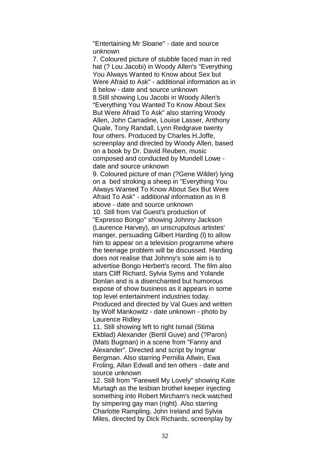"Entertaining Mr Sloane" - date and source unknown

7. Coloured picture of stubble faced man in red hat (? Lou Jacobi) in Woody Allen's "Everything You Always Wanted to Know about Sex but Were Afraid to Ask" - additional information as in 8 below - date and source unknown 8.Still showing Lou Jacobi in Woody Allen's "Everything You Wanted To Know About Sex But Were Afraid To Ask" also starring Woody Allen, John Carradine, Louise Lasser, Anthony Quale, Tony Randall, Lynn Redgrave twenty four others. Produced by Charles H.Joffe, screenplay and directed by Woody Allen, based on a book by Dr. David Reuben, music composed and conducted by Mundell Lowe date and source unknown 9. Coloured picture of man (?Gene Wilder) lying on a bed stroking a sheep in "Everything You Always Wanted To Know About Sex But Were Afraid To Ask" - additional information as in 8 above - date and source unknown 10. Still from Val Guest's production of "Expresso Bongo" showing Johnny Jackson (Laurence Harvey), an unscrupulous artistes' manger, persuading Gilbert Harding (l) to allow him to appear on a television programme where the teenage problem will be discussed. Harding does not realise that Johnny's sole aim is to advertise Bongo Herbert's record. The film also stars Cliff Richard, Sylvia Syms and Yolande Donlan and is a disenchanted but humorous expose of show business as it appears in some top level entertainment industries today. Produced and directed by Val Gues and written by Wolf Mankowitz - date unknown - photo by Laurence Ridley

11. Still showing left to right Ismail (Stima Ekblad) Alexander (Bertil Guve) and (?Paron) (Mats Bugman) in a scene from "Fanny and Alexander". Directed and script by Ingmar Bergman. Also starring Pernilla Allwin, Ewa Froling, Allan Edwall and ten others - date and source unknown

12. Still from "Farewell My Lovely" showing Kate Murtagh as the lesbian brothel keeper injecting something into Robert Mircham's neck watched by simpering gay man (right). Also starring Charlotte Rampling, John Ireland and Sylvia Miles, directed by Dick Richards, screenplay by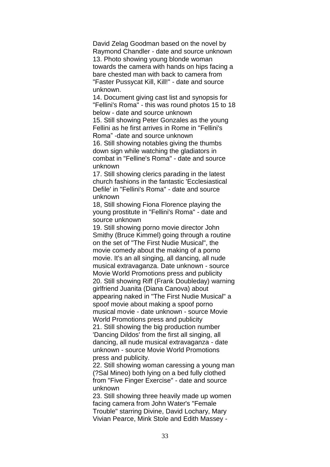David Zelag Goodman based on the novel by Raymond Chandler - date and source unknown 13. Photo showing young blonde woman towards the camera with hands on hips facing a bare chested man with back to camera from "Faster Pussycat Kill, Kill!" - date and source unknown.

14. Document giving cast list and synopsis for "Fellini's Roma" - this was round photos 15 to 18 below - date and source unknown

15. Still showing Peter Gonzales as the young Fellini as he first arrives in Rome in "Fellini's Roma" -date and source unknown

16. Still showing notables giving the thumbs down sign while watching the gladiators in combat in "Felline's Roma" - date and source unknown

17. Still showing clerics parading in the latest church fashions in the fantastic 'Ecclesiastical Defile' in "Fellini's Roma" - date and source unknown

18, Still showing Fiona Florence playing the young prostitute in "Fellini's Roma" - date and source unknown

19. Still showing porno movie director John Smithy (Bruce Kimmel) going through a routine on the set of "The First Nudie Musical", the movie comedy about the making of a porno movie. It's an all singing, all dancing, all nude musical extravaganza. Date unknown - source Movie World Promotions press and publicity 20. Still showing Riff (Frank Doubleday) warning girlfriend Juanita (Diana Canova) about appearing naked in "The First Nudie Musical" a spoof movie about making a spoof porno musical movie - date unknown - source Movie World Promotions press and publicity 21. Still showing the big production number 'Dancing Dildos' from the first all singing, all dancing, all nude musical extravaganza - date unknown - source Movie World Promotions

press and publicity.

22. Still showing woman caressing a young man (?Sal Mineo) both lying on a bed fully clothed from "Five Finger Exercise" - date and source unknown

23. Still showing three heavily made up women facing camera from John Water's "Female Trouble" starring Divine, David Lochary, Mary Vivian Pearce, Mink Stole and Edith Massey -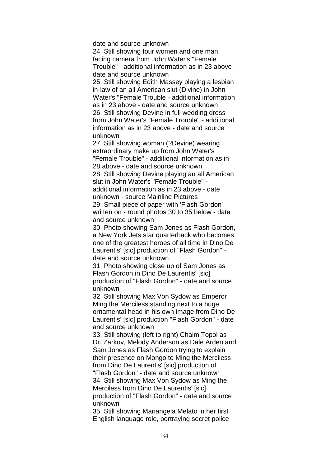date and source unknown

24. Still showing four women and one man facing camera from John Water's "Female Trouble" - additional information as in 23 above date and source unknown

25. Still showing Edith Massey playing a lesbian in-law of an all American slut (Divine) in John Water's "Female Trouble - additional information as in 23 above - date and source unknown 26. Still showing Devine in full wedding dress from John Water's "Female Trouble" - additional information as in 23 above - date and source unknown

27. Still showing woman (?Devine) wearing extraordinary make up from John Water's "Female Trouble" - additional information as in 28 above - date and source unknown 28. Still showing Devine playing an all American slut in John Water's "Female Trouble" additional information as in 23 above - date unknown - source Mainline Pictures 29. Small piece of paper with 'Flash Gordon' written on - round photos 30 to 35 below - date and source unknown

30. Photo showing Sam Jones as Flash Gordon, a New York Jets star quarterback who becomes one of the greatest heroes of all time in Dino De Laurentis' [sic] production of "Flash Gordon" date and source unknown

31. Photo showing close up of Sam Jones as Flash Gordon in Dino De Laurentis' [sic] production of "Flash Gordon" - date and source unknown

32. Still showing Max Von Sydow as Emperor Ming the Merciless standing next to a huge ornamental head in his own image from Dino De Laurentis' [sic] production "Flash Gordon" - date and source unknown

33. Still showing (left to right) Chaim Topol as Dr. Zarkov, Melody Anderson as Dale Arden and Sam Jones as Flash Gordon trying to explain their presence on Mongo to Ming the Merciless from Dino De Laurentis' [sic] production of "Flash Gordon" - date and source unknown 34. Still showing Max Von Sydow as Ming the Merciless from Dino De Laurentis' [sic] production of "Flash Gordon" - date and source unknown

35. Still showing Mariangela Melato in her first English language role, portraying secret police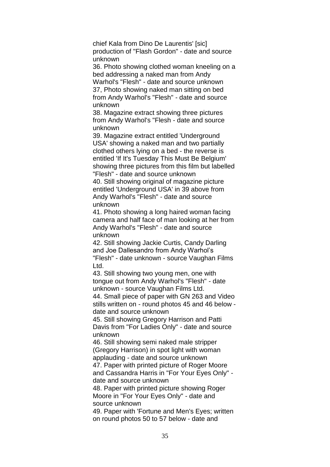chief Kala from Dino De Laurentis' [sic] production of "Flash Gordon" - date and source unknown

36. Photo showing clothed woman kneeling on a bed addressing a naked man from Andy Warhol's "Flesh" - date and source unknown 37, Photo showing naked man sitting on bed from Andy Warhol's "Flesh" - date and source

38. Magazine extract showing three pictures from Andy Warhol's "Flesh - date and source unknown

unknown

39. Magazine extract entitled 'Underground USA' showing a naked man and two partially clothed others lying on a bed - the reverse is entitled 'If It's Tuesday This Must Be Belgium' showing three pictures from this film but labelled "Flesh" - date and source unknown

40. Still showing original of magazine picture entitled 'Underground USA' in 39 above from Andy Warhol's "Flesh" - date and source unknown

41. Photo showing a long haired woman facing camera and half face of man looking at her from Andy Warhol's "Flesh" - date and source unknown

42. Still showing Jackie Curtis, Candy Darling and Joe Dallesandro from Andy Warhol's "Flesh" - date unknown - source Vaughan Films Ltd.

43. Still showing two young men, one with tongue out from Andy Warhol's "Flesh" - date unknown - source Vaughan Films Ltd.

44. Small piece of paper with GN 263 and Video stills written on - round photos 45 and 46 below date and source unknown

45. Still showing Gregory Harrison and Patti Davis from "For Ladies Only" - date and source unknown

46. Still showing semi naked male stripper (Gregory Harrison) in spot light with woman applauding - date and source unknown 47. Paper with printed picture of Roger Moore and Cassandra Harris in "For Your Eyes Only" -

date and source unknown 48. Paper with printed picture showing Roger

Moore in "For Your Eyes Only" - date and source unknown

49. Paper with 'Fortune and Men's Eyes; written on round photos 50 to 57 below - date and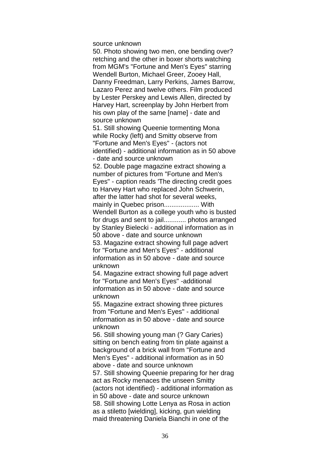source unknown

50. Photo showing two men, one bending over? retching and the other in boxer shorts watching from MGM's "Fortune and Men's Eyes" starring Wendell Burton, Michael Greer, Zooey Hall, Danny Freedman, Larry Perkins, James Barrow, Lazaro Perez and twelve others. Film produced by Lester Perskey and Lewis Allen, directed by Harvey Hart, screenplay by John Herbert from his own play of the same [name] - date and source unknown

51. Still showing Queenie tormenting Mona while Rocky (left) and Smitty observe from "Fortune and Men's Eyes" - (actors not identified) - additional information as in 50 above - date and source unknown

52. Double page magazine extract showing a number of pictures from "Fortune and Men's Eyes" - caption reads 'The directing credit goes to Harvey Hart who replaced John Schwerin, after the latter had shot for several weeks, mainly in Quebec prison...................... With Wendell Burton as a college youth who is busted for drugs and sent to jail............ photos arranged by Stanley Bielecki - additional information as in 50 above - date and source unknown 53. Magazine extract showing full page advert for "Fortune and Men's Eyes" - additional information as in 50 above - date and source

unknown

54. Magazine extract showing full page advert for "Fortune and Men's Eyes" -additional information as in 50 above - date and source unknown

55. Magazine extract showing three pictures from "Fortune and Men's Eyes" - additional information as in 50 above - date and source unknown

56. Still showing young man (? Gary Caries) sitting on bench eating from tin plate against a background of a brick wall from "Fortune and Men's Eyes" - additional information as in 50 above - date and source unknown

57. Still showing Queenie preparing for her drag act as Rocky menaces the unseen Smitty (actors not identified) - additional information as in 50 above - date and source unknown 58. Still showing Lotte Lenya as Rosa in action as a stiletto [wielding], kicking, gun wielding maid threatening Daniela Bianchi in one of the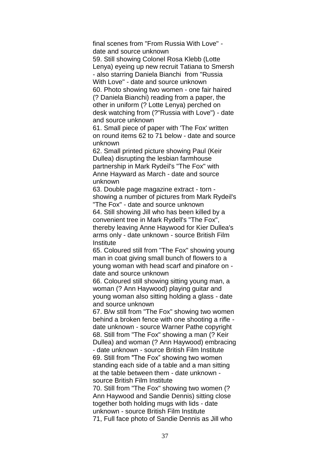final scenes from "From Russia With Love" date and source unknown

59. Still showing Colonel Rosa Klebb (Lotte Lenya) eyeing up new recruit Tatiana to Smersh - also starring Daniela Bianchi from "Russia With Love" - date and source unknown

60. Photo showing two women - one fair haired (? Daniela Bianchi) reading from a paper, the other in uniform (? Lotte Lenya) perched on desk watching from (?"Russia with Love") - date and source unknown

61. Small piece of paper with 'The Fox' written on round items 62 to 71 below - date and source unknown

62. Small printed picture showing Paul (Keir Dullea) disrupting the lesbian farmhouse partnership in Mark Rydeil's "The Fox" with Anne Hayward as March - date and source unknown

63. Double page magazine extract - torn showing a number of pictures from Mark Rydeil's "The Fox" - date and source unknown

64. Still showing Jill who has been killed by a convenient tree in Mark Rydell's "The Fox", thereby leaving Anne Haywood for Kier Dullea's arms only - date unknown - source British Film **Institute** 

65. Coloured still from "The Fox" showing young man in coat giving small bunch of flowers to a young woman with head scarf and pinafore on date and source unknown

66. Coloured still showing sitting young man, a woman (? Ann Haywood) playing guitar and young woman also sitting holding a glass - date and source unknown

67. B/w still from "The Fox" showing two women behind a broken fence with one shooting a rifle date unknown - source Warner Pathe copyright 68. Still from "The Fox" showing a man (? Keir Dullea) and woman (? Ann Haywood) embracing - date unknown - source British Film Institute 69. Still from "The Fox" showing two women standing each side of a table and a man sitting at the table between them - date unknown source British Film Institute

70. Still from "The Fox" showing two women (? Ann Haywood and Sandie Dennis) sitting close together both holding mugs with lids - date unknown - source British Film Institute 71, Full face photo of Sandie Dennis as Jill who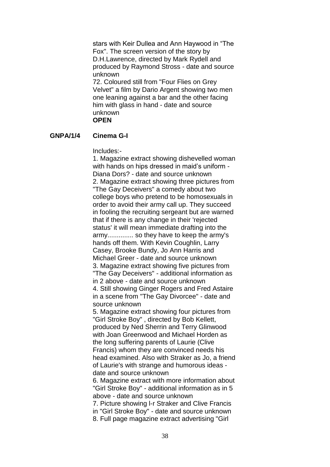stars with Keir Dullea and Ann Haywood in "The Fox". The screen version of the story by D.H.Lawrence, directed by Mark Rydell and produced by Raymond Stross - date and source unknown

72. Coloured still from "Four Flies on Grey Velvet" a film by Dario Argent showing two men one leaning against a bar and the other facing him with glass in hand - date and source unknown **OPEN**

### **GNPA/1/4 Cinema G-I**

Includes:-

1. Magazine extract showing dishevelled woman with hands on hips dressed in maid's uniform - Diana Dors? - date and source unknown 2. Magazine extract showing three pictures from "The Gay Deceivers" a comedy about two college boys who pretend to be homosexuals in order to avoid their army call up. They succeed in fooling the recruiting sergeant but are warned that if there is any change in their 'rejected status' it will mean immediate drafting into the army.............. so they have to keep the army's hands off them. With Kevin Coughlin, Larry Casey, Brooke Bundy, Jo Ann Harris and Michael Greer - date and source unknown 3. Magazine extract showing five pictures from "The Gay Deceivers" - additional information as in 2 above - date and source unknown 4. Still showing Ginger Rogers and Fred Astaire in a scene from "The Gay Divorcee" - date and source unknown 5. Magazine extract showing four pictures from "Girl Stroke Boy" , directed by Bob Kellett, produced by Ned Sherrin and Terry Glinwood

with Joan Greenwood and Michael Horden as the long suffering parents of Laurie (Clive Francis) whom they are convinced needs his head examined. Also with Straker as Jo, a friend of Laurie's with strange and humorous ideas date and source unknown

6. Magazine extract with more information about "Girl Stroke Boy" - additional information as in 5 above - date and source unknown

7. Picture showing l-r Straker and Clive Francis in "Girl Stroke Boy" - date and source unknown 8. Full page magazine extract advertising "Girl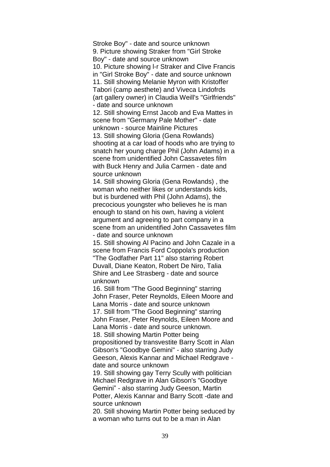Stroke Boy" - date and source unknown 9. Picture showing Straker from "Girl Stroke Boy" - date and source unknown 10. Picture showing l-r Straker and Clive Francis in "Girl Stroke Boy" - date and source unknown 11. Still showing Melanie Myron with Kristoffer Tabori (camp aesthete) and Viveca Lindofrds (art gallery owner) in Claudia Weill's "Girlfriends" - date and source unknown

12. Still showing Ernst Jacob and Eva Mattes in scene from "Germany Pale Mother" - date unknown - source Mainline Pictures 13. Still showing Gloria (Gena Rowlands) shooting at a car load of hoods who are trying to

snatch her young charge Phil (John Adams) in a scene from unidentified John Cassavetes film with Buck Henry and Julia Carmen - date and source unknown

14. Still showing Gloria (Gena Rowlands) , the woman who neither likes or understands kids, but is burdened with Phil (John Adams), the precocious youngster who believes he is man enough to stand on his own, having a violent argument and agreeing to part company in a scene from an unidentified John Cassavetes film - date and source unknown

15. Still showing Al Pacino and John Cazale in a scene from Francis Ford Coppola's production "The Godfather Part 11" also starring Robert Duvall, Diane Keaton, Robert De Niro, Talia Shire and Lee Strasberg - date and source unknown

16. Still from "The Good Beginning" starring John Fraser, Peter Reynolds, Eileen Moore and Lana Morris - date and source unknown 17. Still from "The Good Beginning" starring John Fraser, Peter Reynolds, Eileen Moore and Lana Morris - date and source unknown.

18. Still showing Martin Potter being propositioned by transvestite Barry Scott in Alan Gibson's "Goodbye Gemini" - also starring Judy Geeson, Alexis Kannar and Michael Redgrave date and source unknown

19. Still showing gay Terry Scully with politician Michael Redgrave in Alan Gibson's "Goodbye Gemini" - also starring Judy Geeson, Martin Potter, Alexis Kannar and Barry Scott -date and source unknown

20. Still showing Martin Potter being seduced by a woman who turns out to be a man in Alan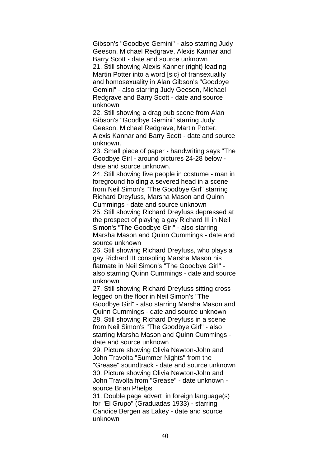Gibson's "Goodbye Gemini" - also starring Judy Geeson, Michael Redgrave, Alexis Kannar and Barry Scott - date and source unknown 21. Still showing Alexis Kanner (right) leading Martin Potter into a word [sic} of transexuality and homosexuality in Alan Gibson's "Goodbye Gemini" - also starring Judy Geeson, Michael Redgrave and Barry Scott - date and source unknown

22. Still showing a drag pub scene from Alan Gibson's "Goodbye Gemini" starring Judy Geeson, Michael Redgrave, Martin Potter, Alexis Kannar and Barry Scott - date and source unknown.

23. Small piece of paper - handwriting says "The Goodbye Girl - around pictures 24-28 below date and source unknown.

24. Still showing five people in costume - man in foreground holding a severed head in a scene from Neil Simon's "The Goodbye Girl" starring Richard Dreyfuss, Marsha Mason and Quinn Cummings - date and source unknown

25. Still showing Richard Dreyfuss depressed at the prospect of playing a gay Richard III in Neil Simon's "The Goodbye Girl" - also starring Marsha Mason and Quinn Cummings - date and source unknown

26. Still showing Richard Dreyfuss, who plays a gay Richard III consoling Marsha Mason his flatmate in Neil Simon's "The Goodbye Girl" also starring Quinn Cummings - date and source unknown

27. Still showing Richard Dreyfuss sitting cross legged on the floor in Neil Simon's "The Goodbye Girl" - also starring Marsha Mason and Quinn Cummings - date and source unknown 28. Still showing Richard Dreyfuss in a scene from Neil Simon's "The Goodbye Girl" - also starring Marsha Mason and Quinn Cummings date and source unknown

29. Picture showing Olivia Newton-John and John Travolta "Summer Nights" from the "Grease" soundtrack - date and source unknown 30. Picture showing Olivia Newton-John and John Travolta from "Grease" - date unknown source Brian Phelps

31. Double page advert in foreign language(s) for "El Grupo" (Graduadas 1933) - starring Candice Bergen as Lakey - date and source unknown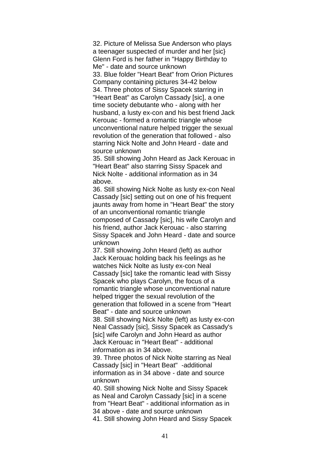32. Picture of Melissa Sue Anderson who plays a teenager suspected of murder and her [sic} Glenn Ford is her father in "Happy Birthday to Me" - date and source unknown 33. Blue folder "Heart Beat" from Orion Pictures Company containing pictures 34-42 below 34. Three photos of Sissy Spacek starring in "Heart Beat" as Carolyn Cassady [sic], a one time society debutante who - along with her husband, a lusty ex-con and his best friend Jack Kerouac - formed a romantic triangle whose unconventional nature helped trigger the sexual revolution of the generation that followed - also starring Nick Nolte and John Heard - date and source unknown

35. Still showing John Heard as Jack Kerouac in "Heart Beat" also starring Sissy Spacek and Nick Nolte - additional information as in 34 above.

36. Still showing Nick Nolte as lusty ex-con Neal Cassady [sic] setting out on one of his frequent jaunts away from home in "Heart Beat" the story of an unconventional romantic triangle composed of Cassady [sic], his wife Carolyn and his friend, author Jack Kerouac - also starring Sissy Spacek and John Heard - date and source unknown

37. Still showing John Heard (left) as author Jack Kerouac holding back his feelings as he watches Nick Nolte as lusty ex-con Neal Cassady [sic] take the romantic lead with Sissy Spacek who plays Carolyn, the focus of a romantic triangle whose unconventional nature helped trigger the sexual revolution of the generation that followed in a scene from "Heart Beat" - date and source unknown

38. Still showing Nick Nolte (left) as lusty ex-con Neal Cassady [sic], Sissy Spacek as Cassady's [sic] wife Carolyn and John Heard as author Jack Kerouac in "Heart Beat" - additional information as in 34 above.

39. Three photos of Nick Nolte starring as Neal Cassady [sic] in "Heart Beat" -additional information as in 34 above - date and source unknown

40. Still showing Nick Nolte and Sissy Spacek as Neal and Carolyn Cassady [sic] in a scene from "Heart Beat" - additional information as in 34 above - date and source unknown 41. Still showing John Heard and Sissy Spacek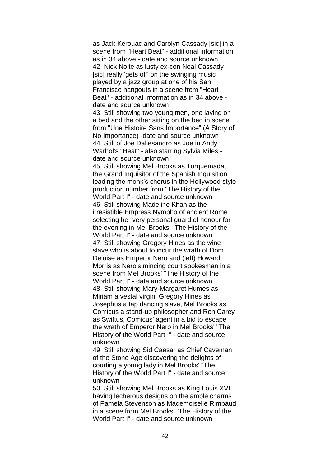as Jack Kerouac and Carolyn Cassady [sic] in a scene from "Heart Beat" - additional information as in 34 above - date and source unknown 42. Nick Nolte as lusty ex-con Neal Cassady [sic] really 'gets off' on the swinging music played by a jazz group at one of his San Francisco hangouts in a scene from "Heart Beat" - additional information as in 34 above date and source unknown 43. Still showing two young men, one laying on a bed and the other sitting on the bed in scene from "Une Histoire Sans Importance" (A Story of No Importance) -date and source unknown 44. Still of Joe Dallesandro as Joe in Andy Warhol's "Heat" - also starring Sylvia Miles date and source unknown 45. Still showing Mel Brooks as Torquemada, the Grand Inquisitor of the Spanish Inquisition leading the monk's chorus in the Hollywood style production number from "The History of the World Part I" - date and source unknown 46. Still showing Madeline Khan as the irresistible Empress Nympho of ancient Rome selecting her very personal guard of honour for the evening in Mel Brooks' "The History of the World Part I" - date and source unknown 47. Still showing Gregory Hines as the wine slave who is about to incur the wrath of Dom Deluise as Emperor Nero and (left) Howard Morris as Nero's mincing court spokesman in a scene from Mel Brooks' "The History of the World Part I" - date and source unknown

48. Still showing Mary-Margaret Humes as Miriam a vestal virgin, Gregory Hines as Josephus a tap dancing slave, Mel Brooks as Comicus a stand-up philosopher and Ron Carey as Swiftus, Comicus' agent in a bid to escape the wrath of Emperor Nero in Mel Brooks' "The History of the World Part I" - date and source unknown

49. Still showing Sid Caesar as Chief Caveman of the Stone Age discovering the delights of courting a young lady in Mel Brooks' "The History of the World Part I" - date and source unknown

50. Still showing Mel Brooks as King Louis XVI having lecherous designs on the ample charms of Pamela Stevenson as Mademoiselle Rimbaud in a scene from Mel Brooks' "The History of the World Part I" - date and source unknown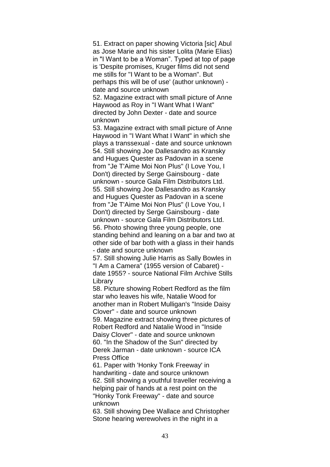51. Extract on paper showing Victoria [sic] Abul as Jose Marie and his sister Lolita (Marie Elias) in "I Want to be a Woman". Typed at top of page is 'Despite promises, Kruger films did not send me stills for "I Want to be a Woman". But perhaps this will be of use' (author unknown) date and source unknown

52. Magazine extract with small picture of Anne Haywood as Roy in "I Want What I Want" directed by John Dexter - date and source unknown

53. Magazine extract with small picture of Anne Haywood in "I Want What I Want" in which she plays a transsexual - date and source unknown 54. Still showing Joe Dallesandro as Kransky and Hugues Quester as Padovan in a scene from "Je T'Aime Moi Non Plus" (I Love You, I Don't) directed by Serge Gainsbourg - date unknown - source Gala Film Distributors Ltd. 55. Still showing Joe Dallesandro as Kransky and Hugues Quester as Padovan in a scene from "Je T'Aime Moi Non Plus" (I Love You, I Don't) directed by Serge Gainsbourg - date unknown - source Gala Film Distributors Ltd. 56. Photo showing three young people, one standing behind and leaning on a bar and two at other side of bar both with a glass in their hands - date and source unknown

57. Still showing Julie Harris as Sally Bowles in "I Am a Camera" (1955 version of Cabaret) date 1955? - source National Film Archive Stills Library

58. Picture showing Robert Redford as the film star who leaves his wife, Natalie Wood for another man in Robert Mulligan's "Inside Daisy Clover" - date and source unknown 59. Magazine extract showing three pictures of Robert Redford and Natalie Wood in "Inside Daisy Clover" - date and source unknown 60. "In the Shadow of the Sun" directed by Derek Jarman - date unknown - source ICA Press Office

61. Paper with 'Honky Tonk Freeway' in handwriting - date and source unknown 62. Still showing a youthful traveller receiving a helping pair of hands at a rest point on the "Honky Tonk Freeway" - date and source unknown

63. Still showing Dee Wallace and Christopher Stone hearing werewolves in the night in a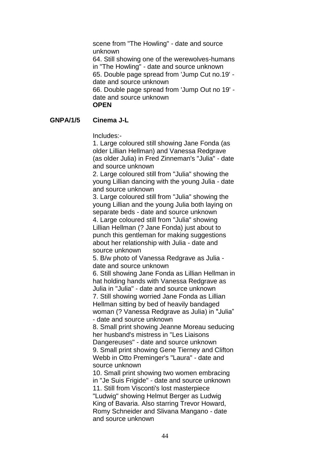scene from "The Howling" - date and source unknown 64. Still showing one of the werewolves-humans in "The Howling" - date and source unknown 65. Double page spread from 'Jump Cut no.19' date and source unknown 66. Double page spread from 'Jump Out no 19' date and source unknown **OPEN**

# **GNPA/1/5 Cinema J-L**

Includes:-

1. Large coloured still showing Jane Fonda (as older Lillian Hellman) and Vanessa Redgrave (as older Julia) in Fred Zinneman's "Julia" - date and source unknown

2. Large coloured still from "Julia" showing the young Lillian dancing with the young Julia - date and source unknown

3. Large coloured still from "Julia" showing the young Lillian and the young Julia both laying on separate beds - date and source unknown 4. Large coloured still from "Julia" showing Lillian Hellman (? Jane Fonda) just about to punch this gentleman for making suggestions about her relationship with Julia - date and source unknown

5. B/w photo of Vanessa Redgrave as Julia date and source unknown

6. Still showing Jane Fonda as Lillian Hellman in hat holding hands with Vanessa Redgrave as Julia in "Julia" - date and source unknown 7. Still showing worried Jane Fonda as Lillian Hellman sitting by bed of heavily bandaged woman (? Vanessa Redgrave as Julia) in "Julia" - date and source unknown

8. Small print showing Jeanne Moreau seducing her husband's mistress in "Les Liaisons Dangereuses" - date and source unknown 9. Small print showing Gene Tierney and Clifton Webb in Otto Preminger's "Laura" - date and source unknown

10. Small print showing two women embracing in "Je Suis Frigide" - date and source unknown 11. Still from Visconti's lost masterpiece "Ludwig" showing Helmut Berger as Ludwig King of Bavaria. Also starring Trevor Howard, Romy Schneider and Slivana Mangano - date and source unknown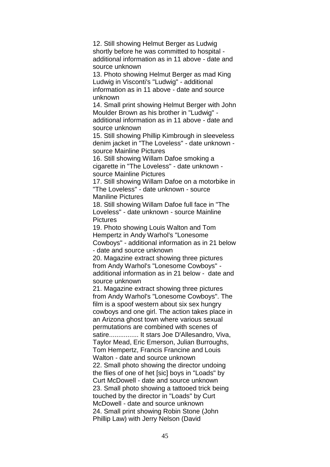12. Still showing Helmut Berger as Ludwig shortly before he was committed to hospital additional information as in 11 above - date and source unknown

13. Photo showing Helmut Berger as mad King Ludwig in Visconti's "Ludwig" - additional information as in 11 above - date and source unknown

14. Small print showing Helmut Berger with John Moulder Brown as his brother in "Ludwig" additional information as in 11 above - date and source unknown

15. Still showing Phillip Kimbrough in sleeveless denim jacket in "The Loveless" - date unknown source Mainline Pictures

16. Still showing Willam Dafoe smoking a cigarette in "The Loveless" - date unknown source Mainline Pictures

17. Still showing Willam Dafoe on a motorbike in "The Loveless" - date unknown - source Maniline Pictures

18. Still showing Willam Dafoe full face in "The Loveless" - date unknown - source Mainline Pictures

19. Photo showing Louis Walton and Tom Hempertz in Andy Warhol's "Lonesome Cowboys" - additional information as in 21 below - date and source unknown

20. Magazine extract showing three pictures from Andy Warhol's "Lonesome Cowboys" additional information as in 21 below - date and source unknown

21. Magazine extract showing three pictures from Andy Warhol's "Lonesome Cowboys". The film is a spoof western about six sex hungry cowboys and one girl. The action takes place in an Arizona ghost town where various sexual permutations are combined with scenes of satire................ It stars Joe D'Allesandro, Viva, Taylor Mead, Eric Emerson, Julian Burroughs, Tom Hempertz, Francis Francine and Louis Walton - date and source unknown 22. Small photo showing the director undoing the flies of one of het [sic] boys in "Loads" by Curt McDowell - date and source unknown 23. Small photo showing a tattooed trick being touched by the director in "Loads" by Curt McDowell - date and source unknown 24. Small print showing Robin Stone (John Phillip Law) with Jerry Nelson (David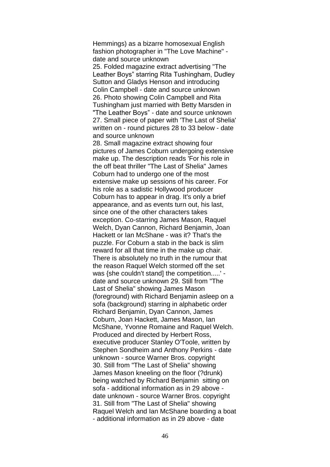Hemmings) as a bizarre homosexual English fashion photographer in "The Love Machine" date and source unknown

25. Folded magazine extract advertising "The Leather Boys" starring Rita Tushingham, Dudley Sutton and Gladys Henson and introducing Colin Campbell - date and source unknown 26. Photo showing Colin Campbell and Rita Tushingham just married with Betty Marsden in "The Leather Boys" - date and source unknown 27. Small piece of paper with 'The Last of Shelia' written on - round pictures 28 to 33 below - date and source unknown

28. Small magazine extract showing four pictures of James Coburn undergoing extensive make up. The description reads 'For his role in the off beat thriller "The Last of Shelia" James Coburn had to undergo one of the most extensive make up sessions of his career. For his role as a sadistic Hollywood producer Coburn has to appear in drag. It's only a brief appearance, and as events turn out, his last, since one of the other characters takes exception. Co-starring James Mason, Raquel Welch, Dyan Cannon, Richard Benjamin, Joan Hackett or Ian McShane - was it? That's the puzzle. For Coburn a stab in the back is slim reward for all that time in the make up chair. There is absolutely no truth in the rumour that the reason Raquel Welch stormed off the set was {she couldn't stand] the competition.....' date and source unknown 29. Still from "The Last of Shelia" showing James Mason (foreground) with Richard Benjamin asleep on a sofa (background) starring in alphabetic order Richard Benjamin, Dyan Cannon, James Coburn, Joan Hackett, James Mason, Ian McShane, Yvonne Romaine and Raquel Welch. Produced and directed by Herbert Ross, executive producer Stanley O'Toole, written by Stephen Sondheim and Anthony Perkins - date unknown - source Warner Bros. copyright 30. Still from "The Last of Shelia" showing James Mason kneeling on the floor (?drunk) being watched by Richard Benjamin sitting on sofa - additional information as in 29 above date unknown - source Warner Bros. copyright 31. Still from "The Last of Shelia" showing Raquel Welch and Ian McShane boarding a boat - additional information as in 29 above - date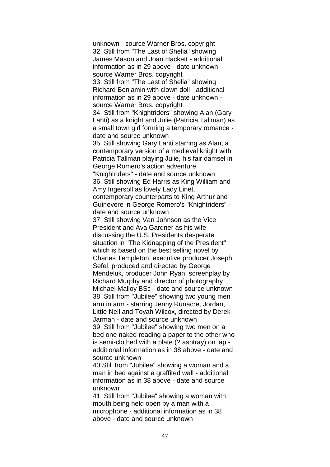unknown - source Warner Bros. copyright 32. Still from "The Last of Shelia" showing James Mason and Joan Hackett - additional information as in 29 above - date unknown source Warner Bros. copyright 33. Still from "The Last of Shelia" showing Richard Benjamin with clown doll - additional information as in 29 above - date unknown source Warner Bros. copyright 34. Still from "Knightriders" showing Alan (Gary Lahti) as a knight and Julie (Patricia Tallman) as a small town girl forming a temporary romance date and source unknown 35. Still showing Gary Lahti starring as Alan, a contemporary version of a medieval knight with Patricia Tallman playing Julie, his fair damsel in George Romero's action adventure "Knightriders" - date and source unknown 36. Still showing Ed Harris as King William and Amy Ingersoll as lovely Lady Linet, contemporary counterparts to King Arthur and Guinevere in George Romero's "Knightriders" date and source unknown 37. Still showing Van Johnson as the Vice President and Ava Gardner as his wife discussing the U.S. Presidents desperate situation in "The Kidnapping of the President" which is based on the best selling novel by Charles Templeton, executive producer Joseph Sefel, produced and directed by George Mendeluk, producer John Ryan, screenplay by Richard Murphy and director of photography Michael Malloy BSc - date and source unknown 38. Still from "Jubilee" showing two young men arm in arm - starring Jenny Runacre, Jordan, Little Nell and Toyah Wilcox, directed by Derek Jarman - date and source unknown 39. Still from "Jubilee" showing two men on a bed one naked reading a paper to the other who is semi-clothed with a plate (? ashtray) on lap additional information as in 38 above - date and source unknown 40 Still from "Jubilee" showing a woman and a man in bed against a graffited wall - additional

information as in 38 above - date and source unknown

41. Still from "Jubilee" showing a woman with mouth being held open by a man with a microphone - additional information as in 38 above - date and source unknown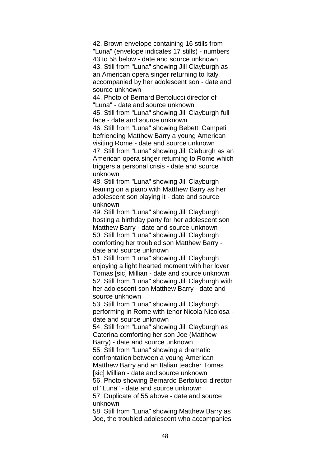42, Brown envelope containing 16 stills from "Luna" (envelope indicates 17 stills) - numbers 43 to 58 below - date and source unknown 43. Still from "Luna" showing Jill Clayburgh as an American opera singer returning to Italy accompanied by her adolescent son - date and source unknown

44. Photo of Bernard Bertolucci director of "Luna" - date and source unknown

45. Still from "Luna" showing Jill Clayburgh full face - date and source unknown

46. Still from "Luna" showing Bebetti Campeti befriending Matthew Barry a young American visiting Rome - date and source unknown 47. Still from "Luna" showing Jill Claburgh as an American opera singer returning to Rome which triggers a personal crisis - date and source unknown

48. Still from "Luna" showing Jill Clayburgh leaning on a piano with Matthew Barry as her adolescent son playing it - date and source unknown

49. Still from "Luna" showing Jill Clayburgh hosting a birthday party for her adolescent son Matthew Barry - date and source unknown 50. Still from "Luna" showing Jill Clayburgh comforting her troubled son Matthew Barry date and source unknown

51. Still from "Luna" showing Jill Clayburgh enjoying a light hearted moment with her lover Tomas [sic] Millian - date and source unknown 52. Still from "Luna" showing Jill Clayburgh with her adolescent son Matthew Barry - date and source unknown

53. Still from "Luna" showing Jill Clayburgh performing in Rome with tenor Nicola Nicolosa date and source unknown

54. Still from "Luna" showing Jill Clayburgh as Caterina comforting her son Joe (Matthew Barry) - date and source unknown

55. Still from "Luna" showing a dramatic confrontation between a young American Matthew Barry and an Italian teacher Tomas [sic] Millian - date and source unknown

56. Photo showing Bernardo Bertolucci director of "Luna" - date and source unknown

57. Duplicate of 55 above - date and source unknown

58. Still from "Luna" showing Matthew Barry as Joe, the troubled adolescent who accompanies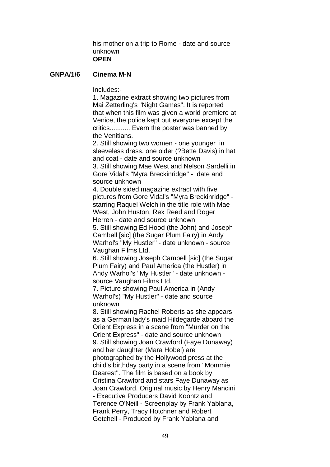his mother on a trip to Rome - date and source unknown **OPEN**

## **GNPA/1/6 Cinema M-N**

Includes:-

1. Magazine extract showing two pictures from Mai Zetterling's "Night Games". It is reported that when this film was given a world premiere at Venice, the police kept out everyone except the critics........... Evern the poster was banned by the Venitians.

2. Still showing two women - one younger in sleeveless dress, one older (?Bette Davis) in hat and coat - date and source unknown 3. Still showing Mae West and Nelson Sardelli in

Gore Vidal's "Myra Breckinridge" - date and source unknown

4. Double sided magazine extract with five pictures from Gore Vidal's "Myra Breckinridge" starring Raquel Welch in the title role with Mae West, John Huston, Rex Reed and Roger Herren - date and source unknown

5. Still showing Ed Hood (the John) and Joseph Cambell [sic] (the Sugar Plum Fairy) in Andy Warhol's "My Hustler" - date unknown - source Vaughan Films Ltd.

6. Still showing Joseph Cambell [sic] (the Sugar Plum Fairy) and Paul America (the Hustler) in Andy Warhol's "My Hustler" - date unknown source Vaughan Films Ltd.

7. Picture showing Paul America in (Andy Warhol's) "My Hustler" - date and source unknown

8. Still showing Rachel Roberts as she appears as a German lady's maid Hildegarde aboard the Orient Express in a scene from "Murder on the Orient Express" - date and source unknown 9. Still showing Joan Crawford (Faye Dunaway) and her daughter (Mara Hobel) are photographed by the Hollywood press at the child's birthday party in a scene from "Mommie Dearest". The film is based on a book by Cristina Crawford and stars Faye Dunaway as Joan Crawford. Original music by Henry Mancini - Executive Producers David Koontz and Terence O'Neill - Screenplay by Frank Yablana, Frank Perry, Tracy Hotchner and Robert Getchell - Produced by Frank Yablana and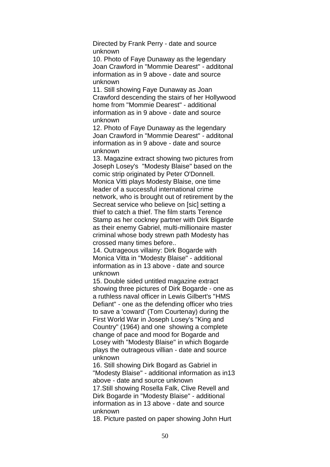Directed by Frank Perry - date and source unknown

10. Photo of Faye Dunaway as the legendary Joan Crawford in "Mommie Dearest" - additonal information as in 9 above - date and source unknown

11. Still showing Faye Dunaway as Joan Crawford descending the stairs of her Hollywood home from "Mommie Dearest" - additional information as in 9 above - date and source unknown

12. Photo of Faye Dunaway as the legendary Joan Crawford in "Mommie Dearest" - additonal information as in 9 above - date and source unknown

13. Magazine extract showing two pictures from Joseph Losey's "Modesty Blaise" based on the comic strip originated by Peter O'Donnell. Monica Vitti plays Modesty Blaise, one time leader of a successful international crime network, who is brought out of retirement by the Secreat service who believe on [sic] setting a thief to catch a thief. The film starts Terence Stamp as her cockney partner with Dirk Bigarde as their enemy Gabriel, multi-millionaire master criminal whose body strewn path Modesty has crossed many times before..

14. Outrageous villainy: Dirk Bogarde with Monica Vitta in "Modesty Blaise" - additional information as in 13 above - date and source unknown

15. Double sided untitled magazine extract showing three pictures of Dirk Bogarde - one as a ruthless naval officer in Lewis Gilbert's "HMS Defiant" - one as the defending officer who tries to save a 'coward' (Tom Courtenay) during the First World War in Joseph Losey's "King and Country" (1964) and one showing a complete change of pace and mood for Bogarde and Losey with "Modesty Blaise" in which Bogarde plays the outrageous villian - date and source unknown

16. Still showing Dirk Bogard as Gabriel in "Modesty Blaise" - additional information as in13 above - date and source unknown 17.Still showing Rosella Falk, Clive Revell and Dirk Bogarde in "Modesty Blaise" - additional information as in 13 above - date and source unknown

18. Picture pasted on paper showing John Hurt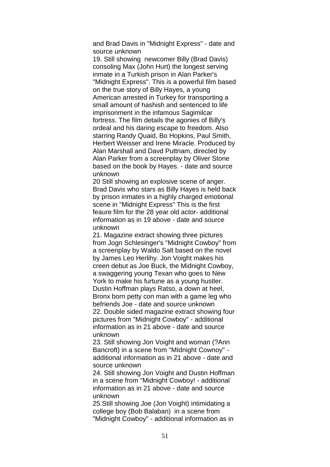and Brad Davis in "Midnight Express" - date and source unknown

19. Still showing newcomer Billy (Brad Davis) consoling Max (John Hurt) the longest serving inmate in a Turkish prison in Alan Parker's "Midnight Express". This is a powerful film based on the true story of Billy Hayes, a young American arrested in Turkey for transporting a small amount of hashish and sentenced to life imprisonment in the infamous Sagimilcar fortress. The film details the agonies of Billy's ordeal and his daring escape to freedom. Also starring Randy Quaid, Bo Hopkins, Paul Smith, Herbert Weisser and Irene Miracle. Produced by Alan Marshall and Davd Puttnam, directed by Alan Parker from a screenplay by Oliver Stone based on the book by Hayes. - date and source unknown

20 Still showing an explosive scene of anger. Brad Davis who stars as Billy Hayes is held back by prison inmates in a highly charged emotional scene in "Midnight Express" This is the first feaure film for the 28 year old actor- additional information as in 19 above - date and source unknown

21. Magazine extract showing three pictures from Jogn Schlesinger's "Midnight Cowboy" from a screenplay by Waldo Salt based on the novel by James Leo Herlihy. Jon Voight makes his creen debut as Joe Buck, the Midnight Cowboy, a swaggering young Texan who goes to New York to make his furtune as a young hustler. Dustin Hoffman plays Ratso, a down at heel, Bronx born petty con man with a game leg who befriends Joe - date and source unknown 22. Double sided magazine extract showing four pictures from "Midnight Cowboy" - additional information as in 21 above - date and source unknown

23. Still showing Jon Voight and woman (?Ann Bancroft) in a scene from "MIdnight Cownoy" additional information as in 21 above - date and source unknown

24. Still showing Jon Voight and Dustin Hoffman in a scene from "Midnight Cowboy! - additional information as in 21 above - date and source unknown

25.Still showing Joe (Jon Voight) intimidating a college boy (Bob Balaban) in a scene from "Midnight Cowboy" - additional information as in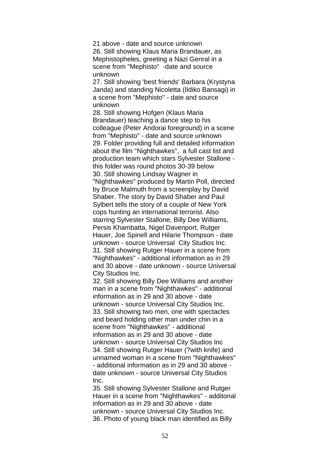21 above - date and source unknown 26. Still showing Klaus Maria Brandauer, as Mephistopheles, greeting a Nazi Genral in a scene from "Mephisto" -date and source unknown

27. Still showing 'best friends' Barbara (Krystyna Janda) and standing Nicoletta (Ildiko Bansagi) in a scene from "Mephisto" - date and source unknown

28. Still showing Hofgen (Klaus Maria Brandauer) teaching a dance step to his colleague (Peter Andorai foreground) in a scene from "Mephisto" - date and source unknown 29. Folder providing full and detailed information about the film "Nighthawkes", a full cast list and production team which stars Sylvester Stallone this folder was round photos 30-39 below 30. Still showing Lindsay Wagner in "Nighthawkes" produced by Martin Poll, directed by Bruce Malmuth from a screenplay by David Shaber. The story by David Shaber and Paul Sylbert tells the story of a couple of New York cops hunting an international terrorist. Also starring Sylvester Stallone, Billy Dee Williams, Persis Khambatta, Nigel Davenport, Rutger Hauer, Joe Spinell and Hilarie Thompson - date unknown - source Universal City Studios Inc. 31. Still showing Rutger Hauer in a scene from "Nighthawkes" - additional information as in 29 and 30 above - date unknown - source Universal City Studios Inc.

32. Still showing Billy Dee Williams and another man in a scene from "Nighthawkes" - additional information as in 29 and 30 above - date unknown - source Universal City Studios Inc. 33. Still showing two men, one with spectacles and beard holding other man under chin in a scene from "Nighthawkes" - additional information as in 29 and 30 above - date unknown - source Universal City Studios Inc 34. Still showing Rutger Hauer (?with knife) and unnamed woman in a scene from "Nighthawkes" - additional information as in 29 and 30 above date unknown - source Universal City Studios Inc.

35. Still showing Sylvester Stallone and Rutger Hauer in a scene from "Nighthawkes" - additonal information as in 29 and 30 above - date unknown - source Universal City Studios Inc. 36. Photo of young black man identified as Billy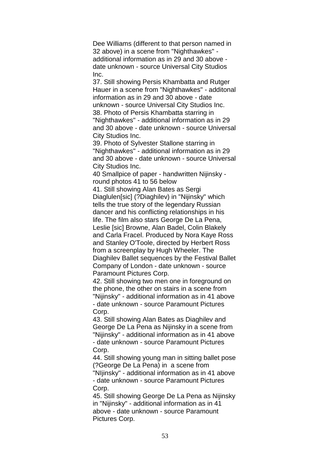Dee Williams (different to that person named in 32 above) in a scene from "Nighthawkes" additional information as in 29 and 30 above date unknown - source Universal City Studios Inc.

37. Still showing Persis Khambatta and Rutger Hauer in a scene from "Nighthawkes" - additonal information as in 29 and 30 above - date unknown - source Universal City Studios Inc. 38. Photo of Persis Khambatta starring in "Nighthawkes" - additional information as in 29 and 30 above - date unknown - source Universal City Studios Inc.

39. Photo of Sylvester Stallone starring in "Nighthawkes" - additional information as in 29 and 30 above - date unknown - source Universal City Studios Inc.

40 Smallpice of paper - handwritten Nijinsky round photos 41 to 56 below

41. Still showing Alan Bates as Sergi Diaglulen[sic] (?Diaghilev) in "Nijinsky" which tells the true story of the legendary Russian dancer and his conflicting relationships in his life. The film also stars George De La Pena, Leslie [sic] Browne, Alan Badel, Colin Blakely and Carla Fracel. Produced by Nora Kaye Ross and Stanley O'Toole, directed by Herbert Ross from a screenplay by Hugh Wheeler. The Diaghilev Ballet sequences by the Festival Ballet Company of London - date unknown - source Paramount Pictures Corp.

42. Still showing two men one in foreground on the phone, the other on stairs in a scene from "Nijinsky" - additional information as in 41 above - date unknown - source Paramount Pictures Corp.

43. Still showing Alan Bates as Diaghilev and George De La Pena as Nijinsky in a scene from "Nijinsky" - additional information as in 41 above - date unknown - source Paramount Pictures Corp.

44. Still showing young man in sitting ballet pose (?George De La Pena) in a scene from "NIjinsky" - additional information as in 41 above - date unknown - source Paramount Pictures

Corp.

45. Still showing George De La Pena as Nijinsky in "Nijinsky" - additional information as in 41 above - date unknown - source Paramount Pictures Corp.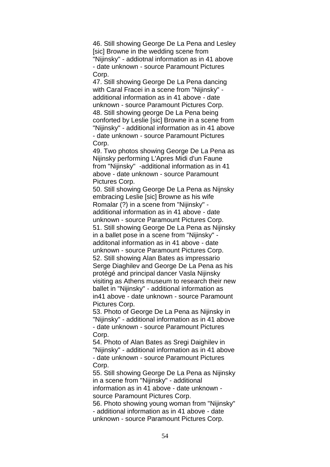46. Still showing George De La Pena and Lesley [sic] Browne in the wedding scene from "Nijinsky" - addiotnal information as in 41 above - date unknown - source Paramount Pictures Corp.

47. Still showing George De La Pena dancing with Caral Fracei in a scene from "Nijinsky" additional information as in 41 above - date unknown - source Paramount Pictures Corp. 48. Still showing george De La Pena being conforted by Leslie [sic] Browne in a scene from "Nijinsky" - additional information as in 41 above - date unknown - source Paramount Pictures Corp.

49. Two photos showing George De La Pena as Nijinsky performing L'Apres Midi d'un Faune from "Nijinsky" -additional information as in 41 above - date unknown - source Paramount Pictures Corp.

50. Still showing George De La Pena as Nijnsky embracing Leslie [sic] Browne as his wife Romalar (?) in a scene from "Nijinsky" additional information as in 41 above - date unknown - source Paramount Pictures Corp. 51. Still showing George De La Pena as Nijinsky in a ballet pose in a scene from "Nijinsky" additonal information as in 41 above - date unknown - source Paramount Pictures Corp. 52. Still showing Alan Bates as impressario Serge Diaghilev and George De La Pena as his protégé and principal dancer Vasla Nijinsky visiting as Athens museum to research their new ballet in "Nijinsky" - additional information as in41 above - date unknown - source Paramount Pictures Corp.

53. Photo of George De La Pena as Nijinsky in "Nijinsky" - additional information as in 41 above - date unknown - source Paramount Pictures Corp.

54. Photo of Alan Bates as Sregi Daighilev in "Nijinsky" - additional information as in 41 above - date unknown - source Paramount Pictures Corp.

55. Still showing George De La Pena as Nijinsky in a scene from "Nijinsky" - additional information as in 41 above - date unknown source Paramount Pictures Corp. 56. Photo showing young woman from "Nijinsky"

- additional information as in 41 above - date unknown - source Paramount Pictures Corp.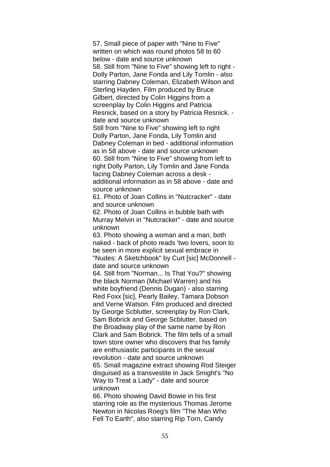57. Small piece of paper with "Nine to Five" written on which was round photos 58 to 60 below - date and source unknown 58. Still from "Nine to Five" showing left to right - Dolly Parton, Jane Fonda and Lily Tomlin - also starring Dabney Coleman, Elizabeth Wilson and Sterling Hayden. Film produced by Bruce Gilbert, directed by Colin Higgins from a screenplay by Colin Higgins and Patricia Resnick, based on a story by Patricia Resnick. date and source unknown Still from "Nine to Five" showing left to right

Dolly Parton, Jane Fonda, Lily Tomlin and Dabney Coleman in bed - additional information as in 58 above - date and source unknown 60. Still from "Nine to Five" showing from left to right Dolly Parton, Lily Tomlin and Jane Fonda facing Dabney Coleman across a desk additional information as in 58 above - date and source unknown

61. Photo of Joan Collins in "Nutcracker" - date and source unknown

62. Photo of Joan Collins in bubble bath with Murray Melvin in "Nutcracker" - date and source unknown

63. Photo showing a woman and a man, both naked - back of photo reads 'two lovers, soon to be seen in more explicit sexual embrace in "Nudes: A Sketchbook" by Curt [sic] McDonnell -

date and source unknown

64. Still from "Norman... Is That You?" showing the black Norman (Michael Warren) and his white boyfriend (Dennis Dugan) - also starring Red Foxx [sic], Pearly Bailey, Tamara Dobson and Verne Watson. Film produced and directed by George Scblutter, screenplay by Ron Clark, Sam Bobrick and George Scblutter, based on the Broadway play of the same name by Ron Clark and Sam Bobrick. The film tells of a small town store owner who discovers that his family are enthusiastic participants in the sexual revolution - date and source unknown 65. Small magazine extract showing Rod Steiger disguised as a transvestite in Jack Smight's "No Way to Treat a Lady" - date and source unknown

66. Photo showing David Bowie in his first starring role as the mysterious Thomas Jerome Newton in Nicolas Roeg's film "The Man Who Fell To Earth", also starring Rip Torn, Candy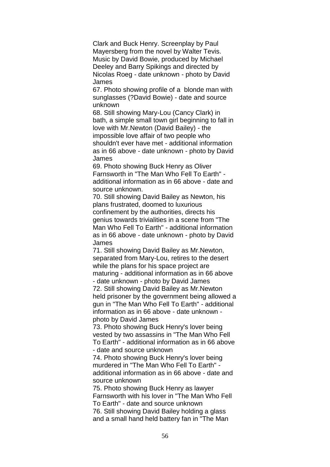Clark and Buck Henry. Screenplay by Paul Mayersberg from the novel by Walter Tevis. Music by David Bowie, produced by Michael Deeley and Barry Spikings and directed by Nicolas Roeg - date unknown - photo by David James

67. Photo showing profile of a blonde man with sunglasses (?David Bowie) - date and source unknown

68. Still showing Mary-Lou (Cancy Clark) in bath, a simple small town girl beginning to fall in love with Mr.Newton (David Bailey) - the impossible love affair of two people who shouldn't ever have met - additional information as in 66 above - date unknown - photo by David James

69. Photo showing Buck Henry as Oliver Farnsworth in "The Man Who Fell To Earth" additional information as in 66 above - date and source unknown.

70. Still showing David Bailey as Newton, his plans frustrated, doomed to luxurious confinement by the authorities, directs his genius towards trivialities in a scene from "The Man Who Fell To Earth" - additional information as in 66 above - date unknown - photo by David James

71. Still showing David Bailey as Mr.Newton, separated from Mary-Lou, retires to the desert while the plans for his space project are maturing - additional information as in 66 above - date unknown - photo by David James 72. Still showing David Bailey as Mr.Newton held prisoner by the government being allowed a gun in "The Man Who Fell To Earth" - additional information as in 66 above - date unknown photo by David James

73. Photo showing Buck Henry's lover being vested by two assassins in "The Man Who Fell To Earth" - additional information as in 66 above - date and source unknown

74. Photo showing Buck Henry's lover being murdered in "The Man Who Fell To Earth" additional information as in 66 above - date and source unknown

75. Photo showing Buck Henry as lawyer Farnsworth with his lover in "The Man Who Fell To Earth" - date and source unknown 76. Still showing David Bailey holding a glass and a small hand held battery fan in "The Man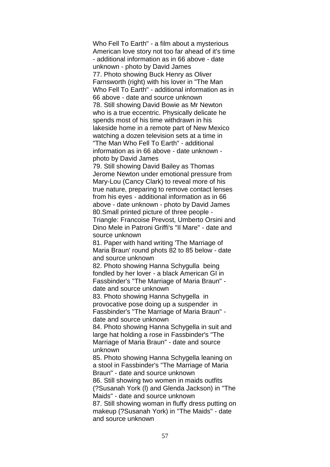Who Fell To Earth" - a film about a mysterious American love story not too far ahead of it's time - additional information as in 66 above - date unknown - photo by David James 77. Photo showing Buck Henry as Oliver Farnsworth (right) with his lover in "The Man Who Fell To Earth" - additional information as in 66 above - date and source unknown 78. Still showing David Bowie as Mr Newton who is a true eccentric. Physically delicate he spends most of his time withdrawn in his lakeside home in a remote part of New Mexico watching a dozen television sets at a time in "The Man Who Fell To Earth" - additional information as in 66 above - date unknown photo by David James

79. Still showing David Bailey as Thomas Jerome Newton under emotional pressure from Mary-Lou (Cancy Clark) to reveal more of his true nature, preparing to remove contact lenses from his eyes - additional information as in 66 above - date unknown - photo by David James 80.Small printed picture of three people - Triangle: Francoise Prevost, Umberto Orsini and Dino Mele in Patroni Griffi's "Il Mare" - date and source unknown

81. Paper with hand writing 'The Marriage of Maria Braun' round phots 82 to 85 below - date and source unknown

82. Photo showing Hanna Schygulla being fondled by her lover - a black American GI in Fassbinder's "The Marriage of Maria Braun" date and source unknown

83. Photo showing Hanna Schygella in provocative pose doing up a suspender in Fassbinder's "The Marriage of Maria Braun" date and source unknown

84. Photo showing Hanna Schygella in suit and large hat holding a rose in Fassbinder's "The Marriage of Maria Braun" - date and source unknown

85. Photo showing Hanna Schygella leaning on a stool in Fassbinder's "The Marriage of Maria Braun" - date and source unknown

86. Still showing two women in maids outfits (?Susanah York (l) and Glenda Jackson) in "The Maids" - date and source unknown

87. Still showing woman in fluffy dress putting on makeup (?Susanah York) in "The Maids" - date and source unknown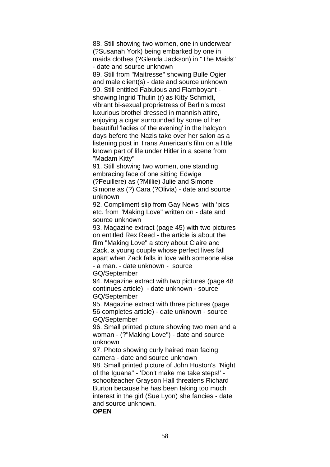88. Still showing two women, one in underwear (?Susanah York) being embarked by one in maids clothes (?Glenda Jackson) in "The Maids" - date and source unknown 89. Still from "Maitresse" showing Bulle Ogier and male client(s) - date and source unknown 90. Still entitled Fabulous and Flamboyant showing Ingrid Thulin (r) as Kitty Schmidt, vibrant bi-sexual proprietress of Berlin's most luxurious brothel dressed in mannish attire, enjoying a cigar surrounded by some of her beautiful 'ladies of the evening' in the halcyon days before the Nazis take over her salon as a listening post in Trans American's film on a little known part of life under Hitler in a scene from "Madam Kitty"

91. Still showing two women, one standing embracing face of one sitting Edwige (?Feuillere) as (?Millie) Julie and Simone Simone as (?) Cara (?Olivia) - date and source unknown

92. Compliment slip from Gay News with 'pics etc. from "Making Love" written on - date and source unknown

93. Magazine extract (page 45) with two pictures on entitled Rex Reed - the article is about the film "Making Love" a story about Claire and Zack, a young couple whose perfect lives fall apart when Zack falls in love with someone else - a man. - date unknown - source

GQ/September

94. Magazine extract with two pictures (page 48 continues article) - date unknown - source GQ/September

95. Magazine extract with three pictures (page 56 completes article) - date unknown - source GQ/September

96. Small printed picture showing two men and a woman - (?"Making Love") - date and source unknown

97. Photo showing curly haired man facing camera - date and source unknown

98. Small printed picture of John Huston's "Night of the Iguana" - 'Don't make me take steps!' schoolteacher Grayson Hall threatens Richard Burton because he has been taking too much interest in the girl (Sue Lyon) she fancies - date and source unknown.

### **OPEN**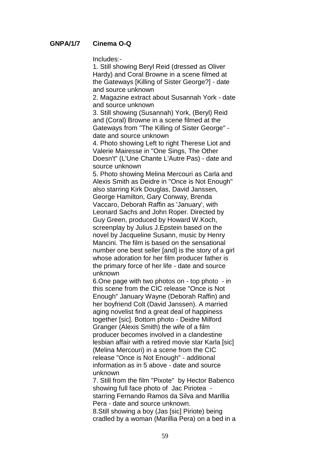## **GNPA/1/7 Cinema O-Q**

Includes:-

1. Still showing Beryl Reid (dressed as Oliver Hardy) and Coral Browne in a scene filmed at the Gateways [Killing of Sister George?] - date and source unknown

2. Magazine extract about Susannah York - date and source unknown

3. Still showing (Susannah) York, (Beryl) Reid and (Coral) Browne in a scene filmed at the Gateways from "The Killing of Sister George" date and source unknown

4. Photo showing Left to right Therese Liot and Valerie Mairesse in "One Sings, The Other Doesn't" (L'Une Chante L'Autre Pas) - date and source unknown

5. Photo showing Melina Mercouri as Carla and Alexis Smith as Deidre in "Once is Not Enough" also starring Kirk Douglas, David Janssen, George Hamilton, Gary Conway, Brenda Vaccaro, Deborah Raffin as 'January', with Leonard Sachs and John Roper. Directed by Guy Green, produced by Howard W.Koch, screenplay by Julius J.Epstein based on the novel by Jacqueline Susann, music by Henry Mancini. The film is based on the sensational number one best seller [and] is the story of a girl whose adoration for her film producer father is the primary force of her life - date and source unknown

6.One page with two photos on - top photo - in this scene from the CIC release "Once is Not Enough" January Wayne (Deborah Raffin) and her boyfriend Colt (David Janssen). A married aging novelist find a great deal of happiness together [sic]. Bottom photo - Deidre Milford Granger (Alexis Smith) the wife of a film producer becomes involved in a clandestine lesbian affair with a retired movie star Karla [sic] (Melina Mercouri) in a scene from the CIC release "Once is Not Enough" - additional information as in 5 above - date and source unknown

7. Still from the film "Pixote" by Hector Babenco showing full face photo of Jac Piriotea starring Fernando Ramos da Silva and Marillia Pera - date and source unknown. 8.Still showing a boy (Jas [sic] Piriote) being

cradled by a woman (Marillia Pera) on a bed in a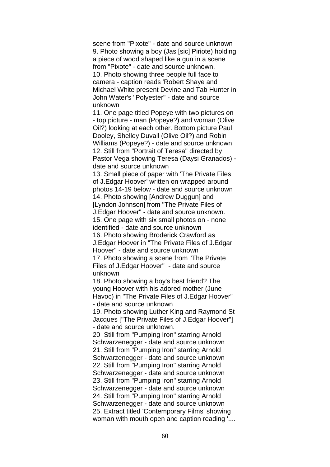scene from "Pixote" - date and source unknown 9. Photo showing a boy (Jas [sic] Piriote) holding a piece of wood shaped like a gun in a scene from "Pixote" - date and source unknown. 10. Photo showing three people full face to camera - caption reads 'Robert Shaye and Michael White present Devine and Tab Hunter in John Water's "Polyester" - date and source unknown

11. One page titled Popeye with two pictures on - top picture - man (Popeye?) and woman (Olive Oil?) looking at each other. Bottom picture Paul Dooley, Shelley Duvall (Olive Oil?) and Robin Williams (Popeye?) - date and source unknown 12. Still from "Portrait of Teresa" directed by Pastor Vega showing Teresa (Daysi Granados) date and source unknown

13. Small piece of paper with 'The Private Files of J.Edgar Hoover' written on wrapped around photos 14-19 below - date and source unknown 14. Photo showing [Andrew Duggun] and [Lyndon Johnson] from "The Private Files of J.Edgar Hoover" - date and source unknown. 15. One page with six small photos on - none identified - date and source unknown 16. Photo showing Broderick Crawford as J.Edgar Hoover in "The Private Files of J.Edgar Hoover" - date and source unknown 17. Photo showing a scene from "The Private Files of J.Edgar Hoover" - date and source

unknown

18. Photo showing a boy's best friend? The young Hoover with his adored mother (June Havoc) in "The Private Files of J.Edgar Hoover" - date and source unknown

19. Photo showing Luther King and Raymond St Jacques ["The Private Files of J.Edgar Hoover"] - date and source unknown.

20 Still from "Pumping Iron" starring Arnold Schwarzenegger - date and source unknown 21. Still from "Pumping Iron" starring Arnold Schwarzenegger - date and source unknown 22. Still from "Pumping Iron" starring Arnold Schwarzenegger - date and source unknown 23. Still from "Pumping Iron" starring Arnold Schwarzenegger - date and source unknown 24. Still from "Pumping Iron" starring Arnold Schwarzenegger - date and source unknown 25. Extract titled 'Contemporary Films' showing woman with mouth open and caption reading '....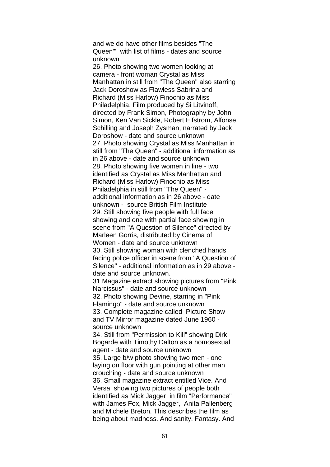and we do have other films besides "The Queen"' with list of films - dates and source unknown

26. Photo showing two women looking at camera - front woman Crystal as Miss Manhattan in still from "The Queen" also starring Jack Doroshow as Flawless Sabrina and Richard (Miss Harlow) Finochio as Miss Philadelphia. Film produced by Si Litvinoff, directed by Frank Simon, Photography by John Simon, Ken Van Sickle, Robert Elfstrom, Alfonse Schilling and Joseph Zysman, narrated by Jack Doroshow - date and source unknown 27. Photo showing Crystal as Miss Manhattan in still from "The Queen" - additional information as in 26 above - date and source unknown 28. Photo showing five women in line - two identified as Crystal as Miss Manhattan and Richard (Miss Harlow) Finochio as Miss Philadelphia in still from "The Queen" additional information as in 26 above - date unknown - source British Film Institute 29. Still showing five people with full face showing and one with partial face showing in scene from "A Question of Silence" directed by Marleen Gorris, distributed by Cinema of Women - date and source unknown 30. Still showing woman with clenched hands facing police officer in scene from "A Question of Silence" - additional information as in 29 above date and source unknown.

31 Magazine extract showing pictures from "Pink Narcissus" - date and source unknown 32. Photo showing Devine, starring in "Pink Flamingo" - date and source unknown 33. Complete magazine called Picture Show and TV Mirror magazine dated June 1960 source unknown

34. Still from "Permission to Kill" showing Dirk Bogarde with Timothy Dalton as a homosexual agent - date and source unknown

35. Large b/w photo showing two men - one laying on floor with gun pointing at other man crouching - date and source unknown 36. Small magazine extract entitled Vice. And Versa showing two pictures of people both identified as Mick Jagger in film "Performance" with James Fox, Mick Jagger, Anita Pallenberg and Michele Breton. This describes the film as being about madness. And sanity. Fantasy. And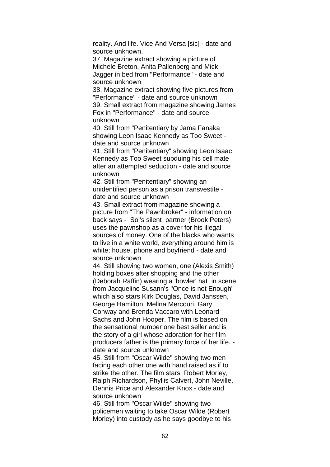reality. And life. Vice And Versa [sic] - date and source unknown.

37. Magazine extract showing a picture of Michele Breton, Anita Pallenberg and Mick Jagger in bed from "Performance" - date and source unknown

38. Magazine extract showing five pictures from "Performance" - date and source unknown 39. Small extract from magazine showing James Fox in "Performance" - date and source unknown

40. Still from "Penitentiary by Jama Fanaka showing Leon Isaac Kennedy as Too Sweet date and source unknown

41. Still from "Penitentiary" showing Leon Isaac Kennedy as Too Sweet subduing his cell mate after an attempted seduction - date and source unknown

42. Still from "Penitentiary" showing an unidentified person as a prison transvestite date and source unknown

43. Small extract from magazine showing a picture from "The Pawnbroker" - information on back says - Sol's silent partner (Brook Peters) uses the pawnshop as a cover for his illegal sources of money. One of the blacks who wants to live in a white world, everything around him is white; house, phone and boyfriend - date and source unknown

44. Still showing two women, one (Alexis Smith) holding boxes after shopping and the other (Deborah Raffin) wearing a 'bowler' hat in scene from Jacqueline Susann's "Once is not Enough" which also stars Kirk Douglas, David Janssen, George Hamilton, Melina Mercouri, Gary Conway and Brenda Vaccaro with Leonard Sachs and John Hooper. The film is based on the sensational number one best seller and is the story of a girl whose adoration for her film producers father is the primary force of her life. date and source unknown

45. Still from "Oscar Wilde" showing two men facing each other one with hand raised as if to strike the other. The film stars Robert Morley, Ralph Richardson, Phyllis Calvert, John Neville, Dennis Price and Alexander Knox - date and source unknown

46. Still from "Oscar Wilde" showing two policemen waiting to take Oscar Wilde (Robert Morley) into custody as he says goodbye to his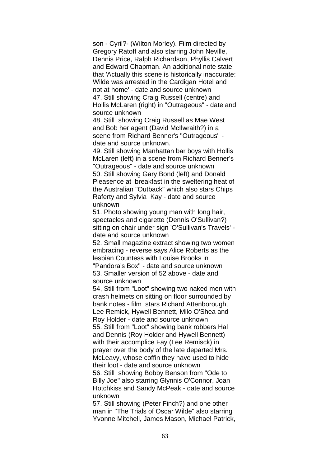son - Cyril?- (Wilton Morley). Film directed by Gregory Ratoff and also starring John Neville, Dennis Price, Ralph Richardson, Phyllis Calvert and Edward Chapman. An additional note state that 'Actually this scene is historically inaccurate: Wilde was arrested in the Cardigan Hotel and not at home' - date and source unknown 47. Still showing Craig Russell (centre) and Hollis McLaren (right) in "Outrageous" - date and source unknown

48. Still showing Craig Russell as Mae West and Bob her agent (David McIlwraith?) in a scene from Richard Benner's "Outrageous" date and source unknown.

49. Still showing Manhattan bar boys with Hollis McLaren (left) in a scene from Richard Benner's "Outrageous" - date and source unknown 50. Still showing Gary Bond (left) and Donald Pleasence at breakfast in the sweltering heat of the Australian "Outback" which also stars Chips Raferty and Sylvia Kay - date and source unknown

51. Photo showing young man with long hair, spectacles and cigarette (Dennis O'Sullivan?) sitting on chair under sign 'O'Sullivan's Travels' date and source unknown

52. Small magazine extract showing two women embracing - reverse says Alice Roberts as the lesbian Countess with Louise Brooks in "Pandora's Box" - date and source unknown 53. Smaller version of 52 above - date and source unknown

54, Still from "Loot" showing two naked men with crash helmets on sitting on floor surrounded by bank notes - film stars Richard Attenborough, Lee Remick, Hywell Bennett, Milo O'Shea and Roy Holder - date and source unknown 55. Still from "Loot" showing bank robbers Hal and Dennis (Roy Holder and Hywell Bennett) with their accomplice Fay (Lee Remisck) in prayer over the body of the late departed Mrs. McLeavy, whose coffin they have used to hide their loot - date and source unknown 56. Still showing Bobby Benson from "Ode to Billy Joe" also starring Glynnis O'Connor, Joan Hotchkiss and Sandy McPeak - date and source unknown

57. Still showing (Peter Finch?) and one other man in "The Trials of Oscar Wilde" also starring Yvonne Mitchell, James Mason, Michael Patrick,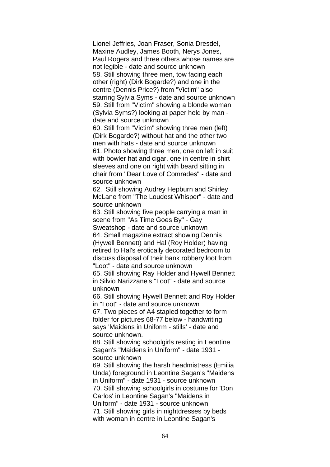Lionel Jeffries, Joan Fraser, Sonia Dresdel, Maxine Audley, James Booth, Nerys Jones, Paul Rogers and three others whose names are not legible - date and source unknown 58. Still showing three men, tow facing each other (right) (Dirk Bogarde?) and one in the centre (Dennis Price?) from "Victim" also starring Sylvia Syms - date and source unknown 59. Still from "Victim" showing a blonde woman (Sylvia Syms?) looking at paper held by man date and source unknown

60. Still from "Victim" showing three men (left) (Dirk Bogarde?) without hat and the other two men with hats - date and source unknown 61. Photo showing three men, one on left in suit with bowler hat and cigar, one in centre in shirt sleeves and one on right with beard sitting in chair from "Dear Love of Comrades" - date and source unknown

62. Still showing Audrey Hepburn and Shirley McLane from "The Loudest Whisper" - date and source unknown

63. Still showing five people carrying a man in scene from "As Time Goes By" - Gay

Sweatshop - date and source unknown 64. Small magazine extract showing Dennis (Hywell Bennett) and Hal (Roy Holder) having retired to Hal's erotically decorated bedroom to discuss disposal of their bank robbery loot from "Loot" - date and source unknown

65. Still showing Ray Holder and Hywell Bennett in Silvio Narizzane's "Loot" - date and source unknown

66. Still showing Hywell Bennett and Roy Holder in "Loot" - date and source unknown

67. Two pieces of A4 stapled together to form folder for pictures 68-77 below - handwriting says 'Maidens in Uniform - stills' - date and source unknown.

68. Still showing schoolgirls resting in Leontine Sagan's "Maidens in Uniform" - date 1931 source unknown

69. Still showing the harsh headmistress (Emilia Unda) foreground in Leontine Sagan's "Maidens in Uniform" - date 1931 - source unknown 70. Still showing schoolgirls in costume for 'Don Carlos' in Leontine Sagan's "Maidens in Uniform" - date 1931 - source unknown 71. Still showing girls in nightdresses by beds with woman in centre in Leontine Sagan's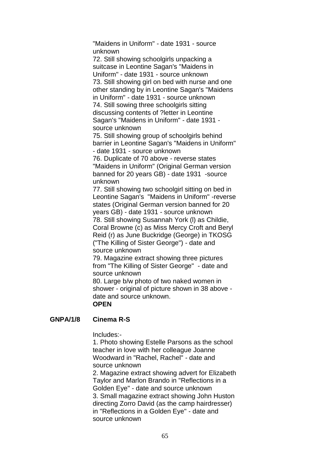"Maidens in Uniform" - date 1931 - source unknown

72. Still showing schoolgirls unpacking a suitcase in Leontine Sagan's "Maidens in Uniform" - date 1931 - source unknown 73. Still showing girl on bed with nurse and one other standing by in Leontine Sagan's "Maidens in Uniform" - date 1931 - source unknown 74. Still sowing three schoolgirls sitting discussing contents of ?letter in Leontine Sagan's "Maidens in Uniform" - date 1931 source unknown

75. Still showing group of schoolgirls behind barrier in Leontine Sagan's "Maidens in Uniform" - date 1931 - source unknown

76. Duplicate of 70 above - reverse states "Maidens in Uniform" (Original German version banned for 20 years GB) - date 1931 -source unknown

77. Still showing two schoolgirl sitting on bed in Leontine Sagan's "Maidens in Uniform" -reverse states (Original German version banned for 20 years GB) - date 1931 - source unknown 78. Still showing Susannah York (l) as Childie, Coral Browne (c) as Miss Mercy Croft and Beryl Reid (r) as June Buckridge (George) in TKOSG ("The Killing of Sister George") - date and source unknown

79. Magazine extract showing three pictures from "The Killing of Sister George" - date and source unknown

80. Large b/w photo of two naked women in shower - original of picture shown in 38 above date and source unknown. **OPEN**

## **GNPA/1/8 Cinema R-S**

Includes:-

1. Photo showing Estelle Parsons as the school teacher in love with her colleague Joanne Woodward in "Rachel, Rachel" - date and source unknown

2. Magazine extract showing advert for Elizabeth Taylor and Marlon Brando in "Reflections in a Golden Eye" - date and source unknown 3. Small magazine extract showing John Huston directing Zorro David (as the camp hairdresser) in "Reflections in a Golden Eye" - date and source unknown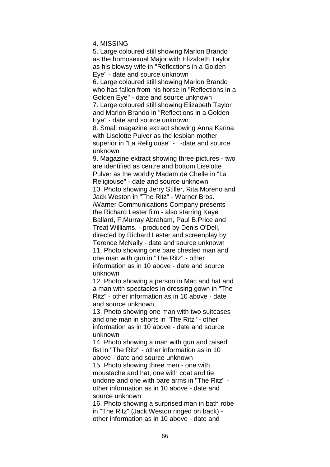4. MISSING

5. Large coloured still showing Marlon Brando as the homosexual Major with Elizabeth Taylor as his blowsy wife in "Reflections in a Golden Eye" - date and source unknown 6. Large coloured still showing Marlon Brando who has fallen from his horse in "Reflections in a Golden Eye" - date and source unknown 7. Large coloured still showing Elizabeth Taylor and Marlon Brando in "Reflections in a Golden Eye" - date and source unknown 8. Small magazine extract showing Anna Karina with Liselotte Pulver as the lesbian mother superior in "La Religiouse" - -date and source unknown 9. Magazine extract showing three pictures - two are identified as centre and bottom Liselotte

Pulver as the worldly Madam de Chelle in "La Religiouse" - date and source unknown 10. Photo showing Jerry Stiller, Rita Moreno and Jack Weston in "The Ritz" - Warner Bros. /Warner Communications Company presents the Richard Lester film - also starring Kaye Ballard, F.Murray Abraham, Paul B.Price and Treat Williams. - produced by Denis O'Dell, directed by Richard Lester and screenplay by Terence McNally - date and source unknown 11. Photo showing one bare chested man and one man with gun in "The Ritz" - other information as in 10 above - date and source unknown

12. Photo showing a person in Mac and hat and a man with spectacles in dressing gown in "The Ritz" - other information as in 10 above - date and source unknown

13. Photo showing one man with two suitcases and one man in shorts in "The Ritz" - other information as in 10 above - date and source unknown

14. Photo showing a man with gun and raised fist in "The Ritz" - other information as in 10 above - date and source unknown

15. Photo showing three men - one with moustache and hat, one with coat and tie undone and one with bare arms in "The Ritz" other information as in 10 above - date and source unknown

16. Photo showing a surprised man in bath robe in "The Ritz" (Jack Weston ringed on back) other information as in 10 above - date and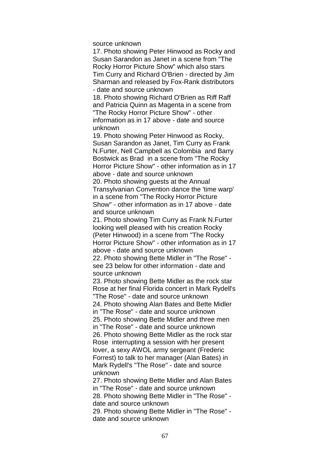source unknown

17. Photo showing Peter Hinwood as Rocky and Susan Sarandon as Janet in a scene from "The Rocky Horror Picture Show" which also stars Tim Curry and Richard O'Brien - directed by Jim Sharman and released by Fox-Rank distributors - date and source unknown

18. Photo showing Richard O'Brien as Riff Raff and Patricia Quinn as Magenta in a scene from "The Rocky Horror Picture Show" - other information as in 17 above - date and source unknown

19. Photo showing Peter Hinwood as Rocky, Susan Sarandon as Janet, Tim Curry as Frank N.Furter, Nell Campbell as Colombia and Barry Bostwick as Brad in a scene from "The Rocky Horror Picture Show" - other information as in 17 above - date and source unknown

20. Photo showing guests at the Annual Transylvanian Convention dance the 'time warp' in a scene from "The Rocky Horror Picture Show" - other information as in 17 above - date and source unknown

21. Photo showing Tim Curry as Frank N.Furter looking well pleased with his creation Rocky (Peter Hinwood) in a scene from "The Rocky Horror Picture Show" - other information as in 17 above - date and source unknown

22. Photo showing Bette Midler in "The Rose" see 23 below for other information - date and source unknown

23. Photo showing Bette Midler as the rock star Rose at her final Florida concert in Mark Rydell's "The Rose" - date and source unknown

24. Photo showing Alan Bates and Bette Midler in "The Rose" - date and source unknown 25. Photo showing Bette Midler and three men in "The Rose" - date and source unknown 26. Photo showing Bette Midler as the rock star Rose interrupting a session with her present lover, a sexy AWOL army sergeant (Frederic Forrest) to talk to her manager (Alan Bates) in Mark Rydell's "The Rose" - date and source unknown

27. Photo showing Bette Midler and Alan Bates in "The Rose" - date and source unknown 28. Photo showing Bette Midler in "The Rose" date and source unknown 29. Photo showing Bette Midler in "The Rose" -

date and source unknown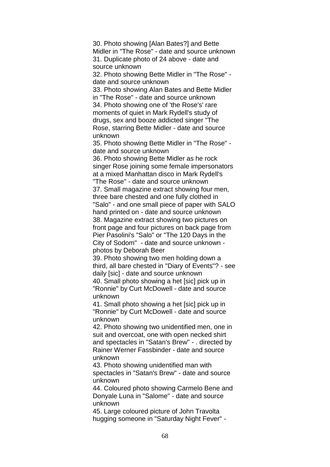30. Photo showing [Alan Bates?] and Bette Midler in "The Rose" - date and source unknown 31. Duplicate photo of 24 above - date and source unknown

32. Photo showing Bette Midler in "The Rose" date and source unknown

33. Photo showing Alan Bates and Bette Midler in "The Rose" - date and source unknown 34. Photo showing one of 'the Rose's' rare moments of quiet in Mark Rydell's study of drugs, sex and booze addicted singer "The Rose, starring Bette Midler - date and source unknown

35. Photo showing Bette Midler in "The Rose" date and source unknown

36. Photo showing Bette Midler as he rock singer Rose joining some female impersonators at a mixed Manhattan disco in Mark Rydell's "The Rose" - date and source unknown 37. Small magazine extract showing four men, three bare chested and one fully clothed in "Salo" - and one small piece of paper with SALO hand printed on - date and source unknown 38. Magazine extract showing two pictures on front page and four pictures on back page from Pier Pasolini's "Salo" or "The 120 Days in the City of Sodom" - date and source unknown -

photos by Deborah Beer

39. Photo showing two men holding down a third, all bare chested in "Diary of Events"? - see daily [sic] - date and source unknown 40. Small photo showing a het [sic] pick up in "Ronnie" by Curt McDowell - date and source unknown

41. Small photo showing a het [sic] pick up in "Ronnie" by Curt McDowell - date and source unknown

42. Photo showing two unidentified men, one in suit and overcoat, one with open necked shirt and spectacles in "Satan's Brew" - . directed by Rainer Werner Fassbinder - date and source unknown

43. Photo showing unidentified man with spectacles in "Satan's Brew" - date and source unknown

44. Coloured photo showing Carmelo Bene and Donyale Luna in "Salome" - date and source unknown

45. Large coloured picture of John Travolta hugging someone in "Saturday Night Fever" -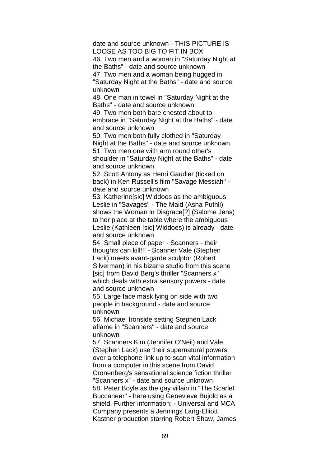date and source unknown - THIS PICTURE IS LOOSE AS TOO BIG TO FIT IN BOX

46. Two men and a woman in "Saturday Night at the Baths" - date and source unknown

47. Two men and a woman being hugged in "Saturday Night at the Baths" - date and source

unknown

48. One man in towel in "Saturday Night at the Baths" - date and source unknown

49. Two men both bare chested about to embrace in "Saturday Night at the Baths" - date and source unknown

50. Two men both fully clothed in "Saturday Night at the Baths" - date and source unknown 51. Two men one with arm round other's shoulder in "Saturday Night at the Baths" - date and source unknown

52. Scott Antony as Henri Gaudier (ticked on back) in Ken Russell's film "Savage Messiah" date and source unknown

53. Katherine[sic] Widdoes as the ambiguous Leslie in "Savages" - The Maid (Asha Puthli) shows the Woman in Disgrace[?] (Salome Jens) to her place at the table where the ambiguous Leslie (Kathleen [sic] Widdoes) is already - date and source unknown

54. Small piece of paper - Scanners - their thoughts can kill!!! - Scanner Vale (Stephen Lack) meets avant-garde sculptor (Robert Silverman) in his bizarre studio from this scene [sic] from David Berg's thriller "Scanners x" which deals with extra sensory powers - date and source unknown

55. Large face mask lying on side with two people in background - date and source unknown

56. Michael Ironside setting Stephen Lack aflame in "Scanners" - date and source unknown

57. Scanners Kim (Jennifer O'Neil) and Vale (Stephen Lack) use their supernatural powers over a telephone link up to scan vital information from a computer in this scene from David Cronenberg's sensational science fiction thriller "Scanners x" - date and source unknown 58. Peter Boyle as the gay villain in "The Scarlet Buccaneer" - here using Genevieve Bujold as a shield. Further information: - Universal and MCA Company presents a Jennings Lang-Elliott Kastner production starring Robert Shaw, James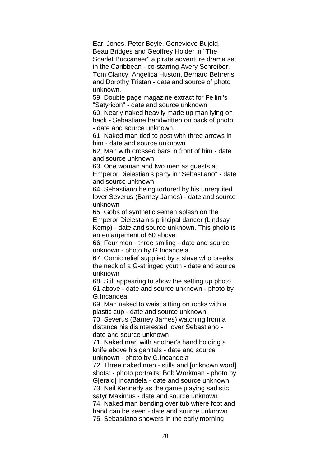Earl Jones, Peter Boyle, Genevieve Bujold, Beau Bridges and Geoffrey Holder in "The Scarlet Buccaneer" a pirate adventure drama set in the Caribbean - co-starring Avery Schreiber, Tom Clancy, Angelica Huston, Bernard Behrens and Dorothy Tristan - date and source of photo unknown.

59. Double page magazine extract for Fellini's "Satyricon" - date and source unknown

60. Nearly naked heavily made up man lying on back - Sebastiane handwritten on back of photo - date and source unknown.

61. Naked man tied to post with three arrows in him - date and source unknown

62. Man with crossed bars in front of him - date and source unknown

63. One woman and two men as guests at

Emperor Dieiestian's party in "Sebastiano" - date and source unknown

64. Sebastiano being tortured by his unrequited lover Severus (Barney James) - date and source unknown

65. Gobs of synthetic semen splash on the Emperor Dieiestain's principal dancer (Lindsay Kemp) - date and source unknown. This photo is an enlargement of 60 above

66. Four men - three smiling - date and source unknown - photo by G.Incandela

67. Comic relief supplied by a slave who breaks the neck of a G-stringed youth - date and source unknown

68. Still appearing to show the setting up photo 61 above - date and source unknown - photo by G.Incandeal

69. Man naked to waist sitting on rocks with a plastic cup - date and source unknown

70. Severus (Barney James) watching from a distance his disinterested lover Sebastiano date and source unknown

71. Naked man with another's hand holding a knife above his genitals - date and source unknown - photo by G.Incandela

72. Three naked men - stills and [unknown word] shots: - photo portraits: Bob Workman - photo by G[erald] Incandela - date and source unknown 73. Neil Kennedy as the game playing sadistic satyr Maximus - date and source unknown 74. Naked man bending over tub where foot and hand can be seen - date and source unknown 75. Sebastiano showers in the early morning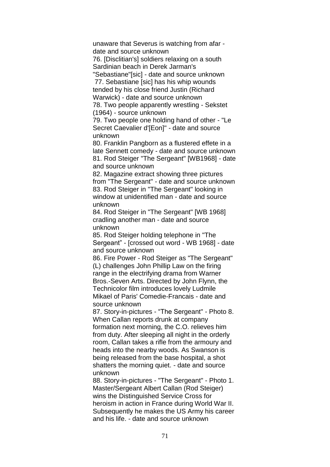unaware that Severus is watching from afar date and source unknown

76. [Disclitian's] soldiers relaxing on a south Sardinian beach in Derek Jarman's

"Sebastiane"[sic] - date and source unknown 77. Sebastiane [sic] has his whip wounds

tended by his close friend Justin (Richard Warwick) - date and source unknown

78. Two people apparently wrestling - Sekstet (1964) - source unknown

79. Two people one holding hand of other - "Le Secret Caevalier d'[Eon]" - date and source unknown

80. Franklin Pangborn as a flustered effete in a late Sennett comedy - date and source unknown 81. Rod Steiger "The Sergeant" [WB1968] - date and source unknown

82. Magazine extract showing three pictures from "The Sergeant" - date and source unknown 83. Rod Steiger in "The Sergeant" looking in window at unidentified man - date and source unknown

84. Rod Steiger in "The Sergeant" [WB 1968] cradling another man - date and source unknown

85. Rod Steiger holding telephone in "The Sergeant" - [crossed out word - WB 1968] - date and source unknown

86. Fire Power - Rod Steiger as "The Sergeant" (L) challenges John Phillip Law on the firing range in the electrifying drama from Warner Bros.-Seven Arts. Directed by John Flynn, the Technicolor film introduces lovely Ludmile Mikael of Paris' Comedie-Francais - date and source unknown

87. Story-in-pictures - "The Sergeant" - Photo 8. When Callan reports drunk at company formation next morning, the C.O. relieves him from duty. After sleeping all night in the orderly room, Callan takes a rifle from the armoury and heads into the nearby woods. As Swanson is being released from the base hospital, a shot shatters the morning quiet. - date and source unknown

88. Story-in-pictures - "The Sergeant" - Photo 1. Master/Sergeant Albert Callan (Rod Steiger) wins the Distinguished Service Cross for heroism in action in France during World War II. Subsequently he makes the US Army his career and his life. - date and source unknown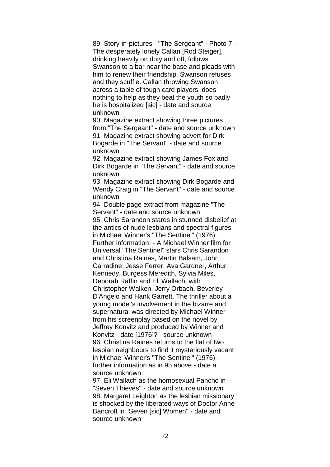89. Story-in-pictures - "The Sergeant" - Photo 7 - The desperately lonely Callan [Rod Steiger], drinking heavily on duty and off, follows Swanson to a bar near the base and pleads with him to renew their friendship. Swanson refuses and they scuffle. Callan throwing Swanson across a table of tough card players, does nothing to help as they beat the youth so badly he is hospitalized [sic] - date and source unknown

90. Magazine extract showing three pictures from "The Sergeant" - date and source unknown 91. Magazine extract showing advert for Dirk Bogarde in "The Servant" - date and source unknown

92. Magazine extract showing James Fox and Dirk Bogarde in "The Servant" - date and source unknown

93. Magazine extract showing Dirk Bogarde and Wendy Craig in "The Servant" - date and source unknown

94. Double page extract from magazine "The Servant" - date and source unknown 95. Chris Sarandon stares in stunned disbelief at the antics of nude lesbians and spectral figures in Michael Winner's "The Sentinel" (1976). Further information: - A Michael Winner film for Universal "The Sentinel" stars Chris Sarandon and Christina Raines, Martin Balsam, John Carradine, Jesse Ferrer, Ava Gardner, Arthur Kennedy, Burgess Meredith, Sylvia Miles, Deborah Raffin and Eli Wallach, with Christopher Walken, Jerry Orbach, Beverley D'Angelo and Hank Garrett. The thriller about a young model's involvement in the bizarre and supernatural was directed by Michael Winner from his screenplay based on the novel by Jeffrey Konvitz and produced by Winner and Konvitz - date [1976]? - source unknown 96. Christina Raines returns to the flat of two lesbian neighbours to find it mysteriously vacant in Michael Winner's "The Sentinel" (1976) further information as in 95 above - date a source unknown

97. Eli Wallach as the homosexual Pancho in "Seven Thieves" - date and source unknown 98. Margaret Leighton as the lesbian missionary is shocked by the liberated ways of Doctor Anne Bancroft in "Seven [sic] Women" - date and source unknown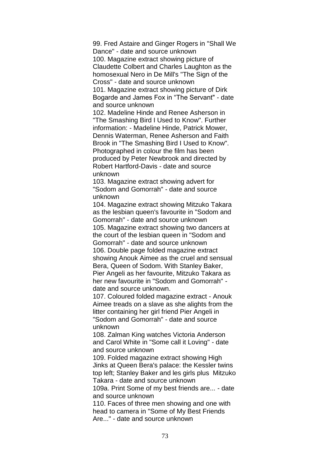99. Fred Astaire and Ginger Rogers in "Shall We Dance" - date and source unknown 100. Magazine extract showing picture of Claudette Colbert and Charles Laughton as the homosexual Nero in De Mill's "The Sign of the Cross" - date and source unknown 101. Magazine extract showing picture of Dirk

Bogarde and James Fox in "The Servant" - date and source unknown

102. Madeline Hinde and Renee Asherson in "The Smashing Bird I Used to Know". Further information: - Madeline Hinde, Patrick Mower, Dennis Waterman, Renee Asherson and Faith Brook in "The Smashing Bird I Used to Know". Photographed in colour the film has been produced by Peter Newbrook and directed by Robert Hartford-Davis - date and source unknown

103. Magazine extract showing advert for "Sodom and Gomorrah" - date and source unknown

104. Magazine extract showing Mitzuko Takara as the lesbian queen's favourite in "Sodom and Gomorrah" - date and source unknown

105. Magazine extract showing two dancers at the court of the lesbian queen in "Sodom and Gomorrah" - date and source unknown 106. Double page folded magazine extract showing Anouk Aimee as the cruel and sensual Bera, Queen of Sodom. With Stanley Baker, Pier Angeli as her favourite, Mitzuko Takara as her new favourite in "Sodom and Gomorrah" date and source unknown.

107. Coloured folded magazine extract - Anouk Aimee treads on a slave as she alights from the litter containing her girl friend Pier Angeli in "Sodom and Gomorrah" - date and source unknown

108. Zalman King watches Victoria Anderson and Carol White in "Some call it Loving" - date and source unknown

109. Folded magazine extract showing High Jinks at Queen Bera's palace: the Kessler twins top left; Stanley Baker and les girls plus Mitzuko Takara - date and source unknown

109a. Print Some of my best friends are... - date and source unknown

110. Faces of three men showing and one with head to camera in "Some of My Best Friends Are..." - date and source unknown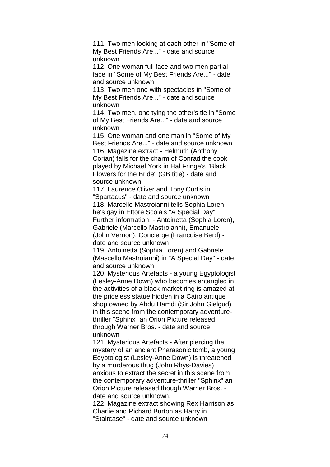111. Two men looking at each other in "Some of My Best Friends Are..." - date and source unknown

112. One woman full face and two men partial face in "Some of My Best Friends Are..." - date and source unknown

113. Two men one with spectacles in "Some of My Best Friends Are..." - date and source unknown

114. Two men, one tying the other's tie in "Some of My Best Friends Are..." - date and source unknown

115. One woman and one man in "Some of My Best Friends Are..." - date and source unknown 116. Magazine extract - Helmuth (Anthony Corian) falls for the charm of Conrad the cook played by Michael York in Hal Fringe's "Black Flowers for the Bride" (GB title) - date and source unknown

117. Laurence Oliver and Tony Curtis in "Spartacus" - date and source unknown 118. Marcello Mastroianni tells Sophia Loren he's gay in Ettore Scola's "A Special Day". Further information: - Antoinetta (Sophia Loren), Gabriele (Marcello Mastroianni), Emanuele (John Vernon), Concierge (Francoise Berd) date and source unknown

119. Antoinetta (Sophia Loren) and Gabriele (Mascello Mastroianni) in "A Special Day" - date and source unknown

120. Mysterious Artefacts - a young Egyptologist (Lesley-Anne Down) who becomes entangled in the activities of a black market ring is amazed at the priceless statue hidden in a Cairo antique shop owned by Abdu Hamdi (Sir John Gielgud) in this scene from the contemporary adventurethriller "Sphinx" an Orion Picture released through Warner Bros. - date and source unknown

121. Mysterious Artefacts - After piercing the mystery of an ancient Pharasonic tomb, a young Egyptologist (Lesley-Anne Down) is threatened by a murderous thug (John Rhys-Davies) anxious to extract the secret in this scene from the contemporary adventure-thriller "Sphinx" an Orion Picture released though Warner Bros. date and source unknown.

122. Magazine extract showing Rex Harrison as Charlie and Richard Burton as Harry in "Staircase" - date and source unknown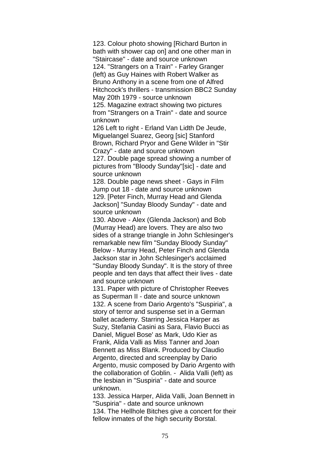123. Colour photo showing [Richard Burton in bath with shower cap on] and one other man in "Staircase" - date and source unknown 124. "Strangers on a Train" - Farley Granger (left) as Guy Haines with Robert Walker as Bruno Anthony in a scene from one of Alfred Hitchcock's thrillers - transmission BBC2 Sunday May 20th 1979 - source unknown 125. Magazine extract showing two pictures from "Strangers on a Train" - date and source

unknown

126 Left to right - Erland Van Lidth De Jeude, Miguelangel Suarez, Georg [sic] Stanford Brown, Richard Pryor and Gene Wilder in "Stir Crazy" - date and source unknown

127. Double page spread showing a number of pictures from "Bloody Sunday"[sic] - date and source unknown

128. Double page news sheet - Gays in Film Jump out 18 - date and source unknown 129. [Peter Finch, Murray Head and Glenda Jackson] "Sunday Bloody Sunday" - date and source unknown

130. Above - Alex (Glenda Jackson) and Bob (Murray Head) are lovers. They are also two sides of a strange triangle in John Schlesinger's remarkable new film "Sunday Bloody Sunday" Below - Murray Head, Peter Finch and Glenda Jackson star in John Schlesinger's acclaimed "Sunday Bloody Sunday". It is the story of three people and ten days that affect their lives - date and source unknown

131. Paper with picture of Christopher Reeves as Superman II - date and source unknown 132. A scene from Dario Argento's "Suspiria", a story of terror and suspense set in a German ballet academy. Starring Jessica Harper as Suzy, Stefania Casini as Sara, Flavio Bucci as Daniel, Miguel Bose' as Mark, Udo Kier as Frank, Alida Valli as Miss Tanner and Joan Bennett as Miss Blank. Produced by Claudio Argento, directed and screenplay by Dario Argento, music composed by Dario Argento with the collaboration of Goblin. - Alida Valli (left) as the lesbian in "Suspiria" - date and source unknown.

133. Jessica Harper, Alida Valli, Joan Bennett in "Suspiria" - date and source unknown 134. The Hellhole Bitches give a concert for their fellow inmates of the high security Borstal.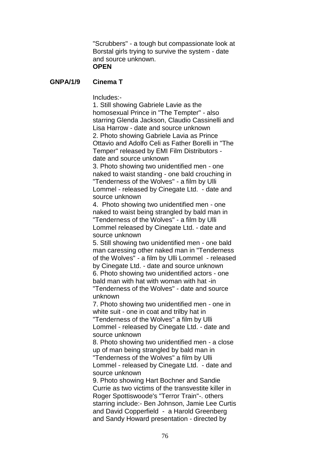"Scrubbers" - a tough but compassionate look at Borstal girls trying to survive the system - date and source unknown.

# **OPEN**

## **GNPA/1/9 Cinema T**

Includes:-

1. Still showing Gabriele Lavie as the homosexual Prince in "The Tempter" - also starring Glenda Jackson, Claudio Cassinelli and Lisa Harrow - date and source unknown 2. Photo showing Gabriele Lavia as Prince Ottavio and Adolfo Celi as Father Borelli in "The Temper" released by EMI Film Distributors date and source unknown

3. Photo showing two unidentified men - one naked to waist standing - one bald crouching in "Tenderness of the Wolves" - a film by Ulli Lommel - released by Cinegate Ltd. - date and source unknown

4. Photo showing two unidentified men - one naked to waist being strangled by bald man in "Tenderness of the Wolves" - a film by Ulli Lommel released by Cinegate Ltd. - date and source unknown

5. Still showing two unidentified men - one bald man caressing other naked man in "Tenderness of the Wolves" - a film by Ulli Lommel - released by Cinegate Ltd. - date and source unknown 6. Photo showing two unidentified actors - one bald man with hat with woman with hat -in "Tenderness of the Wolves" - date and source unknown

7. Photo showing two unidentified men - one in white suit - one in coat and trilby hat in "Tenderness of the Wolves" a film by Ulli Lommel - released by Cinegate Ltd. - date and source unknown

8. Photo showing two unidentified men - a close up of man being strangled by bald man in "Tenderness of the Wolves" a film by Ulli Lommel - released by Cinegate Ltd. - date and source unknown

9. Photo showing Hart Bochner and Sandie Currie as two victims of the transvestite killer in Roger Spottiswoode's "Terror Train"-. others starring include:- Ben Johnson, Jamie Lee Curtis and David Copperfield - a Harold Greenberg and Sandy Howard presentation - directed by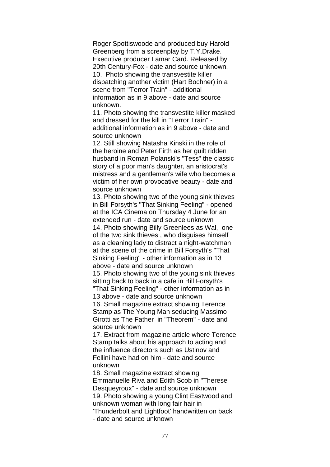Roger Spottiswoode and produced buy Harold Greenberg from a screenplay by T.Y.Drake. Executive producer Lamar Card. Released by 20th Century-Fox - date and source unknown. 10. Photo showing the transvestite killer dispatching another victim (Hart Bochner) in a scene from "Terror Train" - additional information as in 9 above - date and source unknown.

11. Photo showing the transvestite killer masked and dressed for the kill in "Terror Train" additional information as in 9 above - date and source unknown

12. Still showing Natasha Kinski in the role of the heroine and Peter Firth as her guilt ridden husband in Roman Polanski's "Tess" the classic story of a poor man's daughter, an aristocrat's mistress and a gentleman's wife who becomes a victim of her own provocative beauty - date and source unknown

13. Photo showing two of the young sink thieves in Bill Forsyth's "That Sinking Feeling" - opened at the ICA Cinema on Thursday 4 June for an extended run - date and source unknown 14. Photo showing Billy Greenlees as Wal, one

of the two sink thieves , who disguises himself as a cleaning lady to distract a night-watchman at the scene of the crime in Bill Forsyth's "That Sinking Feeling" - other information as in 13 above - date and source unknown

15. Photo showing two of the young sink thieves sitting back to back in a cafe in Bill Forsyth's "That Sinking Feeling" - other information as in

13 above - date and source unknown 16. Small magazine extract showing Terence Stamp as The Young Man seducing Massimo Girotti as The Father in "Theorem" - date and

source unknown

17. Extract from magazine article where Terence Stamp talks about his approach to acting and the influence directors such as Ustinov and Fellini have had on him - date and source unknown

18. Small magazine extract showing Emmanuelle Riva and Edith Scob in "Therese Desqueyroux" - date and source unknown 19. Photo showing a young Clint Eastwood and unknown woman with long fair hair in 'Thunderbolt and Lightfoot' handwritten on back

- date and source unknown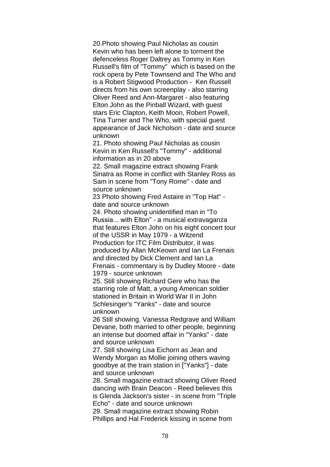20.Photo showing Paul Nicholas as cousin Kevin who has been left alone to torment the defenceless Roger Daltrey as Tommy in Ken Russell's film of "Tommy" which is based on the rock opera by Pete Townsend and The Who and is a Robert Stigwood Production - Ken Russell directs from his own screenplay - also starring Oliver Reed and Ann-Margaret - also featuring Elton John as the Pinball Wizard, with guest stars Eric Clapton, Keith Moon, Robert Powell, Tina Turner and The Who, with special guest appearance of Jack Nicholson - date and source unknown

21. Photo showing Paul Nicholas as cousin Kevin in Ken Russell's "Tommy" - additional information as in 20 above

22. Small magazine extract showing Frank Sinatra as Rome in conflict with Stanley Ross as Sam in scene from "Tony Rome" - date and source unknown

23 Photo showing Fred Astaire in "Top Hat" date and source unknown

24. Photo showing unidentified man in "To Russia... with Elton" - a musical extravaganza that features Elton John on his eight concert tour of the USSR in May 1979 - a Witzend Production for ITC Film Distributor, it was produced by Allan McKeown and Ian La Frenais and directed by Dick Clement and Ian La Frenais - commentary is by Dudley Moore - date

1979 - source unknown

25. Still showing Richard Gere who has the starring role of Matt, a young American soldier stationed in Britain in World War II in John Schlesinger's "Yanks" - date and source unknown

26 Still showing. Vanessa Redgrave and William Devane, both married to other people, beginning an intense but doomed affair in "Yanks" - date and source unknown

27. Still showing Lisa Eichorn as Jean and Wendy Morgan as Mollie joining others waving goodbye at the train station in ["Yanks"] - date and source unknown

28. Small magazine extract showing Oliver Reed dancing with Brain Deacon - Reed believes this is Glenda Jackson's sister - in scene from "Triple Echo" - date and source unknown

29. Small magazine extract showing Robin Phillips and Hal Frederick kissing in scene from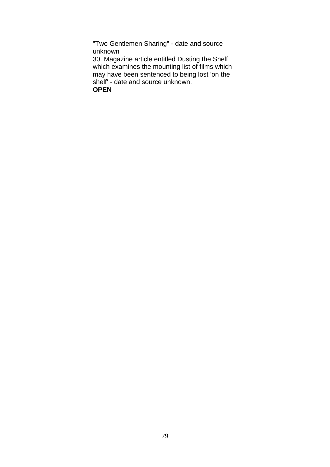"Two Gentlemen Sharing" - date and source unknown

30. Magazine article entitled Dusting the Shelf which examines the mounting list of films which may have been sentenced to being lost 'on the shelf' - date and source unknown.

**OPEN**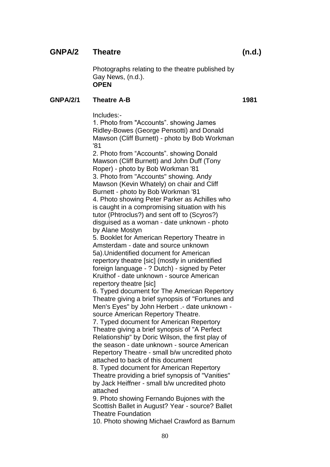# **GNPA/2 Theatre (n.d.)**

Photographs relating to the theatre published by Gay News, (n.d.). **OPEN**

### **GNPA/2/1 Theatre A-B 1981**

Includes:-

1. Photo from "Accounts". showing James Ridley-Bowes (George Pensotti) and Donald Mawson (Cliff Burnett) - photo by Bob Workman '81

2. Photo from "Accounts". showing Donald Mawson (Cliff Burnett) and John Duff (Tony Roper) - photo by Bob Workman '81 3. Photo from "Accounts" showing. Andy Mawson (Kevin Whately) on chair and Cliff Burnett - photo by Bob Workman '81 4. Photo showing Peter Parker as Achilles who is caught in a compromising situation with his tutor (Phtroclus?) and sent off to (Scyros?) disguised as a woman - date unknown - photo by Alane Mostyn

5. Booklet for American Repertory Theatre in Amsterdam - date and source unknown 5a).Unidentified document for American repertory theatre [sic] (mostly in unidentified foreign language - ? Dutch) - signed by Peter Kruithof - date unknown - source American repertory theatre [sic]

6. Typed document for The American Repertory Theatre giving a brief synopsis of "Fortunes and Men's Eyes" by John Herbert .- date unknown source American Repertory Theatre.

7. Typed document for American Repertory Theatre giving a brief synopsis of "A Perfect Relationship" by Doric Wilson, the first play of the season - date unknown - source American Repertory Theatre - small b/w uncredited photo attached to back of this document

8. Typed document for American Repertory Theatre providing a brief synopsis of "Vanities" by Jack Heiffner - small b/w uncredited photo attached

9. Photo showing Fernando Bujones with the Scottish Ballet in August? Year - source? Ballet Theatre Foundation

10. Photo showing Michael Crawford as Barnum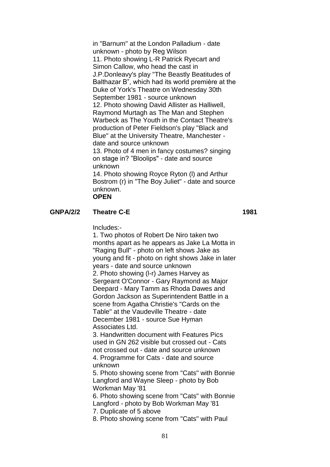in "Barnum" at the London Palladium - date unknown - photo by Reg Wilson 11. Photo showing L-R Patrick Ryecart and Simon Callow, who head the cast in J.P.Donleavy's play "The Beastly Beatitudes of Balthazar B", which had its world première at the Duke of York's Theatre on Wednesday 30th September 1981 - source unknown 12. Photo showing David Allister as Halliwell, Raymond Murtagh as The Man and Stephen Warbeck as The Youth in the Contact Theatre's production of Peter Fieldson's play "Black and Blue" at the University Theatre, Manchester date and source unknown 13. Photo of 4 men in fancy costumes? singing on stage in? "Bloolips" - date and source unknown 14. Photo showing Royce Ryton (l) and Arthur Bostrom (r) in "The Boy Juliet" - date and source unknown.

**OPEN**

#### **GNPA/2/2 Theatre C-E 1981**

Includes:-

1. Two photos of Robert De Niro taken two months apart as he appears as Jake La Motta in "Raging Bull" - photo on left shows Jake as young and fit - photo on right shows Jake in later years - date and source unknown 2. Photo showing (l-r) James Harvey as Sergeant O'Connor - Gary Raymond as Major Deepard - Mary Tamm as Rhoda Dawes and Gordon Jackson as Superintendent Battle in a scene from Agatha Christie's "Cards on the Table" at the Vaudeville Theatre - date December 1981 - source Sue Hyman Associates Ltd.

3. Handwritten document with Features Pics used in GN 262 visible but crossed out - Cats not crossed out - date and source unknown 4. Programme for Cats - date and source unknown

5. Photo showing scene from "Cats" with Bonnie Langford and Wayne Sleep - photo by Bob Workman May '81

6. Photo showing scene from "Cats" with Bonnie Langford - photo by Bob Workman May '81

7. Duplicate of 5 above

8. Photo showing scene from "Cats" with Paul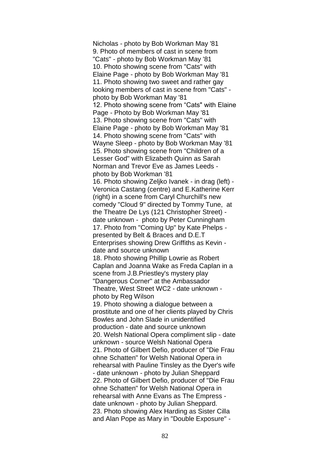Nicholas - photo by Bob Workman May '81 9. Photo of members of cast in scene from "Cats" - photo by Bob Workman May '81 10. Photo showing scene from "Cats" with Elaine Page - photo by Bob Workman May '81 11. Photo showing two sweet and rather gay looking members of cast in scene from "Cats" photo by Bob Workman May '81 12. Photo showing scene from "Cats" with Elaine Page - Photo by Bob Workman May '81 13. Photo showing scene from "Cats" with Elaine Page - photo by Bob Workman May '81 14. Photo showing scene from "Cats" with Wayne Sleep - photo by Bob Workman May '81 15. Photo showing scene from "Children of a Lesser God" with Elizabeth Quinn as Sarah Norman and Trevor Eve as James Leeds photo by Bob Workman '81 16. Photo showing Zeljko Ivanek - in drag (left) - Veronica Castang (centre) and E.Katherine Kerr (right) in a scene from Caryl Churchill's new comedy "Cloud 9" directed by Tommy Tune, at the Theatre De Lys (121 Christopher Street) date unknown - photo by Peter Cunningham 17. Photo from "Coming Up" by Kate Phelps presented by Belt & Braces and D.E.T Enterprises showing Drew Griffiths as Kevin date and source unknown 18. Photo showing Phillip Lowrie as Robert Caplan and Joanna Wake as Freda Caplan in a scene from J.B.Priestley's mystery play "Dangerous Corner" at the Ambassador Theatre, West Street WC2 - date unknown photo by Reg Wilson 19. Photo showing a dialogue between a prostitute and one of her clients played by Chris Bowles and John Slade in unidentified production - date and source unknown 20. Welsh National Opera compliment slip - date unknown - source Welsh National Opera 21. Photo of Gilbert Defio, producer of "Die Frau ohne Schatten" for Welsh National Opera in rehearsal with Pauline Tinsley as the Dyer's wife - date unknown - photo by Julian Sheppard 22. Photo of Gilbert Defio, producer of "Die Frau ohne Schatten" for Welsh National Opera in rehearsal with Anne Evans as The Empress date unknown - photo by Julian Sheppard. 23. Photo showing Alex Harding as Sister Cilla and Alan Pope as Mary in "Double Exposure" -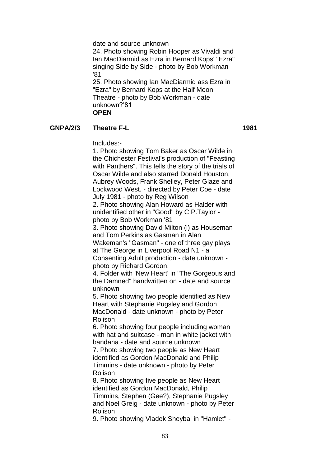date and source unknown 24. Photo showing Robin Hooper as Vivaldi and Ian MacDiarmid as Ezra in Bernard Kops' "Ezra" singing Side by Side - photo by Bob Workman '81

25. Photo showing Ian MacDiarmid ass Ezra in "Ezra" by Bernard Kops at the Half Moon Theatre - photo by Bob Workman - date unknown?'81 **OPEN**

#### **GNPA/2/3 Theatre F-L 1981**

Includes:-

1. Photo showing Tom Baker as Oscar Wilde in the Chichester Festival's production of "Feasting with Panthers". This tells the story of the trials of Oscar Wilde and also starred Donald Houston, Aubrey Woods, Frank Shelley, Peter Glaze and Lockwood West. - directed by Peter Coe - date July 1981 - photo by Reg Wilson 2. Photo showing Alan Howard as Halder with unidentified other in "Good" by C.P.Taylor photo by Bob Workman '81 3. Photo showing David Milton (l) as Houseman and Tom Perkins as Gasman in Alan Wakeman's "Gasman" - one of three gay plays at The George in Liverpool Road N1 - a Consenting Adult production - date unknown photo by Richard Gordon. 4. Folder with 'New Heart' in "The Gorgeous and the Damned" handwritten on - date and source unknown 5. Photo showing two people identified as New Heart with Stephanie Pugsley and Gordon MacDonald - date unknown - photo by Peter Rolison 6. Photo showing four people including woman with hat and suitcase - man in white jacket with bandana - date and source unknown 7. Photo showing two people as New Heart identified as Gordon MacDonald and Philip Timmins - date unknown - photo by Peter Rolison 8. Photo showing five people as New Heart identified as Gordon MacDonald, Philip Timmins, Stephen (Gee?), Stephanie Pugsley and Noel Greig - date unknown - photo by Peter Rolison 9. Photo showing Vladek Sheybal in "Hamlet" -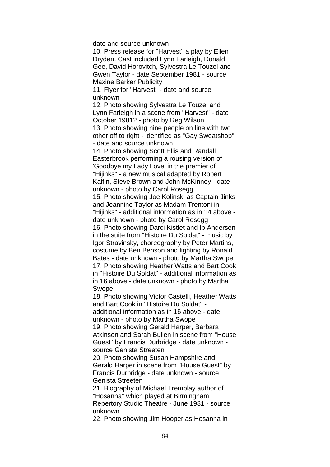date and source unknown

10. Press release for "Harvest" a play by Ellen Dryden. Cast included Lynn Farleigh, Donald Gee, David Horovitch, Sylvestra Le Touzel and Gwen Taylor - date September 1981 - source Maxine Barker Publicity

11. Flyer for "Harvest" - date and source unknown

12. Photo showing Sylvestra Le Touzel and Lynn Farleigh in a scene from "Harvest" - date October 1981? - photo by Reg Wilson 13. Photo showing nine people on line with two other off to right - identified as "Gay Sweatshop" - date and source unknown

14. Photo showing Scott Ellis and Randall Easterbrook performing a rousing version of 'Goodbye my Lady Love' in the premier of "Hijinks" - a new musical adapted by Robert Kalfin, Steve Brown and John McKinney - date unknown - photo by Carol Rosegg 15. Photo showing Joe Kolinski as Captain Jinks and Jeannine Taylor as Madam Trentoni in

"Hijinks" - additional information as in 14 above date unknown - photo by Carol Rosegg

16. Photo showing Darci Kistlet and Ib Andersen in the suite from "Histoire Du Soldat" - music by Igor Stravinsky, choreography by Peter Martins, costume by Ben Benson and lighting by Ronald Bates - date unknown - photo by Martha Swope 17. Photo showing Heather Watts and Bart Cook in "Histoire Du Soldat" - additional information as in 16 above - date unknown - photo by Martha Swope

18. Photo showing Victor Castelli, Heather Watts and Bart Cook in "Histoire Du Soldat" additional information as in 16 above - date unknown - photo by Martha Swope

19. Photo showing Gerald Harper, Barbara Atkinson and Sarah Bullen in scene from "House Guest" by Francis Durbridge - date unknown source Genista Streeten

20. Photo showing Susan Hampshire and Gerald Harper in scene from "House Guest" by Francis Durbridge - date unknown - source Genista Streeten

21. Biography of Michael Tremblay author of "Hosanna" which played at Birmingham Repertory Studio Theatre - June 1981 - source unknown

22. Photo showing Jim Hooper as Hosanna in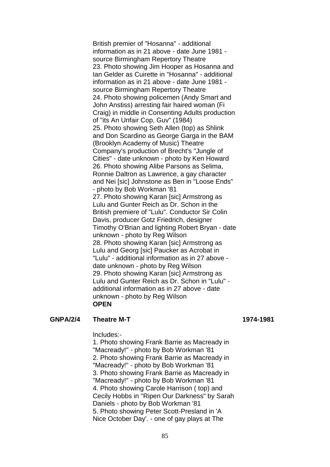British premier of "Hosanna" - additional information as in 21 above - date June 1981 source Birmingham Repertory Theatre 23. Photo showing Jim Hooper as Hosanna and Ian Gelder as Cuirette in "Hosanna" - additional information as in 21 above - date June 1981 source Birmingham Repertory Theatre 24. Photo showing policemen (Andy Smart and John Anstiss) arresting fair haired woman (Fi Craig) in middle in Consenting Adults production of "its An Unfair Cop, Guv" (1984) 25. Photo showing Seth Allen (top) as Shlink and Don Scardino as George Garga in the BAM (Brooklyn Academy of Music) Theatre Company's production of Brecht's "Jungle of Cities" - date unknown - photo by Ken Howard 26. Photo showing Alibe Parsons as Selima, Ronnie Daltron as Lawrence, a gay character and Nei [sic] Johnstone as Ben in "Loose Ends" - photo by Bob Workman '81 27. Photo showing Karan [sic] Armstrong as Lulu and Gunter Reich as Dr. Schon in the British premiere of "Lulu". Conductor Sir Colin Davis, producer Gotz Friedrich, designer Timothy O'Brian and lighting Robert Bryan - date unknown - photo by Reg Wilson 28. Photo showing Karan [sic] Armstrong as Lulu and Georg [sic] Paucker as Acrobat in "Lulu" - additional information as in 27 above date unknown - photo by Reg Wilson 29. Photo showing Karan [sic] Armstrong as Lulu and Gunter Reich as Dr. Schon in "Lulu" additional information as in 27 above - date unknown - photo by Reg Wilson **OPEN**

#### **GNPA/2/4 Theatre M-T 1974-1981**

Includes:-

1. Photo showing Frank Barrie as Macready in "Macready!" - photo by Bob Workman '81 2. Photo showing Frank Barrie as Macready in "Macready!" - photo by Bob Workman '81 3. Photo showing Frank Barrie as Macready in "Macready!" - photo by Bob Workman '81 4. Photo showing Carole Harrison ( top) and Cecily Hobbs in "Ripen Our Darkness" by Sarah Daniels - photo by Bob Workman '81 5. Photo showing Peter Scott-Presland in 'A Nice October Day'. - one of gay plays at The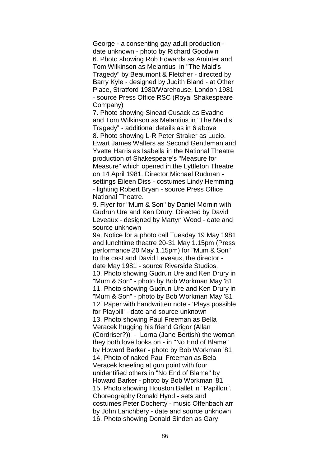George - a consenting gay adult production date unknown - photo by Richard Goodwin 6. Photo showing Rob Edwards as Aminter and Tom Wilkinson as Melantius in "The Maid's Tragedy" by Beaumont & Fletcher - directed by Barry Kyle - designed by Judith Bland - at Other Place, Stratford 1980/Warehouse, London 1981 - source Press Office RSC (Royal Shakespeare Company)

7. Photo showing Sinead Cusack as Evadne and Tom Wilkinson as Melantius in "The Maid's Tragedy" - additional details as in 6 above 8. Photo showing L-R Peter Straker as Lucio. Ewart James Walters as Second Gentleman and Yvette Harris as Isabella in the National Theatre production of Shakespeare's "Measure for Measure" which opened in the Lyttleton Theatre on 14 April 1981. Director Michael Rudman settings Eileen Diss - costumes Lindy Hemming - lighting Robert Bryan - source Press Office National Theatre.

9. Flyer for "Mum & Son" by Daniel Mornin with Gudrun Ure and Ken Drury. Directed by David Leveaux - designed by Martyn Wood - date and source unknown

9a. Notice for a photo call Tuesday 19 May 1981 and lunchtime theatre 20-31 May 1.15pm (Press performance 20 May 1.15pm) for "Mum & Son" to the cast and David Leveaux, the director date May 1981 - source Riverside Studios. 10. Photo showing Gudrun Ure and Ken Drury in "Mum & Son" - photo by Bob Workman May '81 11. Photo showing Gudrun Ure and Ken Drury in "Mum & Son" - photo by Bob Workman May '81 12. Paper with handwritten note - 'Plays possible for Playbill' - date and source unknown 13. Photo showing Paul Freeman as Bella Veracek hugging his friend Grigor (Allan (Cordriser?)) - Lorna (Jane Bertish) the woman they both love looks on - in "No End of Blame" by Howard Barker - photo by Bob Workman '81 14. Photo of naked Paul Freeman as Bela Veracek kneeling at gun point with four unidentified others in "No End of Blame" by Howard Barker - photo by Bob Workman '81 15. Photo showing Houston Ballet in "Papillon". Choreography Ronald Hynd - sets and costumes Peter Docherty - music Offenbach arr by John Lanchbery - date and source unknown 16. Photo showing Donald Sinden as Gary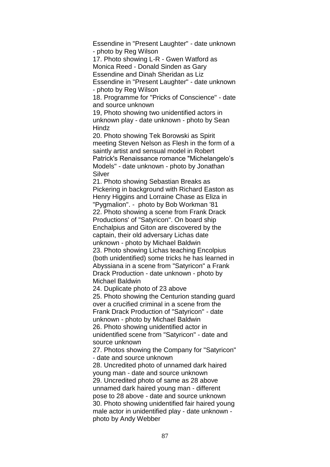Essendine in "Present Laughter" - date unknown - photo by Reg Wilson

17. Photo showing L-R - Gwen Watford as Monica Reed - Donald Sinden as Gary

Essendine and Dinah Sheridan as Liz

Essendine in "Present Laughter" - date unknown - photo by Reg Wilson

18. Programme for "Pricks of Conscience" - date and source unknown

19, Photo showing two unidentified actors in unknown play - date unknown - photo by Sean **Hindz** 

20. Photo showing Tek Borowski as Spirit meeting Steven Nelson as Flesh in the form of a saintly artist and sensual model in Robert Patrick's Renaissance romance "Michelangelo's Models" - date unknown - photo by Jonathan Silver

21. Photo showing Sebastian Breaks as Pickering in background with Richard Easton as Henry Higgins and Lorraine Chase as Eliza in "Pygmalion". - photo by Bob Workman '81 22. Photo showing a scene from Frank Drack Productions' of "Satyricon". On board ship Enchalpius and Giton are discovered by the captain, their old adversary Lichas date unknown - photo by Michael Baldwin 23. Photo showing Lichas teaching Encolpius (both unidentified) some tricks he has learned in Abyssiana in a scene from "Satyricon" a Frank Drack Production - date unknown - photo by Michael Baldwin

24. Duplicate photo of 23 above

25. Photo showing the Centurion standing guard over a crucified criminal in a scene from the Frank Drack Production of "Satyricon" - date unknown - photo by Michael Baldwin 26. Photo showing unidentified actor in unidentified scene from "Satyricon" - date and source unknown

27. Photos showing the Company for "Satyricon" - date and source unknown

28. Uncredited photo of unnamed dark haired young man - date and source unknown 29. Uncredited photo of same as 28 above unnamed dark haired young man - different pose to 28 above - date and source unknown 30. Photo showing unidentified fair haired young male actor in unidentified play - date unknown photo by Andy Webber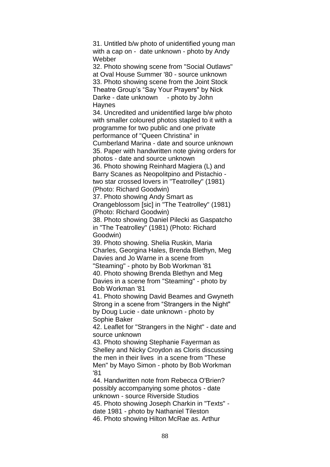31. Untitled b/w photo of unidentified young man with a cap on - date unknown - photo by Andy Webber

32. Photo showing scene from "Social Outlaws" at Oval House Summer '80 - source unknown 33. Photo showing scene from the Joint Stock Theatre Group's "Say Your Prayers" by Nick Darke - date unknown - photo by John **Haynes** 

34. Uncredited and unidentified large b/w photo with smaller coloured photos stapled to it with a programme for two public and one private performance of "Queen Christina" in Cumberland Marina - date and source unknown 35. Paper with handwritten note giving orders for

photos - date and source unknown

36. Photo showing Reinhard Magiera (L) and Barry Scanes as Neopolitpino and Pistachio two star crossed lovers in "Teatrolley" (1981) (Photo: Richard Goodwin)

37. Photo showing Andy Smart as

Orangeblossom [sic] in "The Teatrolley" (1981) (Photo: Richard Goodwin)

38. Photo showing Daniel Pilecki as Gaspatcho in "The Teatrolley" (1981) (Photo: Richard Goodwin)

39. Photo showing. Shelia Ruskin, Maria Charles, Georgina Hales, Brenda Blethyn, Meg Davies and Jo Warne in a scene from "Steaming" - photo by Bob Workman '81

40. Photo showing Brenda Blethyn and Meg Davies in a scene from "Steaming" - photo by Bob Workman '81

41. Photo showing David Beames and Gwyneth Strong in a scene from "Strangers in the Night" by Doug Lucie - date unknown - photo by Sophie Baker

42. Leaflet for "Strangers in the Night" - date and source unknown

43. Photo showing Stephanie Fayerman as Shelley and Nicky Croydon as Cloris discussing the men in their lives in a scene from "These Men" by Mayo Simon - photo by Bob Workman '81

44. Handwritten note from Rebecca O'Brien? possibly accompanying some photos - date unknown - source Riverside Studios 45. Photo showing Joseph Charkin in "Texts" date 1981 - photo by Nathaniel Tileston 46. Photo showing Hilton McRae as. Arthur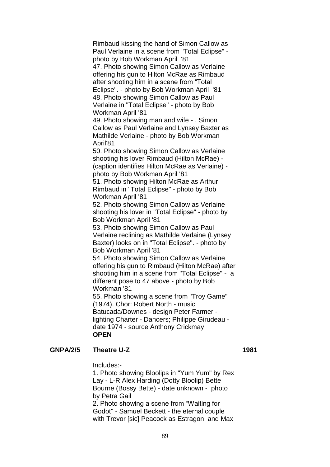Rimbaud kissing the hand of Simon Callow as Paul Verlaine in a scene from "Total Eclipse" photo by Bob Workman April '81 47. Photo showing Simon Callow as Verlaine offering his gun to Hilton McRae as Rimbaud after shooting him in a scene from "Total Eclipse". - photo by Bob Workman April '81 48. Photo showing Simon Callow as Paul Verlaine in "Total Eclipse" - photo by Bob Workman April '81 49. Photo showing man and wife - . Simon Callow as Paul Verlaine and Lynsey Baxter as Mathilde Verlaine - photo by Bob Workman April'81 50. Photo showing Simon Callow as Verlaine shooting his lover Rimbaud (Hilton McRae) - (caption identifies Hilton McRae as Verlaine) photo by Bob Workman April '81 51. Photo showing Hilton McRae as Arthur Rimbaud in "Total Eclipse" - photo by Bob Workman April '81 52. Photo showing Simon Callow as Verlaine shooting his lover in "Total Eclipse" - photo by Bob Workman April '81 53. Photo showing Simon Callow as Paul Verlaine reclining as Mathilde Verlaine (Lynsey Baxter) looks on in "Total Eclipse". - photo by Bob Workman April '81 54. Photo showing Simon Callow as Verlaine offering his gun to Rimbaud (Hilton McRae) after shooting him in a scene from "Total Eclipse" - a different pose to 47 above - photo by Bob Workman '81 55. Photo showing a scene from "Troy Game" (1974). Chor: Robert North - music Batucada/Downes - design Peter Farmer lighting Charter - Dancers; Philippe Girudeau date 1974 - source Anthony Crickmay **OPEN**

**GNPA/2/5 Theatre U-Z 1981**

Includes:-

1. Photo showing Bloolips in "Yum Yum" by Rex Lay - L-R Alex Harding (Dotty Bloolip) Bette Bourne (Bossy Bette) - date unknown - photo by Petra Gail 2. Photo showing a scene from "Waiting for Godot" - Samuel Beckett - the eternal couple with Trevor [sic] Peacock as Estragon and Max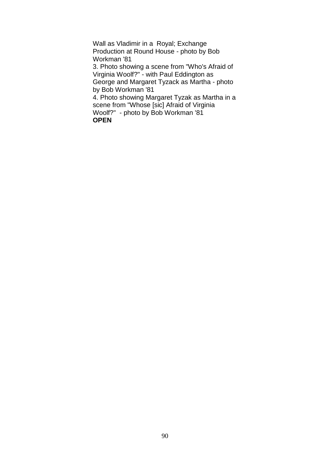Wall as Vladimir in a Royal; Exchange Production at Round House - photo by Bob Workman '81 3. Photo showing a scene from "Who's Afraid of Virginia Woolf?" - with Paul Eddington as George and Margaret Tyzack as Martha - photo by Bob Workman '81 4. Photo showing Margaret Tyzak as Martha in a scene from "Whose [sic] Afraid of Virginia Woolf?" - photo by Bob Workman '81 **OPEN**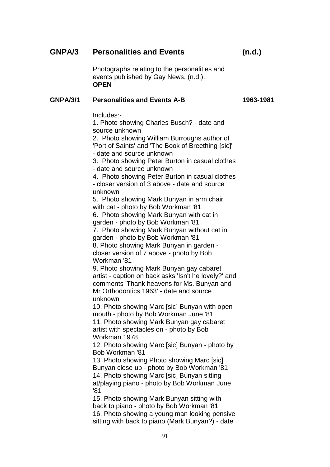# **GNPA/3 Personalities and Events (n.d.)**

Photographs relating to the personalities and events published by Gay News, (n.d.). **OPEN**

#### **GNPA/3/1 Personalities and Events A-B 1963-1981**

Includes:-

1. Photo showing Charles Busch? - date and source unknown

2. Photo showing William Burroughs author of 'Port of Saints' and 'The Book of Breething [sic]' - date and source unknown

3. Photo showing Peter Burton in casual clothes - date and source unknown

4. Photo showing Peter Burton in casual clothes - closer version of 3 above - date and source unknown

5. Photo showing Mark Bunyan in arm chair with cat - photo by Bob Workman '81

6. Photo showing Mark Bunyan with cat in garden - photo by Bob Workman '81

7. Photo showing Mark Bunyan without cat in garden - photo by Bob Workman '81

8. Photo showing Mark Bunyan in garden closer version of 7 above - photo by Bob Workman '81

9. Photo showing Mark Bunyan gay cabaret artist - caption on back asks 'Isn't he lovely?' and comments 'Thank heavens for Ms. Bunyan and Mr Orthodontics 1963' - date and source unknown

10. Photo showing Marc [sic] Bunyan with open mouth - photo by Bob Workman June '81 11. Photo showing Mark Bunyan gay cabaret artist with spectacles on - photo by Bob Workman 1978

12. Photo showing Marc [sic] Bunyan - photo by Bob Workman '81

13. Photo showing Photo showing Marc [sic] Bunyan close up - photo by Bob Workman '81 14. Photo showing Marc [sic] Bunyan sitting at/playing piano - photo by Bob Workman June '81

15. Photo showing Mark Bunyan sitting with back to piano - photo by Bob Workman '81 16. Photo showing a young man looking pensive sitting with back to piano (Mark Bunyan?) - date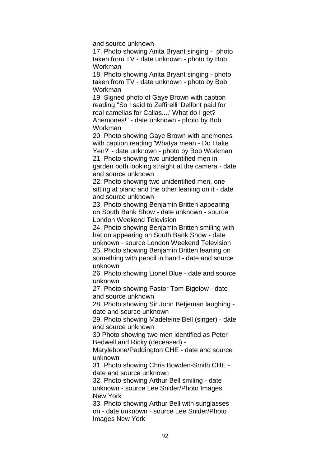and source unknown

17. Photo showing Anita Bryant singing - photo taken from TV - date unknown - photo by Bob Workman

18. Photo showing Anita Bryant singing - photo taken from TV - date unknown - photo by Bob Workman

19. Signed photo of Gaye Brown with caption reading "So I said to Zeffirelli 'Delfont paid for real camelias for Callas....' What do I get? Anemones!" - date unknown - photo by Bob Workman

20. Photo showing Gaye Brown with anemones with caption reading 'Whatya mean - Do I take Yen?' - date unknown - photo by Bob Workman 21. Photo showing two unidentified men in garden both looking straight at the camera - date

and source unknown

22. Photo showing two unidentified men, one sitting at piano and the other leaning on it - date and source unknown

23. Photo showing Benjamin Britten appearing on South Bank Show - date unknown - source London Weekend Television

24. Photo showing Benjamin Britten smiling with hat on appearing on South Bank Show - date unknown - source London Weekend Television 25. Photo showing Benjamin Britten leaning on something with pencil in hand - date and source unknown

26. Photo showing Lionel Blue - date and source unknown

27. Photo showing Pastor Tom Bigelow - date and source unknown

28. Photo showing Sir John Betjeman laughing date and source unknown

29. Photo showing Madeleine Bell (singer) - date and source unknown

30 Photo showing two men identified as Peter Bedwell and Ricky (deceased) -

Marylebone/Paddington CHE - date and source unknown

31. Photo showing Chris Bowden-Smith CHE date and source unknown

32. Photo showing Arthur Bell smiling - date unknown - source Lee Snider/Photo Images New York

33. Photo showing Arthur Bell with sunglasses on - date unknown - source Lee Snider/Photo Images New York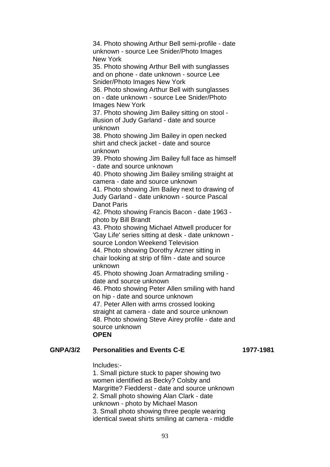34. Photo showing Arthur Bell semi-profile - date unknown - source Lee Snider/Photo Images New York

35. Photo showing Arthur Bell with sunglasses and on phone - date unknown - source Lee Snider/Photo Images New York

36. Photo showing Arthur Bell with sunglasses on - date unknown - source Lee Snider/Photo Images New York

37. Photo showing Jim Bailey sitting on stool illusion of Judy Garland - date and source unknown

38. Photo showing Jim Bailey in open necked shirt and check jacket - date and source unknown

39. Photo showing Jim Bailey full face as himself - date and source unknown

40. Photo showing Jim Bailey smiling straight at camera - date and source unknown

41. Photo showing Jim Bailey next to drawing of Judy Garland - date unknown - source Pascal Danot Paris

42. Photo showing Francis Bacon - date 1963 photo by Bill Brandt

43. Photo showing Michael Attwell producer for 'Gay Life' series sitting at desk - date unknown source London Weekend Television

44. Photo showing Dorothy Arzner sitting in chair looking at strip of film - date and source unknown

45. Photo showing Joan Armatrading smiling date and source unknown

46. Photo showing Peter Allen smiling with hand on hip - date and source unknown

47. Peter Allen with arms crossed looking straight at camera - date and source unknown 48. Photo showing Steve Airey profile - date and source unknown

### **OPEN**

## **GNPA/3/2 Personalities and Events C-E 1977-1981**

Includes:-

1. Small picture stuck to paper showing two women identified as Becky? Colsby and Margritte? Fiedderst - date and source unknown 2. Small photo showing Alan Clark - date unknown - photo by Michael Mason 3. Small photo showing three people wearing identical sweat shirts smiling at camera - middle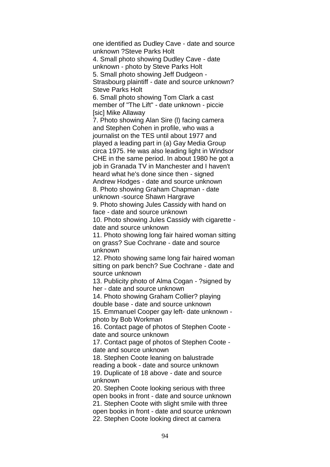one identified as Dudley Cave - date and source unknown ?Steve Parks Holt 4. Small photo showing Dudley Cave - date unknown - photo by Steve Parks Holt 5. Small photo showing Jeff Dudgeon - Strasbourg plaintiff - date and source unknown? Steve Parks Holt 6. Small photo showing Tom Clark a cast member of "The Lift" - date unknown - piccie **[sic] Mike Allaway** 7. Photo showing Alan Sire (l) facing camera and Stephen Cohen in profile, who was a journalist on the TES until about 1977 and played a leading part in (a) Gay Media Group circa 1975. He was also leading light in Windsor CHE in the same period. In about 1980 he got a job in Granada TV in Manchester and I haven't heard what he's done since then - signed Andrew Hodges - date and source unknown 8. Photo showing Graham Chapman - date unknown -source Shawn Hargrave 9. Photo showing Jules Cassidy with hand on face - date and source unknown 10. Photo showing Jules Cassidy with cigarette date and source unknown 11. Photo showing long fair haired woman sitting on grass? Sue Cochrane - date and source unknown 12. Photo showing same long fair haired woman sitting on park bench? Sue Cochrane - date and source unknown 13. Publicity photo of Alma Cogan - ?signed by her - date and source unknown 14. Photo showing Graham Collier? playing double base - date and source unknown 15. Emmanuel Cooper gay left- date unknown photo by Bob Workman 16. Contact page of photos of Stephen Coote date and source unknown 17. Contact page of photos of Stephen Coote date and source unknown 18. Stephen Coote leaning on balustrade reading a book - date and source unknown 19. Duplicate of 18 above - date and source unknown 20. Stephen Coote looking serious with three

open books in front - date and source unknown 21. Stephen Coote with slight smile with three open books in front - date and source unknown 22. Stephen Coote looking direct at camera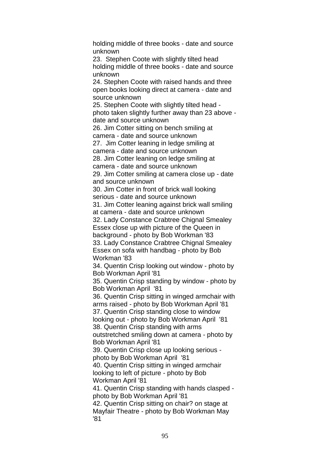holding middle of three books - date and source unknown 23. Stephen Coote with slightly tilted head holding middle of three books - date and source unknown 24. Stephen Coote with raised hands and three open books looking direct at camera - date and source unknown 25. Stephen Coote with slightly tilted head photo taken slightly further away than 23 above date and source unknown 26. Jim Cotter sitting on bench smiling at camera - date and source unknown 27. Jim Cotter leaning in ledge smiling at camera - date and source unknown 28. Jim Cotter leaning on ledge smiling at camera - date and source unknown 29. Jim Cotter smiling at camera close up - date and source unknown 30. Jim Cotter in front of brick wall looking serious - date and source unknown 31. Jim Cotter leaning against brick wall smiling at camera - date and source unknown 32. Lady Constance Crabtree Chignal Smealey Essex close up with picture of the Queen in background - photo by Bob Workman '83 33. Lady Constance Crabtree Chignal Smealey Essex on sofa with handbag - photo by Bob Workman '83 34. Quentin Crisp looking out window - photo by Bob Workman April '81 35. Quentin Crisp standing by window - photo by Bob Workman April '81 36. Quentin Crisp sitting in winged armchair with arms raised - photo by Bob Workman April '81 37. Quentin Crisp standing close to window looking out - photo by Bob Workman April '81 38. Quentin Crisp standing with arms outstretched smiling down at camera - photo by Bob Workman April '81 39. Quentin Crisp close up looking serious photo by Bob Workman April '81 40. Quentin Crisp sitting in winged armchair looking to left of picture - photo by Bob Workman April '81 41. Quentin Crisp standing with hands clasped photo by Bob Workman April '81 42. Quentin Crisp sitting on chair? on stage at Mayfair Theatre - photo by Bob Workman May '81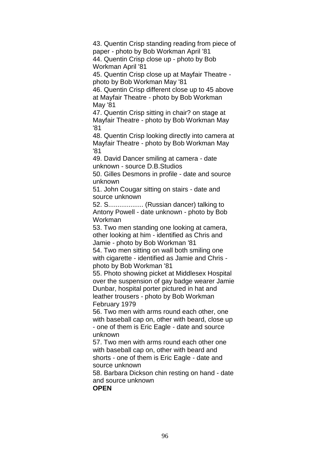43. Quentin Crisp standing reading from piece of paper - photo by Bob Workman April '81 44. Quentin Crisp close up - photo by Bob Workman April '81

45. Quentin Crisp close up at Mayfair Theatre photo by Bob Workman May '81

46. Quentin Crisp different close up to 45 above at Mayfair Theatre - photo by Bob Workman May '81

47. Quentin Crisp sitting in chair? on stage at Mayfair Theatre - photo by Bob Workman May '81

48. Quentin Crisp looking directly into camera at Mayfair Theatre - photo by Bob Workman May '81

49. David Dancer smiling at camera - date unknown - source D.B.Studios

50. Gilles Desmons in profile - date and source unknown

51. John Cougar sitting on stairs - date and source unknown

52. S................... (Russian dancer) talking to Antony Powell - date unknown - photo by Bob Workman

53. Two men standing one looking at camera, other looking at him - identified as Chris and Jamie - photo by Bob Workman '81

54. Two men sitting on wall both smiling one with cigarette - identified as Jamie and Chris photo by Bob Workman '81

55. Photo showing picket at Middlesex Hospital over the suspension of gay badge wearer Jamie Dunbar, hospital porter pictured in hat and leather trousers - photo by Bob Workman February 1979

56. Two men with arms round each other, one with baseball cap on, other with beard, close up - one of them is Eric Eagle - date and source unknown

57. Two men with arms round each other one with baseball cap on, other with beard and shorts - one of them is Eric Eagle - date and source unknown

58. Barbara Dickson chin resting on hand - date and source unknown **OPEN**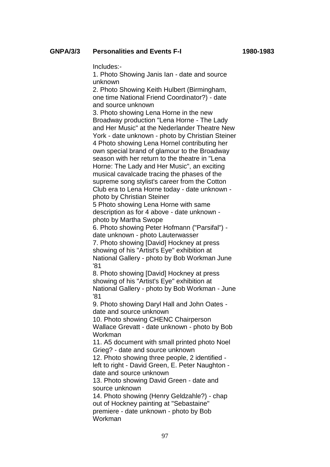Includes:-

1. Photo Showing Janis Ian - date and source unknown

2. Photo Showing Keith Hulbert (Birmingham, one time National Friend Coordinator?) - date and source unknown

3. Photo showing Lena Horne in the new Broadway production "Lena Horne - The Lady and Her Music" at the Nederlander Theatre New York - date unknown - photo by Christian Steiner 4 Photo showing Lena Hornel contributing her own special brand of glamour to the Broadway season with her return to the theatre in "Lena Horne: The Lady and Her Music", an exciting musical cavalcade tracing the phases of the supreme song stylist's career from the Cotton Club era to Lena Horne today - date unknown photo by Christian Steiner

5 Photo showing Lena Horne with same description as for 4 above - date unknown photo by Martha Swope

6. Photo showing Peter Hofmann ("Parsifal") date unknown - photo Lauterwasser

7. Photo showing [David] Hockney at press showing of his "Artist's Eye" exhibition at National Gallery - photo by Bob Workman June '81

8. Photo showing [David] Hockney at press showing of his "Artist's Eye" exhibition at National Gallery - photo by Bob Workman - June '81

9. Photo showing Daryl Hall and John Oates date and source unknown

10. Photo showing CHENC Chairperson Wallace Grevatt - date unknown - photo by Bob Workman

11. A5 document with small printed photo Noel Grieg? - date and source unknown

12. Photo showing three people, 2 identified left to right - David Green, E. Peter Naughton date and source unknown

13. Photo showing David Green - date and source unknown

14. Photo showing (Henry Geldzahle?) - chap out of Hockney painting at "Sebastaine" premiere - date unknown - photo by Bob Workman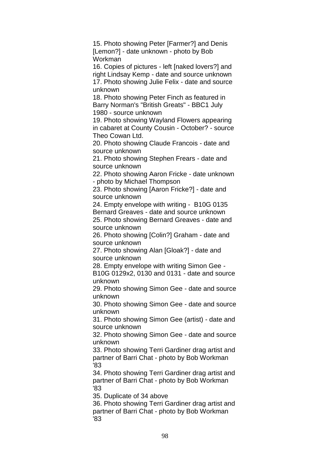15. Photo showing Peter [Farmer?] and Denis [Lemon?] - date unknown - photo by Bob Workman

16. Copies of pictures - left [naked lovers?] and right Lindsay Kemp - date and source unknown 17. Photo showing Julie Felix - date and source unknown

18. Photo showing Peter Finch as featured in Barry Norman's "British Greats" - BBC1 July 1980 - source unknown

19. Photo showing Wayland Flowers appearing in cabaret at County Cousin - October? - source Theo Cowan Ltd.

20. Photo showing Claude Francois - date and source unknown

21. Photo showing Stephen Frears - date and source unknown

22. Photo showing Aaron Fricke - date unknown - photo by Michael Thompson

23. Photo showing [Aaron Fricke?] - date and source unknown

24. Empty envelope with writing - B10G 0135 Bernard Greaves - date and source unknown

25. Photo showing Bernard Greaves - date and source unknown

26. Photo showing [Colin?] Graham - date and source unknown

27. Photo showing Alan [Gloak?] - date and source unknown

28. Empty envelope with writing Simon Gee -

B10G 0129x2, 0130 and 0131 - date and source unknown

29. Photo showing Simon Gee - date and source unknown

30. Photo showing Simon Gee - date and source unknown

31. Photo showing Simon Gee (artist) - date and source unknown

32. Photo showing Simon Gee - date and source unknown

33. Photo showing Terri Gardiner drag artist and partner of Barri Chat - photo by Bob Workman '83

34. Photo showing Terri Gardiner drag artist and partner of Barri Chat - photo by Bob Workman '83

35. Duplicate of 34 above

36. Photo showing Terri Gardiner drag artist and partner of Barri Chat - photo by Bob Workman '83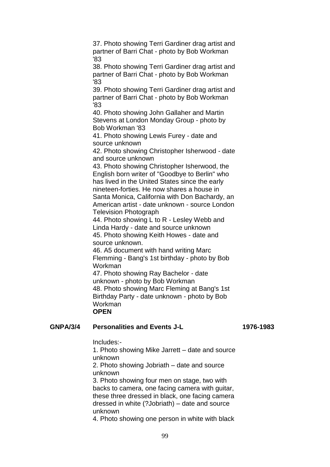37. Photo showing Terri Gardiner drag artist and partner of Barri Chat - photo by Bob Workman '83 38. Photo showing Terri Gardiner drag artist and partner of Barri Chat - photo by Bob Workman '83 39. Photo showing Terri Gardiner drag artist and partner of Barri Chat - photo by Bob Workman '83 40. Photo showing John Gallaher and Martin Stevens at London Monday Group - photo by Bob Workman '83 41. Photo showing Lewis Furey - date and source unknown 42. Photo showing Christopher Isherwood - date and source unknown 43. Photo showing Christopher Isherwood, the English born writer of "Goodbye to Berlin" who has lived in the United States since the early nineteen-forties. He now shares a house in Santa Monica, California with Don Bachardy, an American artist - date unknown - source London Television Photograph 44. Photo showing L to R - Lesley Webb and Linda Hardy - date and source unknown 45. Photo showing Keith Howes - date and source unknown. 46. A5 document with hand writing Marc Flemming - Bang's 1st birthday - photo by Bob Workman 47. Photo showing Ray Bachelor - date unknown - photo by Bob Workman

48. Photo showing Marc Fleming at Bang's 1st Birthday Party - date unknown - photo by Bob Workman **OPEN**

#### **GNPA/3/4 Personalities and Events J-L 1976-1983**

Includes:-

1. Photo showing Mike Jarrett – date and source unknown

2. Photo showing Jobriath – date and source unknown

3. Photo showing four men on stage, two with backs to camera, one facing camera with guitar, these three dressed in black, one facing camera dressed in white (?Jobriath) – date and source unknown

4. Photo showing one person in white with black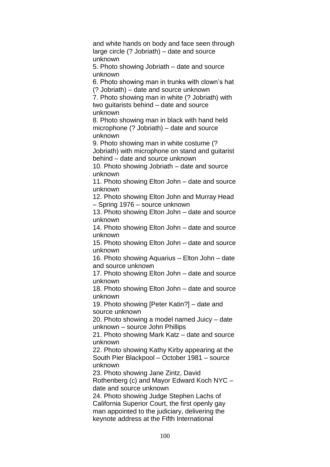and white hands on body and face seen through large circle (? Jobriath) – date and source unknown

5. Photo showing Jobriath – date and source unknown

6. Photo showing man in trunks with clown's hat (? Jobriath) – date and source unknown

7. Photo showing man in white (? Jobriath) with two guitarists behind – date and source unknown

8. Photo showing man in black with hand held microphone (? Jobriath) – date and source unknown

9. Photo showing man in white costume (? Jobriath) with microphone on stand and guitarist behind – date and source unknown

10. Photo showing Jobriath – date and source unknown

11. Photo showing Elton John – date and source unknown

12. Photo showing Elton John and Murray Head – Spring 1976 – source unknown

13. Photo showing Elton John – date and source unknown

14. Photo showing Elton John – date and source unknown

15. Photo showing Elton John – date and source unknown

16. Photo showing Aquarius – Elton John – date and source unknown

17. Photo showing Elton John – date and source unknown

18. Photo showing Elton John – date and source unknown

19. Photo showing [Peter Katin?] – date and source unknown

20. Photo showing a model named Juicy – date unknown – source John Phillips

21. Photo showing Mark Katz – date and source unknown

22. Photo showing Kathy Kirby appearing at the South Pier Blackpool – October 1981 – source unknown

23. Photo showing Jane Zintz, David

Rothenberg (c) and Mayor Edward Koch NYC – date and source unknown

24. Photo showing Judge Stephen Lachs of California Superior Court, the first openly gay man appointed to the judiciary, delivering the keynote address at the Fifth International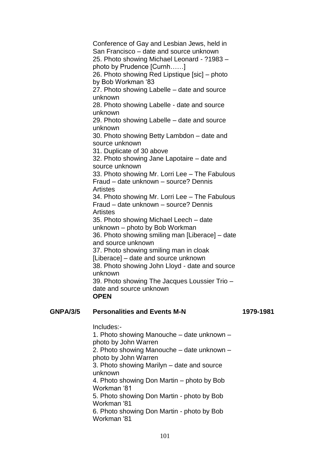Conference of Gay and Lesbian Jews, held in San Francisco – date and source unknown 25. Photo showing Michael Leonard - ?1983 – photo by Prudence [Curnh……] 26. Photo showing Red Lipstique [sic] – photo by Bob Workman '83 27. Photo showing Labelle – date and source unknown 28. Photo showing Labelle - date and source unknown 29. Photo showing Labelle – date and source unknown 30. Photo showing Betty Lambdon – date and source unknown 31. Duplicate of 30 above 32. Photo showing Jane Lapotaire – date and source unknown 33. Photo showing Mr. Lorri Lee – The Fabulous Fraud – date unknown – source? Dennis **Artistes** 34. Photo showing Mr. Lorri Lee – The Fabulous Fraud – date unknown – source? Dennis **Artistes** 35. Photo showing Michael Leech – date unknown – photo by Bob Workman 36. Photo showing smiling man [Liberace] – date and source unknown 37. Photo showing smiling man in cloak [Liberace] – date and source unknown 38. Photo showing John Lloyd - date and source unknown 39. Photo showing The Jacques Loussier Trio – date and source unknown **OPEN**

## **GNPA/3/5 Personalities and Events M-N 1979-1981**

Includes:- 1. Photo showing Manouche – date unknown – photo by John Warren 2. Photo showing Manouche – date unknown – photo by John Warren 3. Photo showing Marilyn – date and source unknown 4. Photo showing Don Martin – photo by Bob Workman '81 5. Photo showing Don Martin - photo by Bob Workman '81 6. Photo showing Don Martin - photo by Bob Workman '81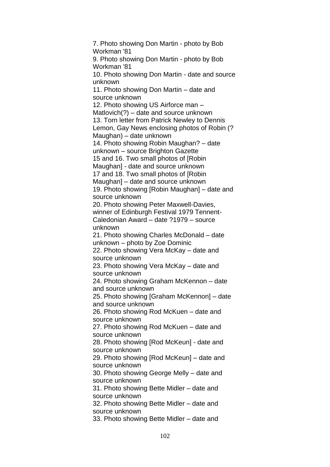7. Photo showing Don Martin - photo by Bob Workman '81 9. Photo showing Don Martin - photo by Bob Workman '81 10. Photo showing Don Martin - date and source unknown 11. Photo showing Don Martin – date and source unknown 12. Photo showing US Airforce man – Matlovich(?) – date and source unknown 13. Torn letter from Patrick Newley to Dennis Lemon, Gay News enclosing photos of Robin (? Maughan) – date unknown 14. Photo showing Robin Maughan? – date unknown – source Brighton Gazette 15 and 16. Two small photos of [Robin Maughan] - date and source unknown 17 and 18. Two small photos of [Robin Maughan] – date and source unknown 19. Photo showing [Robin Maughan] – date and source unknown 20. Photo showing Peter Maxwell-Davies, winner of Edinburgh Festival 1979 Tennent-Caledonian Award – date ?1979 – source unknown 21. Photo showing Charles McDonald – date unknown – photo by Zoe Dominic 22. Photo showing Vera McKay – date and source unknown 23. Photo showing Vera McKay – date and source unknown 24. Photo showing Graham McKennon – date and source unknown 25. Photo showing [Graham McKennon] – date and source unknown 26. Photo showing Rod McKuen – date and source unknown 27. Photo showing Rod McKuen – date and source unknown 28. Photo showing [Rod McKeun] - date and source unknown 29. Photo showing [Rod McKeun] – date and source unknown 30. Photo showing George Melly – date and source unknown 31. Photo showing Bette Midler – date and source unknown 32. Photo showing Bette Midler – date and source unknown 33. Photo showing Bette Midler – date and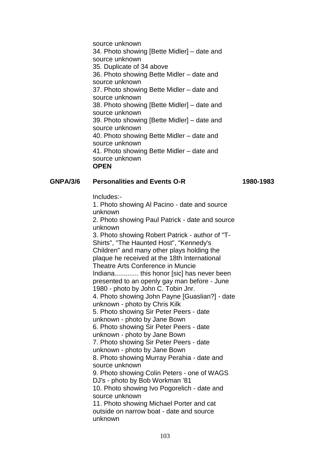source unknown 34. Photo showing [Bette Midler] – date and source unknown 35. Duplicate of 34 above 36. Photo showing Bette Midler – date and source unknown 37. Photo showing Bette Midler – date and source unknown 38. Photo showing [Bette Midler] – date and source unknown 39. Photo showing [Bette Midler] – date and source unknown 40. Photo showing Bette Midler – date and source unknown 41. Photo showing Bette Midler – date and source unknown **OPEN**

## **GNPA/3/6 Personalities and Events O-R 1980-1983**

Includes:-

1. Photo showing Al Pacino - date and source unknown

2. Photo showing Paul Patrick - date and source unknown

3. Photo showing Robert Patrick - author of "T-Shirts", "The Haunted Host", "Kennedy's Children" and many other plays holding the plaque he received at the 18th International Theatre Arts Conference in Muncie Indiana............. this honor [sic] has never been presented to an openly gay man before - June 1980 - photo by John C. Tobin Jnr. 4. Photo showing John Payne [Guaslian?] - date unknown - photo by Chris Kilk 5. Photo showing Sir Peter Peers - date unknown - photo by Jane Bown 6. Photo showing Sir Peter Peers - date unknown - photo by Jane Bown 7. Photo showing Sir Peter Peers - date unknown - photo by Jane Bown 8. Photo showing Murray Perahia - date and source unknown 9. Photo showing Colin Peters - one of WAGS DJ's - photo by Bob Workman '81 10. Photo showing Ivo Pogorelich - date and source unknown 11. Photo showing Michael Porter and cat

outside on narrow boat - date and source unknown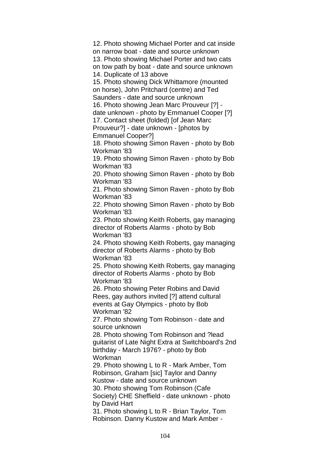12. Photo showing Michael Porter and cat inside on narrow boat - date and source unknown 13. Photo showing Michael Porter and two cats on tow path by boat - date and source unknown 14. Duplicate of 13 above 15. Photo showing Dick Whittamore (mounted on horse), John Pritchard (centre) and Ted Saunders - date and source unknown 16. Photo showing Jean Marc Prouveur [?] date unknown - photo by Emmanuel Cooper [?] 17. Contact sheet (folded) [of Jean Marc Prouveur?] - date unknown - [photos by Emmanuel Cooper?] 18. Photo showing Simon Raven - photo by Bob Workman '83 19. Photo showing Simon Raven - photo by Bob Workman '83 20. Photo showing Simon Raven - photo by Bob Workman '83 21. Photo showing Simon Raven - photo by Bob Workman '83 22. Photo showing Simon Raven - photo by Bob Workman '83 23. Photo showing Keith Roberts, gay managing director of Roberts Alarms - photo by Bob Workman '83 24. Photo showing Keith Roberts, gay managing director of Roberts Alarms - photo by Bob Workman '83 25. Photo showing Keith Roberts, gay managing director of Roberts Alarms - photo by Bob Workman '83 26. Photo showing Peter Robins and David Rees, gay authors invited [?] attend cultural events at Gay Olympics - photo by Bob Workman '82 27. Photo showing Tom Robinson - date and source unknown 28. Photo showing Tom Robinson and ?lead guitarist of Late Night Extra at Switchboard's 2nd birthday - March 1976? - photo by Bob Workman 29. Photo showing L to R - Mark Amber, Tom Robinson, Graham [sic] Taylor and Danny Kustow - date and source unknown 30. Photo showing Tom Robinson (Cafe Society) CHE Sheffield - date unknown - photo by David Hart 31. Photo showing L to R - Brian Taylor, Tom Robinson. Danny Kustow and Mark Amber -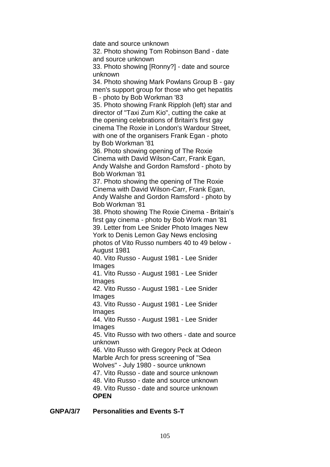date and source unknown 32. Photo showing Tom Robinson Band - date and source unknown 33. Photo showing [Ronny?] - date and source unknown 34. Photo showing Mark Powlans Group B - gay men's support group for those who get hepatitis B - photo by Bob Workman '83 35. Photo showing Frank Ripploh (left) star and director of "Taxi Zum Kio", cutting the cake at the opening celebrations of Britain's first gay cinema The Roxie in London's Wardour Street, with one of the organisers Frank Egan - photo by Bob Workman '81 36. Photo showing opening of The Roxie Cinema with David Wilson-Carr, Frank Egan, Andy Walshe and Gordon Ramsford - photo by Bob Workman '81 37. Photo showing the opening of The Roxie Cinema with David Wilson-Carr, Frank Egan, Andy Walshe and Gordon Ramsford - photo by Bob Workman '81 38. Photo showing The Roxie Cinema - Britain's first gay cinema - photo by Bob Work man '81 39. Letter from Lee Snider Photo Images New York to Denis Lemon Gay News enclosing photos of Vito Russo numbers 40 to 49 below - August 1981 40. Vito Russo - August 1981 - Lee Snider Images 41. Vito Russo - August 1981 - Lee Snider Images 42. Vito Russo - August 1981 - Lee Snider Images 43. Vito Russo - August 1981 - Lee Snider Images 44. Vito Russo - August 1981 - Lee Snider Images 45. Vito Russo with two others - date and source unknown 46. Vito Russo with Gregory Peck at Odeon Marble Arch for press screening of "Sea Wolves" - July 1980 - source unknown 47. Vito Russo - date and source unknown 48. Vito Russo - date and source unknown 49. Vito Russo - date and source unknown **OPEN**

**GNPA/3/7 Personalities and Events S-T**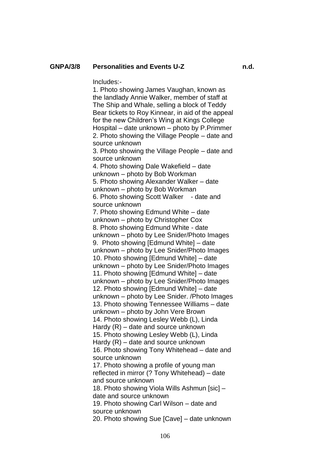#### **GNPA/3/8 Personalities and Events U-Z n.d.**

Includes:-

1. Photo showing James Vaughan, known as the landlady Annie Walker, member of staff at The Ship and Whale, selling a block of Teddy Bear tickets to Roy Kinnear, in aid of the appeal for the new Children's Wing at Kings College Hospital – date unknown – photo by P.Primmer 2. Photo showing the Village People – date and source unknown 3. Photo showing the Village People – date and source unknown 4. Photo showing Dale Wakefield – date unknown – photo by Bob Workman 5. Photo showing Alexander Walker – date unknown – photo by Bob Workman 6. Photo showing Scott Walker - date and source unknown 7. Photo showing Edmund White – date unknown – photo by Christopher Cox 8. Photo showing Edmund White - date unknown – photo by Lee Snider/Photo Images 9. Photo showing [Edmund White] – date unknown – photo by Lee Snider/Photo Images 10. Photo showing [Edmund White] – date unknown – photo by Lee Snider/Photo Images 11. Photo showing [Edmund White] – date unknown – photo by Lee Snider/Photo Images 12. Photo showing [Edmund White] – date unknown – photo by Lee Snider. /Photo Images 13. Photo showing Tennessee Williams – date unknown – photo by John Vere Brown 14. Photo showing Lesley Webb (L), Linda Hardy (R) – date and source unknown 15. Photo showing Lesley Webb (L), Linda Hardy (R) – date and source unknown 16. Photo showing Tony Whitehead – date and source unknown 17. Photo showing a profile of young man reflected in mirror (? Tony Whitehead) – date and source unknown 18. Photo showing Viola Wills Ashmun [sic] – date and source unknown 19. Photo showing Carl Wilson – date and source unknown 20. Photo showing Sue [Cave] – date unknown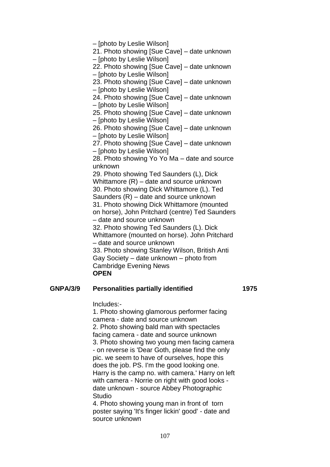– [photo by Leslie Wilson] 21. Photo showing [Sue Cave] – date unknown – [photo by Leslie Wilson] 22. Photo showing [Sue Cave] – date unknown – [photo by Leslie Wilson] 23. Photo showing [Sue Cave] – date unknown – [photo by Leslie Wilson] 24. Photo showing [Sue Cave] – date unknown – [photo by Leslie Wilson] 25. Photo showing [Sue Cave] – date unknown – [photo by Leslie Wilson] 26. Photo showing [Sue Cave] – date unknown – [photo by Leslie Wilson] 27. Photo showing [Sue Cave] – date unknown – [photo by Leslie Wilson] 28. Photo showing Yo Yo Ma – date and source unknown 29. Photo showing Ted Saunders (L), Dick Whittamore (R) – date and source unknown 30. Photo showing Dick Whittamore (L). Ted Saunders (R) – date and source unknown 31. Photo showing Dick Whittamore (mounted on horse), John Pritchard (centre) Ted Saunders – date and source unknown 32. Photo showing Ted Saunders (L). Dick Whittamore (mounted on horse). John Pritchard – date and source unknown 33. Photo showing Stanley Wilson, British Anti Gay Society – date unknown – photo from Cambridge Evening News **OPEN**

#### **GNPA/3/9 Personalities partially identified 1975**

Includes:-

1. Photo showing glamorous performer facing camera - date and source unknown 2. Photo showing bald man with spectacles facing camera - date and source unknown 3. Photo showing two young men facing camera - on reverse is 'Dear Goth, please find the only pic. we seem to have of ourselves, hope this does the job. PS. I'm the good looking one. Harry is the camp no. with camera.' Harry on left with camera - Norrie on right with good looks date unknown - source Abbey Photographic Studio 4. Photo showing young man in front of torn

poster saying 'It's finger lickin' good' - date and source unknown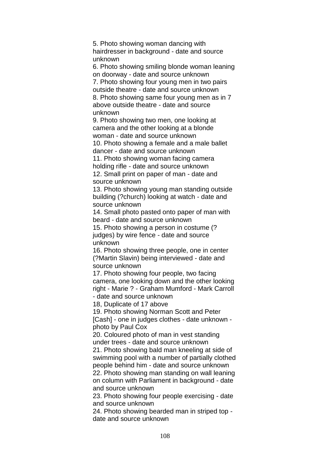5. Photo showing woman dancing with hairdresser in background - date and source unknown

6. Photo showing smiling blonde woman leaning on doorway - date and source unknown

7. Photo showing four young men in two pairs outside theatre - date and source unknown 8. Photo showing same four young men as in 7 above outside theatre - date and source unknown

9. Photo showing two men, one looking at camera and the other looking at a blonde woman - date and source unknown 10. Photo showing a female and a male ballet dancer - date and source unknown

11. Photo showing woman facing camera holding rifle - date and source unknown 12. Small print on paper of man - date and source unknown

13. Photo showing young man standing outside building (?church) looking at watch - date and source unknown

14. Small photo pasted onto paper of man with beard - date and source unknown

15. Photo showing a person in costume (? judges) by wire fence - date and source unknown

16. Photo showing three people, one in center (?Martin Slavin) being interviewed - date and source unknown

17. Photo showing four people, two facing camera, one looking down and the other looking right - Marie ? - Graham Mumford - Mark Carroll - date and source unknown

18, Duplicate of 17 above

19. Photo showing Norman Scott and Peter

[Cash] - one in judges clothes - date unknown photo by Paul Cox

20. Coloured photo of man in vest standing under trees - date and source unknown

21. Photo showing bald man kneeling at side of swimming pool with a number of partially clothed people behind him - date and source unknown

22. Photo showing man standing on wall leaning on column with Parliament in background - date and source unknown

23. Photo showing four people exercising - date and source unknown

24. Photo showing bearded man in striped top date and source unknown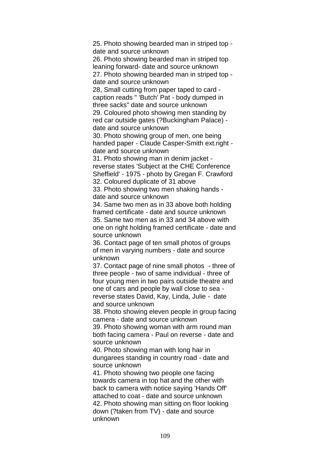25. Photo showing bearded man in striped top date and source unknown

26. Photo showing bearded man in striped top leaning forward- date and source unknown 27. Photo showing bearded man in striped top date and source unknown

28, Small cutting from paper taped to card caption reads " 'Butch' Pat - body dumped in three sacks" date and source unknown 29. Coloured photo showing men standing by red car outside gates (?Buckingham Palace) -

date and source unknown

30. Photo showing group of men, one being handed paper - Claude Casper-Smith ext.right date and source unknown

31. Photo showing man in denim jacket reverse states 'Subject at the CHE Conference Sheffield' - 1975 - photo by Gregan F. Crawford 32. Coloured duplicate of 31 above

33. Photo showing two men shaking hands date and source unknown

34. Same two men as in 33 above both holding framed certificate - date and source unknown 35. Same two men as in 33 and 34 above with one on right holding framed certificate - date and source unknown

36. Contact page of ten small photos of groups of men in varying numbers - date and source unknown

37. Contact page of nine small photos - three of three people - two of same individual - three of four young men in two pairs outside theatre and one of cars and people by wall close to sea reverse states David, Kay, Linda, Julie - date and source unknown

38. Photo showing eleven people in group facing camera - date and source unknown

39. Photo showing woman with arm round man both facing camera - Paul on reverse - date and source unknown

40. Photo showing man with long hair in dungarees standing in country road - date and source unknown

41. Photo showing two people one facing towards camera in top hat and the other with back to camera with notice saying 'Hands Off' attached to coat - date and source unknown 42. Photo showing man sitting on floor looking down (?taken from TV) - date and source unknown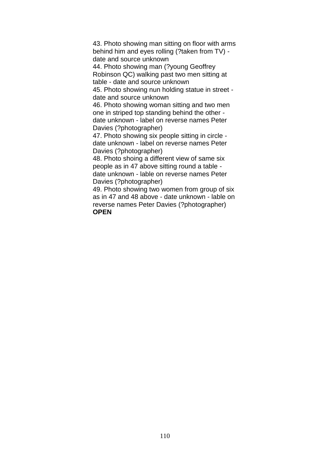43. Photo showing man sitting on floor with arms behind him and eyes rolling (?taken from TV) date and source unknown

44. Photo showing man (?young Geoffrey Robinson QC) walking past two men sitting at table - date and source unknown

45. Photo showing nun holding statue in street date and source unknown

46. Photo showing woman sitting and two men one in striped top standing behind the other date unknown - label on reverse names Peter Davies (?photographer)

47. Photo showing six people sitting in circle date unknown - label on reverse names Peter Davies (?photographer)

48. Photo shoing a different view of same six people as in 47 above sitting round a table date unknown - lable on reverse names Peter Davies (?photographer)

49. Photo showing two women from group of six as in 47 and 48 above - date unknown - lable on reverse names Peter Davies (?photographer) **OPEN**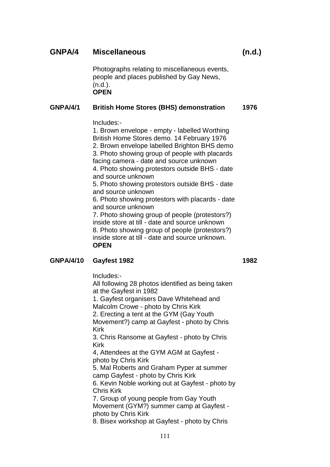# **GNPA/4 Miscellaneous (n.d.)**

Photographs relating to miscellaneous events, people and places published by Gay News,  $(n.d.).$ **OPEN**

# **GNPA/4/1 British Home Stores (BHS) demonstration 1976**

Includes:-

1. Brown envelope - empty - labelled Worthing British Home Stores demo. 14 February 1976 2. Brown envelope labelled Brighton BHS demo 3. Photo showing group of people with placards facing camera - date and source unknown 4. Photo showing protestors outside BHS - date and source unknown 5. Photo showing protestors outside BHS - date and source unknown 6. Photo showing protestors with placards - date and source unknown 7. Photo showing group of people (protestors?) inside store at till - date and source unknown 8. Photo showing group of people (protestors?)

inside store at till - date and source unknown. **OPEN**

# **GNPA/4/10 Gayfest 1982 1982**

Includes:-

All following 28 photos identified as being taken at the Gayfest in 1982

1. Gayfest organisers Dave Whitehead and Malcolm Crowe - photo by Chris Kirk

2. Erecting a tent at the GYM (Gay Youth

Movement?) camp at Gayfest - photo by Chris Kirk

3. Chris Ransome at Gayfest - photo by Chris Kirk

4, Attendees at the GYM AGM at Gayfest photo by Chris Kirk

5. Mal Roberts and Graham Pyper at summer camp Gayfest - photo by Chris Kirk

6. Kevin Noble working out at Gayfest - photo by Chris Kirk

7. Group of young people from Gay Youth Movement (GYM?) summer camp at Gayfest photo by Chris Kirk

8. Bisex workshop at Gayfest - photo by Chris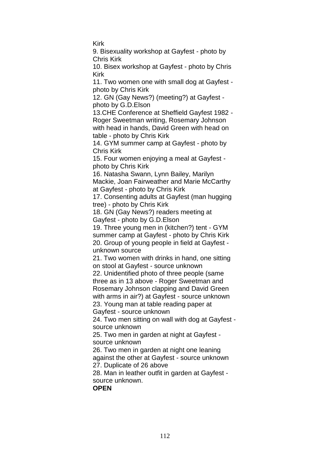Kirk

9. Bisexuality workshop at Gayfest - photo by Chris Kirk

10. Bisex workshop at Gayfest - photo by Chris Kirk

11. Two women one with small dog at Gayfest photo by Chris Kirk

12. GN (Gay News?) (meeting?) at Gayfest photo by G.D.Elson

13.CHE Conference at Sheffield Gayfest 1982 - Roger Sweetman writing, Rosemary Johnson with head in hands, David Green with head on table - photo by Chris Kirk

14. GYM summer camp at Gayfest - photo by Chris Kirk

15. Four women enjoying a meal at Gayfest photo by Chris Kirk

16. Natasha Swann, Lynn Bailey, Marilyn Mackie, Joan Fairweather and Marie McCarthy

at Gayfest - photo by Chris Kirk

17. Consenting adults at Gayfest (man hugging tree) - photo by Chris Kirk

18. GN (Gay News?) readers meeting at Gayfest - photo by G.D.Elson

19. Three young men in (kitchen?) tent - GYM summer camp at Gayfest - photo by Chris Kirk 20. Group of young people in field at Gayfest unknown source

21. Two women with drinks in hand, one sitting on stool at Gayfest - source unknown

22. Unidentified photo of three people (same three as in 13 above - Roger Sweetman and Rosemary Johnson clapping and David Green with arms in air?) at Gayfest - source unknown

23. Young man at table reading paper at Gayfest - source unknown

24. Two men sitting on wall with dog at Gayfest source unknown

25. Two men in garden at night at Gayfest source unknown

26. Two men in garden at night one leaning against the other at Gayfest - source unknown

27. Duplicate of 26 above

28. Man in leather outfit in garden at Gayfest source unknown.

**OPEN**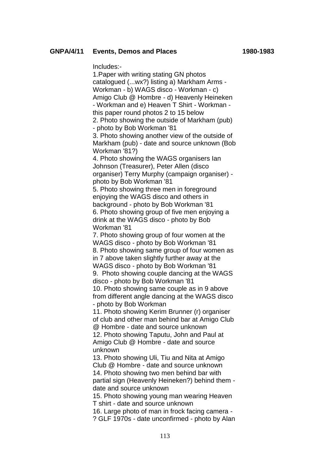### **GNPA/4/11 Events, Demos and Places 1980-1983**

Includes:-

1.Paper with writing stating GN photos catalogued (...wx?) listing a) Markham Arms - Workman - b) WAGS disco - Workman - c) Amigo Club @ Hombre - d) Heavenly Heineken - Workman and e) Heaven T Shirt - Workman this paper round photos 2 to 15 below 2. Photo showing the outside of Markham (pub) - photo by Bob Workman '81 3. Photo showing another view of the outside of Markham (pub) - date and source unknown (Bob Workman '81?) 4. Photo showing the WAGS organisers Ian Johnson (Treasurer), Peter Allen (disco organiser) Terry Murphy (campaign organiser) photo by Bob Workman '81 5. Photo showing three men in foreground enjoying the WAGS disco and others in background - photo by Bob Workman '81 6. Photo showing group of five men enjoying a drink at the WAGS disco - photo by Bob Workman '81 7. Photo showing group of four women at the WAGS disco - photo by Bob Workman '81 8. Photo showing same group of four women as in 7 above taken slightly further away at the WAGS disco - photo by Bob Workman '81 9. Photo showing couple dancing at the WAGS disco - photo by Bob Workman '81 10. Photo showing same couple as in 9 above from different angle dancing at the WAGS disco - photo by Bob Workman 11. Photo showing Kerim Brunner (r) organiser of club and other man behind bar at Amigo Club @ Hombre - date and source unknown 12. Photo showing Taputu, John and Paul at Amigo Club @ Hombre - date and source unknown 13. Photo showing Uli, Tiu and Nita at Amigo Club @ Hombre - date and source unknown

14. Photo showing two men behind bar with partial sign (Heavenly Heineken?) behind them date and source unknown

15. Photo showing young man wearing Heaven T shirt - date and source unknown

16. Large photo of man in frock facing camera - ? GLF 1970s - date unconfirmed - photo by Alan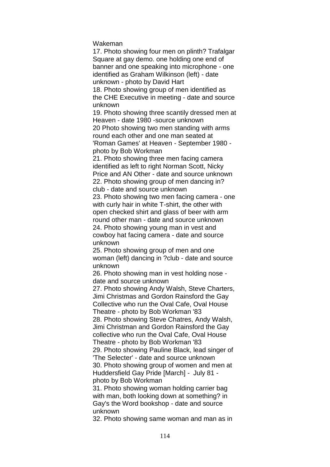Wakeman

17. Photo showing four men on plinth? Trafalgar Square at gay demo. one holding one end of banner and one speaking into microphone - one identified as Graham Wilkinson (left) - date unknown - photo by David Hart

18. Photo showing group of men identified as the CHE Executive in meeting - date and source unknown

19. Photo showing three scantily dressed men at Heaven - date 1980 -source unknown 20 Photo showing two men standing with arms round each other and one man seated at 'Roman Games' at Heaven - September 1980 photo by Bob Workman

21. Photo showing three men facing camera identified as left to right Norman Scott, Nicky Price and AN Other - date and source unknown 22. Photo showing group of men dancing in? club - date and source unknown

23. Photo showing two men facing camera - one with curly hair in white T-shirt, the other with open checked shirt and glass of beer with arm round other man - date and source unknown 24. Photo showing young man in vest and cowboy hat facing camera - date and source unknown

25. Photo showing group of men and one woman (left) dancing in ?club - date and source unknown

26. Photo showing man in vest holding nose date and source unknown

27. Photo showing Andy Walsh, Steve Charters, Jimi Christmas and Gordon Rainsford the Gay Collective who run the Oval Cafe, Oval House Theatre - photo by Bob Workman '83

28. Photo showing Steve Chatres, Andy Walsh, Jimi Christman and Gordon Rainsford the Gay collective who run the Oval Cafe, Oval House Theatre - photo by Bob Workman '83

29. Photo showing Pauline Black, lead singer of 'The Selecter' - date and source unknown 30. Photo showing group of women and men at Huddersfield Gay Pride [March] - July 81 -

photo by Bob Workman

31. Photo showing woman holding carrier bag with man, both looking down at something? in Gay's the Word bookshop - date and source unknown

32. Photo showing same woman and man as in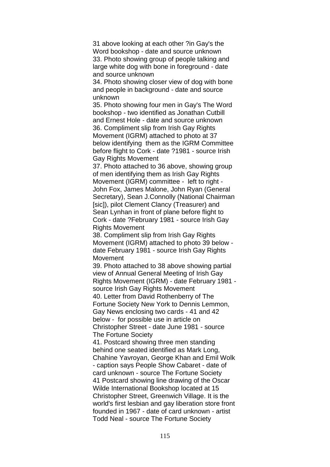31 above looking at each other ?in Gay's the Word bookshop - date and source unknown 33. Photo showing group of people talking and large white dog with bone in foreground - date and source unknown

34. Photo showing closer view of dog with bone and people in background - date and source unknown

35. Photo showing four men in Gay's The Word bookshop - two identified as Jonathan Cutbill and Ernest Hole - date and source unknown 36. Compliment slip from Irish Gay Rights Movement (IGRM) attached to photo at 37 below identifying them as the IGRM Committee before flight to Cork - date ?1981 - source Irish Gay Rights Movement

37. Photo attached to 36 above, showing group of men identifying them as Irish Gay Rights Movement (IGRM) committee - left to right - John Fox, James Malone, John Ryan (General Secretary), Sean J.Connolly (National Chairman [sic]), pilot Clement Clancy (Treasurer) and Sean Lynhan in front of plane before flight to Cork - date ?February 1981 - source Irish Gay Rights Movement

38. Compliment slip from Irish Gay Rights Movement (IGRM) attached to photo 39 below date February 1981 - source Irish Gay Rights Movement

39. Photo attached to 38 above showing partial view of Annual General Meeting of Irish Gay Rights Movement (IGRM) - date February 1981 source Irish Gay Rights Movement 40. Letter from David Rothenberry of The Fortune Society New York to Dennis Lemmon, Gay News enclosing two cards - 41 and 42 below - for possible use in article on Christopher Street - date June 1981 - source The Fortune Society

41. Postcard showing three men standing behind one seated identified as Mark Long, Chahine Yavroyan, George Khan and Emil Wolk - caption says People Show Cabaret - date of card unknown - source The Fortune Society 41 Postcard showing line drawing of the Oscar Wilde International Bookshop located at 15 Christopher Street, Greenwich Village. It is the world's first lesbian and gay liberation store front founded in 1967 - date of card unknown - artist Todd Neal - source The Fortune Society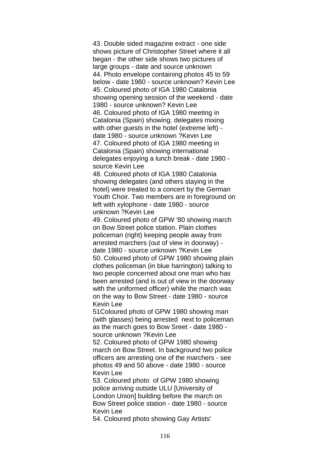43. Double sided magazine extract - one side shows picture of Christopher Street where it all began - the other side shows two pictures of large groups - date and source unknown 44. Photo envelope containing photos 45 to 59 below - date 1980 - source unknown? Kevin Lee 45. Coloured photo of IGA 1980 Catalonia showing opening session of the weekend - date 1980 - source unknown? Kevin Lee 46. Coloured photo of IGA 1980 meeting in Catalonia (Spain) showing. delegates mixing with other guests in the hotel (extreme left) date 1980 - source unknown ?Kevin Lee 47. Coloured photo of IGA 1980 meeting in Catalonia (Spain) showing international delegates enjoying a lunch break - date 1980 source Kevin Lee

48. Coloured photo of IGA 1980 Catalonia showing delegates (and others staying in the hotel) were treated to a concert by the German Youth Choir. Two members are in foreground on left with xylophone - date 1980 - source unknown ?Kevin Lee

49. Coloured photo of GPW '80 showing march on Bow Street police station. Plain clothes policeman (right) keeping people away from arrested marchers (out of view in doorway) date 1980 - source unknown ?Kevin Lee 50. Coloured photo of GPW 1980 showing plain clothes policeman (in blue harrington) talking to two people concerned about one man who has been arrested (and is out of view in the doorway with the uniformed officer) while the march was on the way to Bow Street - date 1980 - source Kevin Lee

51Coloured photo of GPW 1980 showing man (with glasses) being arrested next to policeman as the march goes to Bow Sreet - date 1980 source unknown ?Kevin Lee

52. Coloured photo of GPW 1980 showing march on Bow Street. In background two police officers are arresting one of the marchers - see photos 49 and 50 above - date 1980 - source Kevin Lee

53. Coloured photo of GPW 1980 showing police arriving outside ULU [University of London Union] building before the march on Bow Street police station - date 1980 - source Kevin Lee

54. Coloured photo showing Gay Artists'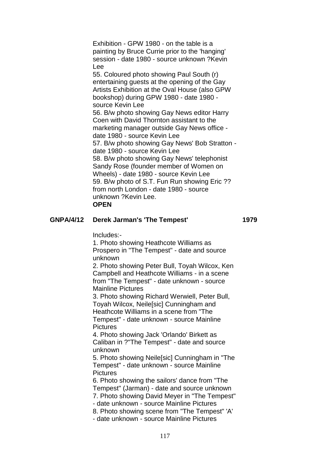Exhibition - GPW 1980 - on the table is a painting by Bruce Currie prior to the 'hanging' session - date 1980 - source unknown ?Kevin Lee 55. Coloured photo showing Paul South (r) entertaining guests at the opening of the Gay Artists Exhibition at the Oval House (also GPW bookshop) during GPW 1980 - date 1980 source Kevin Lee 56. B/w photo showing Gay News editor Harry Coen with David Thornton assistant to the marketing manager outside Gay News office date 1980 - source Kevin Lee 57. B/w photo showing Gay News' Bob Stratton date 1980 - source Kevin Lee 58. B/w photo showing Gay News' telephonist Sandy Rose (founder member of Women on Wheels) - date 1980 - source Kevin Lee 59. B/w photo of S.T. Fun Run showing Eric ?? from north London - date 1980 - source unknown ?Kevin Lee. **OPEN**

#### **GNPA/4/12 Derek Jarman's 'The Tempest' 1979**

Includes:-

1. Photo showing Heathcote Williams as Prospero in "The Tempest" - date and source unknown

2. Photo showing Peter Bull, Toyah Wilcox, Ken Campbell and Heathcote Williams - in a scene from "The Tempest" - date unknown - source Mainline Pictures

3. Photo showing Richard Werwiell, Peter Bull, Toyah Wilcox, Neile[sic] Cunningham and Heathcote Williams in a scene from "The Tempest" - date unknown - source Mainline **Pictures** 

4. Photo showing Jack 'Orlando' Birkett as Caliban in ?"The Tempest" - date and source unknown

5. Photo showing Neile[sic] Cunningham in "The Tempest" - date unknown - source Mainline **Pictures** 

6. Photo showing the sailors' dance from "The Tempest" (Jarman) - date and source unknown 7. Photo showing David Meyer in "The Tempest" - date unknown - source Mainline Pictures 8. Photo showing scene from "The Tempest" 'A' - date unknown - source Mainline Pictures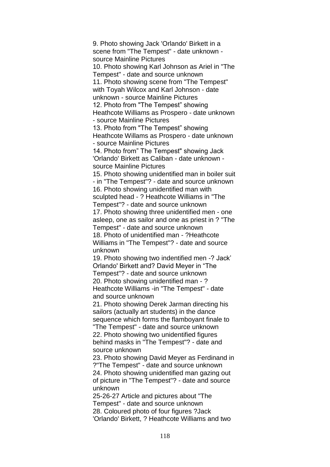9. Photo showing Jack 'Orlando' Birkett in a scene from "The Tempest" - date unknown source Mainline Pictures 10. Photo showing Karl Johnson as Ariel in "The Tempest" - date and source unknown 11. Photo showing scene from "The Tempest" with Toyah Wilcox and Karl Johnson - date unknown - source Mainline Pictures 12. Photo from "The Tempest" showing Heathcote Williams as Prospero - date unknown - source Mainline Pictures 13. Photo from "The Tempest" showing Heathcote Willams as Prospero - date unknown - source Mainline Pictures 14. Photo from" The Tempest" showing Jack 'Orlando' Birkett as Caliban - date unknown source Mainline Pictures 15. Photo showing unidentified man in boiler suit - in "The Tempest"? - date and source unknown 16. Photo showing unidentified man with sculpted head - ? Heathcote Williams in "The Tempest"? - date and source unknown 17. Photo showing three unidentified men - one asleep, one as sailor and one as priest in ? "The Tempest" - date and source unknown 18. Photo of unidentified man - ?Heathcote Williams in "The Tempest"? - date and source unknown 19. Photo showing two indentified men -? Jack' Orlando' Birkett and? David Meyer in "The Tempest"? - date and source unknown 20. Photo showing unidentified man - ? Heathcote Williams -in "The Tempest" - date and source unknown 21. Photo showing Derek Jarman directing his sailors (actually art students) in the dance sequence which forms the flamboyant finale to "The Tempest" - date and source unknown 22. Photo showing two unidentified figures behind masks in "The Tempest"? - date and source unknown 23. Photo showing David Meyer as Ferdinand in ?"The Tempest" - date and source unknown 24. Photo showing unidentified man gazing out of picture in "The Tempest"? - date and source unknown

25-26-27 Article and pictures about "The Tempest" - date and source unknown 28. Coloured photo of four figures ?Jack 'Orlando' Birkett, ? Heathcote Williams and two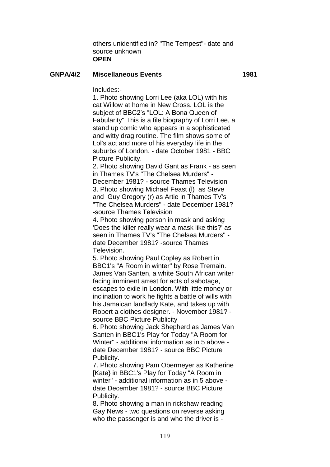others unidentified in? "The Tempest"- date and source unknown **OPEN**

#### **GNPA/4/2 Miscellaneous Events 1981**

Includes:-

1. Photo showing Lorri Lee (aka LOL) with his cat Willow at home in New Cross. LOL is the subject of BBC2's "LOL: A Bona Queen of Fabularity" This is a file biography of Lorri Lee, a stand up comic who appears in a sophisticated and witty drag routine. The film shows some of Lol's act and more of his everyday life in the suburbs of London. - date October 1981 - BBC Picture Publicity.

2. Photo showing David Gant as Frank - as seen in Thames TV's "The Chelsea Murders" - December 1981? - source Thames Television 3. Photo showing Michael Feast (l) as Steve and Guy Gregory (r) as Artie in Thames TV's "The Chelsea Murders" - date December 1981? -source Thames Television

4. Photo showing person in mask and asking 'Does the killer really wear a mask like this?' as seen in Thames TV's "The Chelsea Murders" date December 1981? -source Thames Television.

5. Photo showing Paul Copley as Robert in BBC1's "A Room in winter" by Rose Tremain. James Van Santen, a white South African writer facing imminent arrest for acts of sabotage, escapes to exile in London. With little money or inclination to work he fights a battle of wills with his Jamaican landlady Kate, and takes up with Robert a clothes designer. - November 1981? source BBC Picture Publicity

6. Photo showing Jack Shepherd as James Van Santen in BBC1's Play for Today "A Room for Winter" - additional information as in 5 above date December 1981? - source BBC Picture Publicity.

7. Photo showing Pam Obermeyer as Katherine [Kate} in BBC1's Play for Today "A Room in winter" - additional information as in 5 above date December 1981? - source BBC Picture Publicity.

8. Photo showing a man in rickshaw reading Gay News - two questions on reverse asking who the passenger is and who the driver is -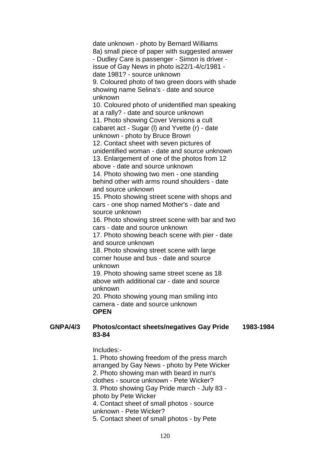date unknown - photo by Bernard Williams 8a) small piece of paper with suggested answer - Dudley Care is passenger - Simon is driver issue of Gay News in photo is22/1-4/c/1981 date 1981? - source unknown 9. Coloured photo of two green doors with shade showing name Selina's - date and source unknown 10. Coloured photo of unidentified man speaking at a rally? - date and source unknown 11. Photo showing Cover Versions a cult cabaret act - Sugar (l) and Yvette (r) - date unknown - photo by Bruce Brown 12. Contact sheet with seven pictures of unidentified woman - date and source unknown 13. Enlargement of one of the photos from 12 above - date and source unknown 14. Photo showing two men - one standing behind other with arms round shoulders - date and source unknown 15. Photo showing street scene with shops and cars - one shop named Mother's - date and source unknown 16. Photo showing street scene with bar and two cars - date and source unknown 17. Photo showing beach scene with pier - date and source unknown 18. Photo showing street scene with large corner house and bus - date and source unknown 19. Photo showing same street scene as 18 above with additional car - date and source unknown 20. Photo showing young man smiling into camera - date and source unknown **OPEN GNPA/4/3 Photos/contact sheets/negatives Gay Pride** 

**1983-1984**

Includes:-

**83-84**

1. Photo showing freedom of the press march arranged by Gay News - photo by Pete Wicker 2. Photo showing man with beard in nun's clothes - source unknown - Pete Wicker? 3. Photo showing Gay Pride march - July 83 photo by Pete Wicker 4. Contact sheet of small photos - source unknown - Pete Wicker? 5. Contact sheet of small photos - by Pete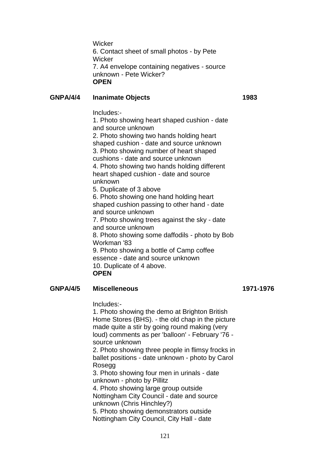**Wicker** 6. Contact sheet of small photos - by Pete **Wicker** 7. A4 envelope containing negatives - source unknown - Pete Wicker? **OPEN**

## **GNPA/4/4 Inanimate Objects 1983**

Includes:-

1. Photo showing heart shaped cushion - date and source unknown

2. Photo showing two hands holding heart shaped cushion - date and source unknown 3. Photo showing number of heart shaped

cushions - date and source unknown

4. Photo showing two hands holding different heart shaped cushion - date and source unknown

5. Duplicate of 3 above 6. Photo showing one hand holding heart shaped cushion passing to other hand - date

and source unknown

7. Photo showing trees against the sky - date and source unknown

8. Photo showing some daffodils - photo by Bob Workman '83

9. Photo showing a bottle of Camp coffee essence - date and source unknown 10. Duplicate of 4 above. **OPEN**

# **GNPA/4/5 Miscelleneous 1971-1976**

Includes:-

1. Photo showing the demo at Brighton British Home Stores (BHS). - the old chap in the picture made quite a stir by going round making (very loud) comments as per 'balloon' - February '76 source unknown

2. Photo showing three people in flimsy frocks in ballet positions - date unknown - photo by Carol Rosegg

3. Photo showing four men in urinals - date unknown - photo by Pillitz

4. Photo showing large group outside

Nottingham City Council - date and source unknown (Chris Hinchley?)

5. Photo showing demonstrators outside Nottingham City Council, City Hall - date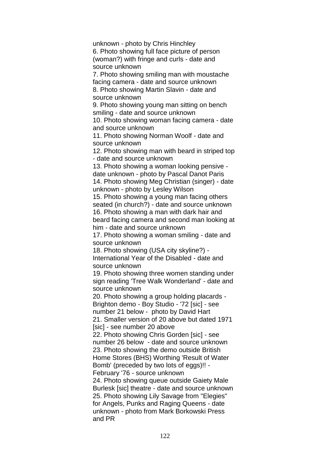unknown - photo by Chris Hinchley 6. Photo showing full face picture of person (woman?) with fringe and curls - date and source unknown 7. Photo showing smiling man with moustache facing camera - date and source unknown 8. Photo showing Martin Slavin - date and source unknown 9. Photo showing young man sitting on bench smiling - date and source unknown 10. Photo showing woman facing camera - date and source unknown 11. Photo showing Norman Woolf - date and source unknown 12. Photo showing man with beard in striped top - date and source unknown 13. Photo showing a woman looking pensive date unknown - photo by Pascal Danot Paris 14. Photo showing Meg Christian (singer) - date unknown - photo by Lesley Wilson 15. Photo showing a young man facing others seated (in church?) - date and source unknown 16. Photo showing a man with dark hair and beard facing camera and second man looking at him - date and source unknown 17. Photo showing a woman smiling - date and source unknown 18. Photo showing (USA city skyline?) - International Year of the Disabled - date and source unknown 19. Photo showing three women standing under sign reading 'Tree Walk Wonderland' - date and source unknown 20. Photo showing a group holding placards - Brighton demo - Boy Studio - '72 [sic] - see number 21 below - photo by David Hart 21. Smaller version of 20 above but dated 1971 [sic] - see number 20 above 22. Photo showing Chris Gorden [sic] - see number 26 below - date and source unknown 23. Photo showing the demo outside British Home Stores (BHS) Worthing 'Result of Water Bomb' (preceded by two lots of eggs)!! - February '76 - source unknown 24. Photo showing queue outside Gaiety Male Burlesk [sic] theatre - date and source unknown 25. Photo showing Lily Savage from "Elegies" for Angels, Punks and Raging Queens - date unknown - photo from Mark Borkowski Press and PR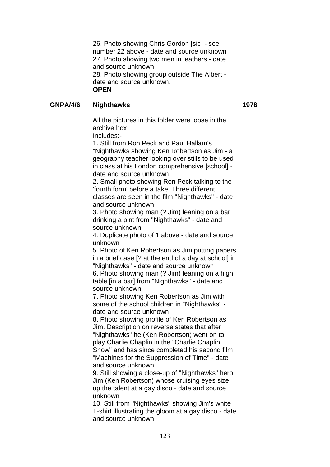26. Photo showing Chris Gordon [sic] - see number 22 above - date and source unknown 27. Photo showing two men in leathers - date and source unknown 28. Photo showing group outside The Albert date and source unknown. **OPEN**

# **GNPA/4/6 Nighthawks 1978**

All the pictures in this folder were loose in the archive box

Includes:-

1. Still from Ron Peck and Paul Hallam's "Nighthawks showing Ken Robertson as Jim - a geography teacher looking over stills to be used in class at his London comprehensive [school] date and source unknown

2. Small photo showing Ron Peck talking to the 'fourth form' before a take. Three different classes are seen in the film "Nighthawks" - date and source unknown

3. Photo showing man (? Jim) leaning on a bar drinking a pint from "Nighthawks" - date and source unknown

4. Duplicate photo of 1 above - date and source unknown

5. Photo of Ken Robertson as Jim putting papers in a brief case [? at the end of a day at school] in "Nighthawks" - date and source unknown

6. Photo showing man (? Jim) leaning on a high table [in a bar] from "Nighthawks" - date and source unknown

7. Photo showing Ken Robertson as Jim with some of the school children in "Nighthawks" date and source unknown

8. Photo showing profile of Ken Robertson as Jim. Description on reverse states that after "Nighthawks" he (Ken Robertson) went on to play Charlie Chaplin in the "Charlie Chaplin Show" and has since completed his second film "Machines for the Suppression of Time" - date and source unknown

9. Still showing a close-up of "Nighthawks" hero Jim (Ken Robertson) whose cruising eyes size up the talent at a gay disco - date and source unknown

10. Still from "Nighthawks" showing Jim's white T-shirt illustrating the gloom at a gay disco - date and source unknown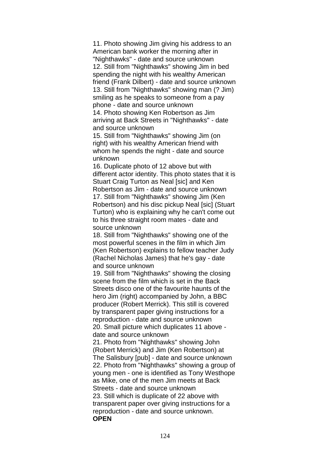11. Photo showing Jim giving his address to an American bank worker the morning after in "Nighthawks" - date and source unknown 12. Still from "Nighthawks" showing Jim in bed spending the night with his wealthy American friend (Frank Dilbert) - date and source unknown 13. Still from "Nighthawks" showing man (? Jim) smiling as he speaks to someone from a pay phone - date and source unknown 14. Photo showing Ken Robertson as Jim

arriving at Back Streets in "Nighthawks" - date and source unknown

15. Still from "Nighthawks" showing Jim (on right) with his wealthy American friend with whom he spends the night - date and source unknown

16. Duplicate photo of 12 above but with different actor identity. This photo states that it is Stuart Craig Turton as Neal [sic] and Ken Robertson as Jim - date and source unknown 17. Still from "Nighthawks" showing Jim (Ken Robertson) and his disc pickup Neal [sic] (Stuart Turton) who is explaining why he can't come out to his three straight room mates - date and source unknown

18. Still from "Nighthawks" showing one of the most powerful scenes in the film in which Jim (Ken Robertson) explains to fellow teacher Judy (Rachel Nicholas James) that he's gay - date and source unknown

19. Still from "Nighthawks" showing the closing scene from the film which is set in the Back Streets disco one of the favourite haunts of the hero Jim (right) accompanied by John, a BBC producer (Robert Merrick). This still is covered by transparent paper giving instructions for a reproduction - date and source unknown 20. Small picture which duplicates 11 above date and source unknown

21. Photo from "Nighthawks" showing John (Robert Merrick) and Jim (Ken Robertson) at The Salisbury [pub] - date and source unknown 22. Photo from "Nighthawks" showing a group of young men - one is identified as Tony Westhope as Mike, one of the men Jim meets at Back Streets - date and source unknown 23. Still which is duplicate of 22 above with transparent paper over giving instructions for a reproduction - date and source unknown. **OPEN**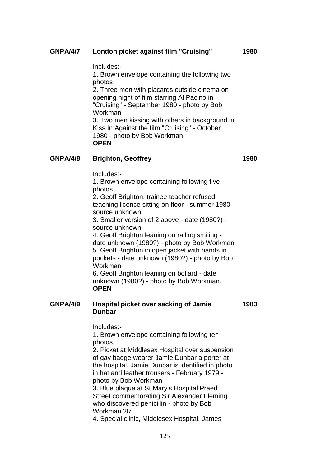### **GNPA/4/7 London picket against film "Cruising" 1980**

Includes:-

1. Brown envelope containing the following two photos 2. Three men with placards outside cinema on opening night of film starring Al Pacino in "Cruising" - September 1980 - photo by Bob Workman 3. Two men kissing with others in background in Kiss In Against the film "Cruising" - October 1980 - photo by Bob Workman. **OPEN**

# **GNPA/4/8 Brighton, Geoffrey 1980**

Includes:- 1. Brown envelope containing following five photos 2. Geoff Brighton, trainee teacher refused teaching licence sitting on floor - summer 1980 source unknown 3. Smaller version of 2 above - date (1980?) source unknown 4. Geoff Brighton leaning on railing smiling date unknown (1980?) - photo by Bob Workman 5. Geoff Brighton in open jacket with hands in pockets - date unknown (1980?) - photo by Bob Workman 6. Geoff Brighton leaning on bollard - date unknown (1980?) - photo by Bob Workman. **OPEN**

#### **GNPA/4/9 Hospital picket over sacking of Jamie Dunbar 1983**

Includes:-

1. Brown envelope containing following ten photos.

2. Picket at Middlesex Hospital over suspension of gay badge wearer Jamie Dunbar a porter at the hospital. Jamie Dunbar is identified in photo in hat and leather trousers - February 1979 photo by Bob Workman

3. Blue plaque at St Mary's Hospital Praed Street commemorating Sir Alexander Fleming who discovered penicillin - photo by Bob Workman '87

4. Special clinic, Middlesex Hospital, James